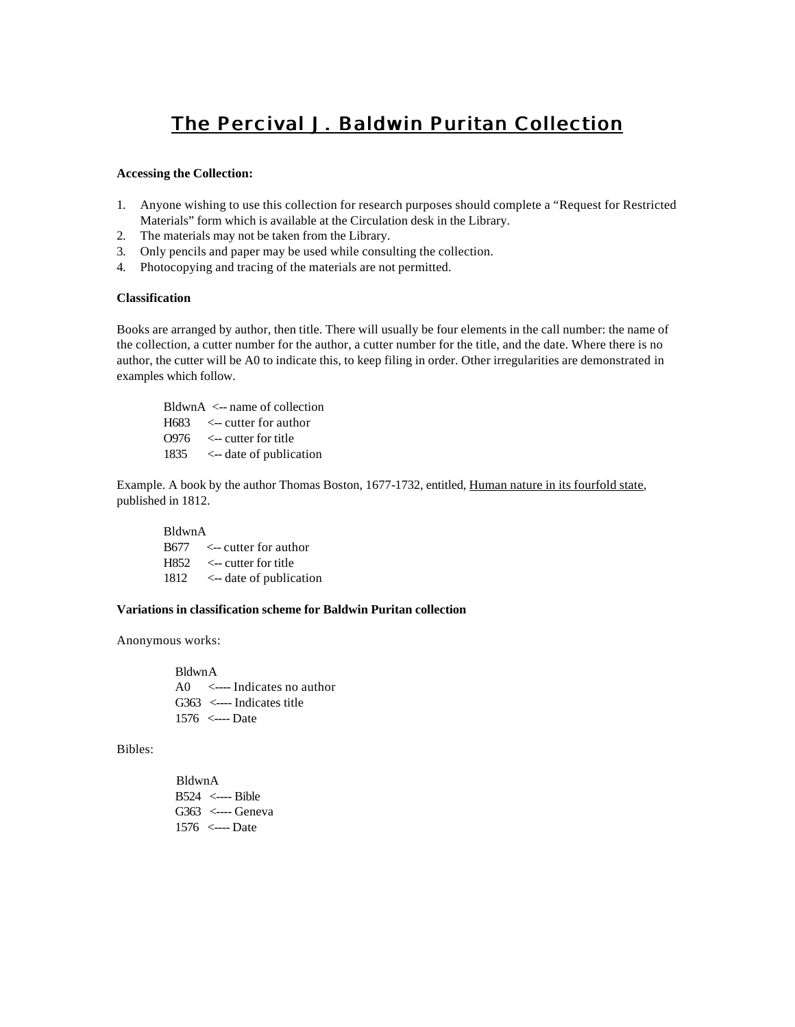# **The Percival J. Baldwin Puritan Collection**

### **Accessing the Collection:**

- 1. Anyone wishing to use this collection for research purposes should complete a "Request for Restricted Materials" form which is available at the Circulation desk in the Library.
- 2. The materials may not be taken from the Library.
- 3. Only pencils and paper may be used while consulting the collection.
- 4. Photocopying and tracing of the materials are not permitted.

# **Classification**

Books are arranged by author, then title. There will usually be four elements in the call number: the name of the collection, a cutter number for the author, a cutter number for the title, and the date. Where there is no author, the cutter will be A0 to indicate this, to keep filing in order. Other irregularities are demonstrated in examples which follow.

BldwnA <-- name of collection H683 <-- cutter for author  $O976$   $\leq$ -- cutter for title 1835 <-- date of publication

Example. A book by the author Thomas Boston, 1677-1732, entitled, Human nature in its fourfold state, published in 1812.

BldwnA B677 <-- cutter for author H852 <-- cutter for title 1812 <-- date of publication

# **Variations in classification scheme for Baldwin Puritan collection**

Anonymous works:

 BldwnA A0 <---- Indicates no author G363 <---- Indicates title 1576 <---- Date

Bibles:

 BldwnA B524 <---- Bible G363 <---- Geneva 1576 <---- Date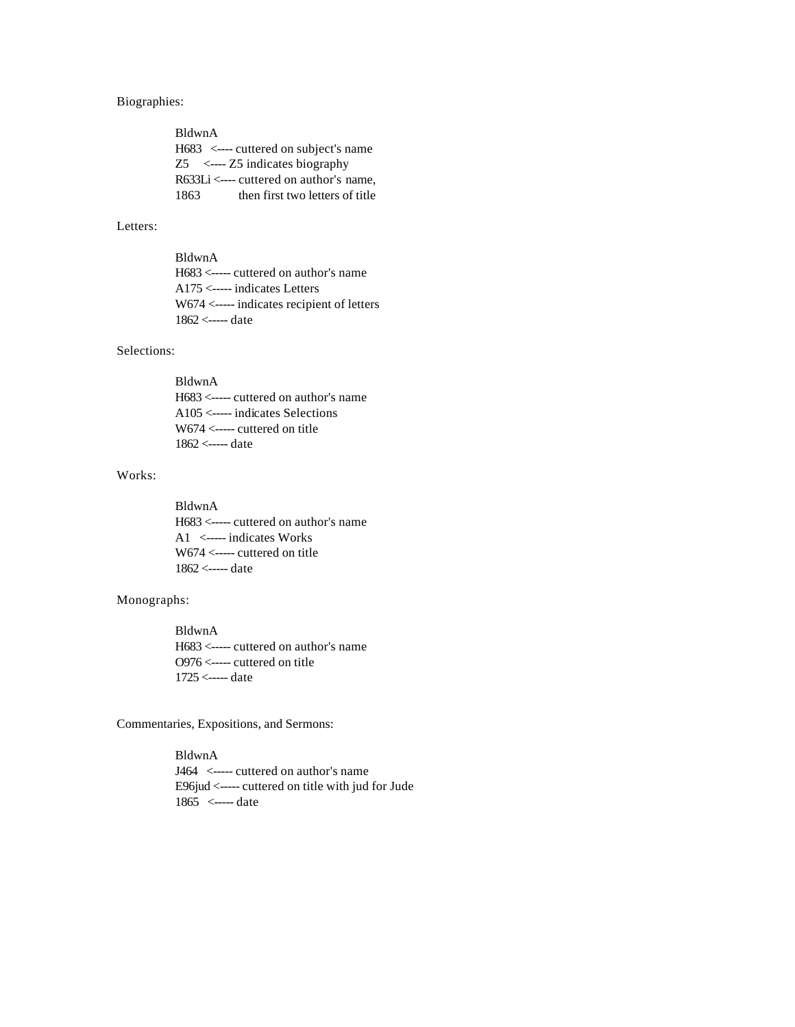# Biographies:

| BldwnA |                                                     |
|--------|-----------------------------------------------------|
|        | $H683 \le$ —— cuttered on subject's name            |
|        | $Z5 \leftarrow Z5$ indicates biography              |
|        | $R633Li \leftarrow$ ---- cuttered on author's name, |
| 1863   | then first two letters of title                     |

### Letters:

# BldwnA

 H683 <----- cuttered on author's name A175 <----- indicates Letters W674 <----- indicates recipient of letters 1862 <----- date

# Selections:

# BldwnA

 H683 <----- cuttered on author's name A105 <----- indicates Selections W674 <----- cuttered on title 1862 <----- date

# Works:

 BldwnA H683 <----- cuttered on author's name A1 <----- indicates Works W674 <----- cuttered on title 1862 <----- date

# Monographs:

 BldwnA H683 <----- cuttered on author's name O976 <----- cuttered on title 1725 <----- date

Commentaries, Expositions, and Sermons:

 BldwnA J464 <----- cuttered on author's name E96jud <----- cuttered on title with jud for Jude 1865 <----- date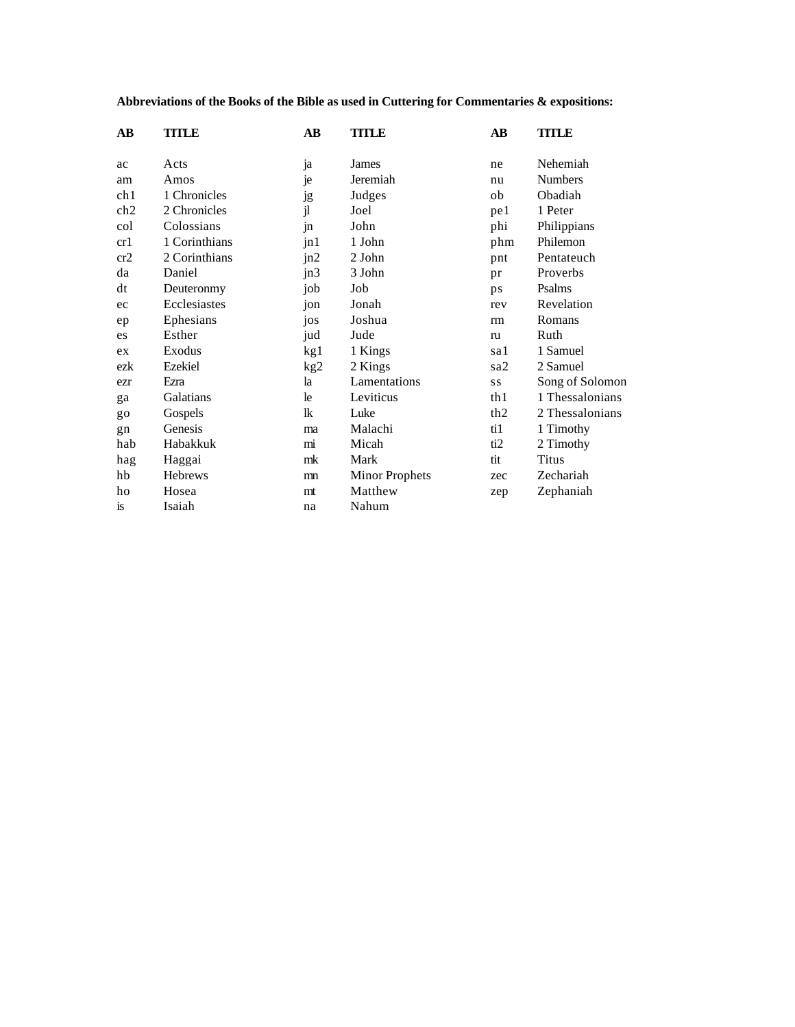# **Abbreviations of the Books of the Bible as used in Cuttering for Commentaries & expositions:**

| $\mathbf{A}\mathbf{B}$ | TITLE          | $\overline{AB}$ | <b>TITLE</b>          | $\overline{AB}$ | TITLE           |
|------------------------|----------------|-----------------|-----------------------|-----------------|-----------------|
| ac                     | Acts           | ja              | James                 | ne              | Nehemiah        |
| am                     | Amos           | je              | Jeremiah              | nu              | <b>Numbers</b>  |
| ch1                    | 1 Chronicles   | <b>Jg</b>       | Judges                | ob              | Obadiah         |
| ch2                    | 2 Chronicles   | jl              | Joel                  | pe 1            | 1 Peter         |
| col                    | Colossians     | $\ln$           | John                  | phi             | Philippians     |
| cr1                    | 1 Corinthians  | jn1             | 1 John                | phm             | Philemon        |
| cr2                    | 2 Corinthians  | jn2             | 2 John                | pnt             | Pentateuch      |
| da                     | Daniel         | jn3             | 3 John                | pr              | Proverbs        |
| dt                     | Deuteronmy     | job             | Job                   | ps              | Psalms          |
| ec                     | Ecclesiastes   | jon             | Jonah                 | rev             | Revelation      |
| ep                     | Ephesians      | jos             | Joshua                | rm              | Romans          |
| es                     | Esther         | jud             | Jude                  | ru              | Ruth            |
| ex                     | Exodus         | kg1             | 1 Kings               | sa 1            | 1 Samuel        |
| ezk                    | Ezekiel        | kg2             | 2 Kings               | sa2             | 2 Samuel        |
| ezr                    | Ezra           | la              | Lamentations          | <b>SS</b>       | Song of Solomon |
| ga                     | Galatians      | le              | Leviticus             | th 1            | 1 Thessalonians |
| go                     | Gospels        | lk              | Luke                  | th <sub>2</sub> | 2 Thessalonians |
| gn                     | Genesis        | ma              | Malachi               | ti1             | 1 Timothy       |
| hab                    | Habakkuk       | mi              | Micah                 | ti2             | 2 Timothy       |
| hag                    | Haggai         | mk              | Mark                  | tit             | Titus           |
| hb                     | <b>Hebrews</b> | mn              | <b>Minor Prophets</b> | zec             | Zechariah       |
| ho                     | Hosea          | mt              | Matthew               | zep             | Zephaniah       |
| <b>is</b>              | Isaiah         | na              | Nahum                 |                 |                 |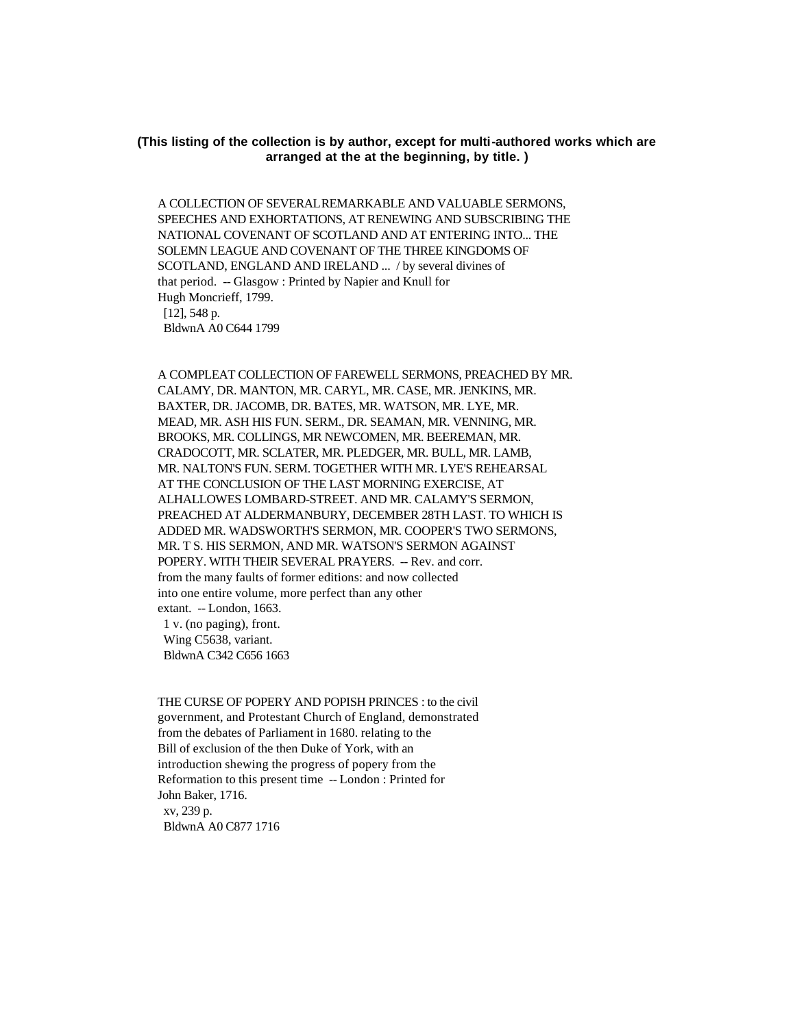# **(This listing of the collection is by author, except for multi-authored works which are arranged at the at the beginning, by title. )**

 A COLLECTION OF SEVERAL REMARKABLE AND VALUABLE SERMONS, SPEECHES AND EXHORTATIONS, AT RENEWING AND SUBSCRIBING THE NATIONAL COVENANT OF SCOTLAND AND AT ENTERING INTO... THE SOLEMN LEAGUE AND COVENANT OF THE THREE KINGDOMS OF SCOTLAND, ENGLAND AND IRELAND ... / by several divines of that period. -- Glasgow : Printed by Napier and Knull for Hugh Moncrieff, 1799. [12], 548 p. BldwnA A0 C644 1799

 A COMPLEAT COLLECTION OF FAREWELL SERMONS, PREACHED BY MR. CALAMY, DR. MANTON, MR. CARYL, MR. CASE, MR. JENKINS, MR. BAXTER, DR. JACOMB, DR. BATES, MR. WATSON, MR. LYE, MR. MEAD, MR. ASH HIS FUN. SERM., DR. SEAMAN, MR. VENNING, MR. BROOKS, MR. COLLINGS, MR NEWCOMEN, MR. BEEREMAN, MR. CRADOCOTT, MR. SCLATER, MR. PLEDGER, MR. BULL, MR. LAMB, MR. NALTON'S FUN. SERM. TOGETHER WITH MR. LYE'S REHEARSAL AT THE CONCLUSION OF THE LAST MORNING EXERCISE, AT ALHALLOWES LOMBARD-STREET. AND MR. CALAMY'S SERMON, PREACHED AT ALDERMANBURY, DECEMBER 28TH LAST. TO WHICH IS ADDED MR. WADSWORTH'S SERMON, MR. COOPER'S TWO SERMONS, MR. T S. HIS SERMON, AND MR. WATSON'S SERMON AGAINST POPERY. WITH THEIR SEVERAL PRAYERS. -- Rev. and corr. from the many faults of former editions: and now collected into one entire volume, more perfect than any other extant. -- London, 1663. 1 v. (no paging), front.

 Wing C5638, variant. BldwnA C342 C656 1663

 THE CURSE OF POPERY AND POPISH PRINCES : to the civil government, and Protestant Church of England, demonstrated from the debates of Parliament in 1680. relating to the Bill of exclusion of the then Duke of York, with an introduction shewing the progress of popery from the Reformation to this present time -- London : Printed for John Baker, 1716. xv, 239 p. BldwnA A0 C877 1716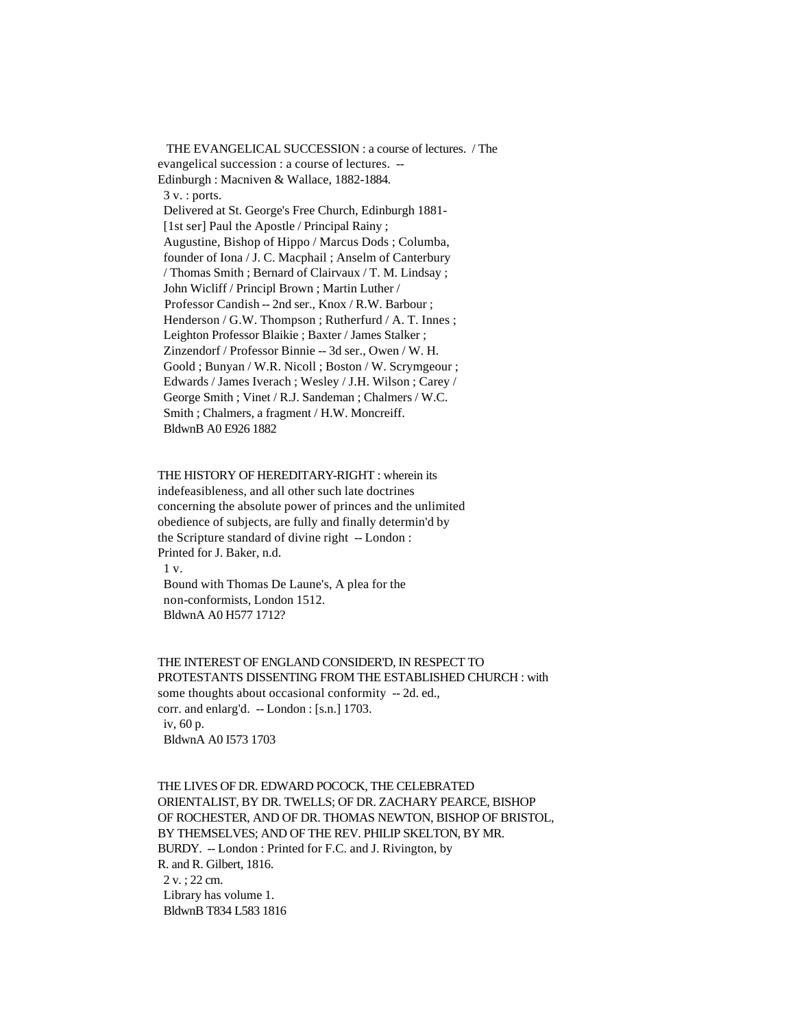THE EVANGELICAL SUCCESSION : a course of lectures. / The evangelical succession : a course of lectures. -- Edinburgh : Macniven & Wallace, 1882-1884. 3 v. : ports. Delivered at St. George's Free Church, Edinburgh 1881- [1st ser] Paul the Apostle / Principal Rainy; Augustine, Bishop of Hippo / Marcus Dods ; Columba, founder of Iona / J. C. Macphail ; Anselm of Canterbury / Thomas Smith ; Bernard of Clairvaux / T. M. Lindsay ; John Wicliff / Principl Brown ; Martin Luther / Professor Candish -- 2nd ser., Knox / R.W. Barbour ; Henderson / G.W. Thompson ; Rutherfurd / A.T. Innes ; Leighton Professor Blaikie ; Baxter / James Stalker ; Zinzendorf / Professor Binnie -- 3d ser., Owen / W. H. Goold ; Bunyan / W.R. Nicoll ; Boston / W. Scrymgeour ; Edwards / James Iverach ; Wesley / J.H. Wilson ; Carey / George Smith ; Vinet / R.J. Sandeman ; Chalmers / W.C. Smith ; Chalmers, a fragment / H.W. Moncreiff. BldwnB A0 E926 1882

# THE HISTORY OF HEREDITARY-RIGHT : wherein its indefeasibleness, and all other such late doctrines concerning the absolute power of princes and the unlimited obedience of subjects, are fully and finally determin'd by the Scripture standard of divine right -- London : Printed for J. Baker, n.d.

1 v.

 Bound with Thomas De Laune's, A plea for the non-conformists, London 1512. BldwnA A0 H577 1712?

 THE INTEREST OF ENGLAND CONSIDER'D, IN RESPECT TO PROTESTANTS DISSENTING FROM THE ESTABLISHED CHURCH : with some thoughts about occasional conformity -- 2d. ed., corr. and enlarg'd. -- London : [s.n.] 1703. iv, 60 p. BldwnA A0 I573 1703

 THE LIVES OF DR. EDWARD POCOCK, THE CELEBRATED ORIENTALIST, BY DR. TWELLS; OF DR. ZACHARY PEARCE, BISHOP OF ROCHESTER, AND OF DR. THOMAS NEWTON, BISHOP OF BRISTOL, BY THEMSELVES; AND OF THE REV. PHILIP SKELTON, BY MR. BURDY. -- London : Printed for F.C. and J. Rivington, by R. and R. Gilbert, 1816. 2 v. ; 22 cm. Library has volume 1. BldwnB T834 L583 1816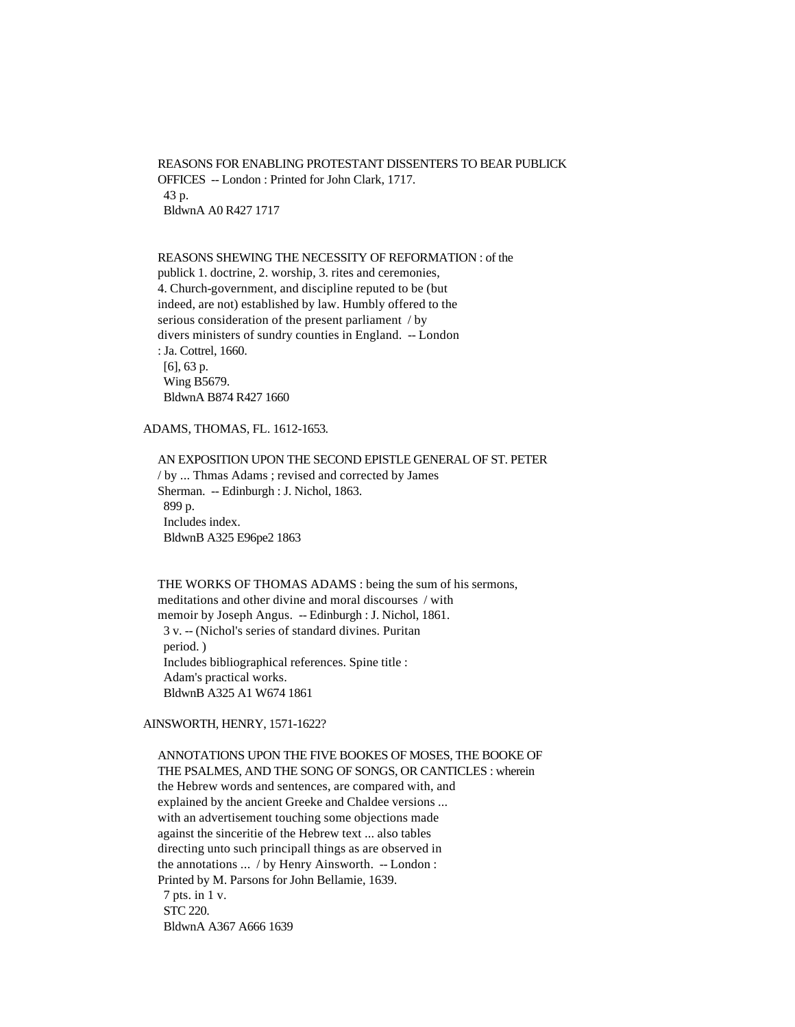REASONS FOR ENABLING PROTESTANT DISSENTERS TO BEAR PUBLICK OFFICES -- London : Printed for John Clark, 1717. 43 p. BldwnA A0 R427 1717

### REASONS SHEWING THE NECESSITY OF REFORMATION : of the

 publick 1. doctrine, 2. worship, 3. rites and ceremonies, 4. Church-government, and discipline reputed to be (but indeed, are not) established by law. Humbly offered to the serious consideration of the present parliament / by divers ministers of sundry counties in England. -- London : Ja. Cottrel, 1660. [6], 63 p. Wing B5679.

BldwnA B874 R427 1660

ADAMS, THOMAS, FL. 1612-1653.

 AN EXPOSITION UPON THE SECOND EPISTLE GENERAL OF ST. PETER / by ... Thmas Adams ; revised and corrected by James Sherman. -- Edinburgh : J. Nichol, 1863. 899 p. Includes index. BldwnB A325 E96pe2 1863

 THE WORKS OF THOMAS ADAMS : being the sum of his sermons, meditations and other divine and moral discourses / with memoir by Joseph Angus. -- Edinburgh : J. Nichol, 1861. 3 v. -- (Nichol's series of standard divines. Puritan period. ) Includes bibliographical references. Spine title : Adam's practical works. BldwnB A325 A1 W674 1861

# AINSWORTH, HENRY, 1571-1622?

 ANNOTATIONS UPON THE FIVE BOOKES OF MOSES, THE BOOKE OF THE PSALMES, AND THE SONG OF SONGS, OR CANTICLES : wherein the Hebrew words and sentences, are compared with, and explained by the ancient Greeke and Chaldee versions ... with an advertisement touching some objections made against the sinceritie of the Hebrew text ... also tables directing unto such principall things as are observed in the annotations ... / by Henry Ainsworth. -- London : Printed by M. Parsons for John Bellamie, 1639. 7 pts. in 1 v. STC 220. BldwnA A367 A666 1639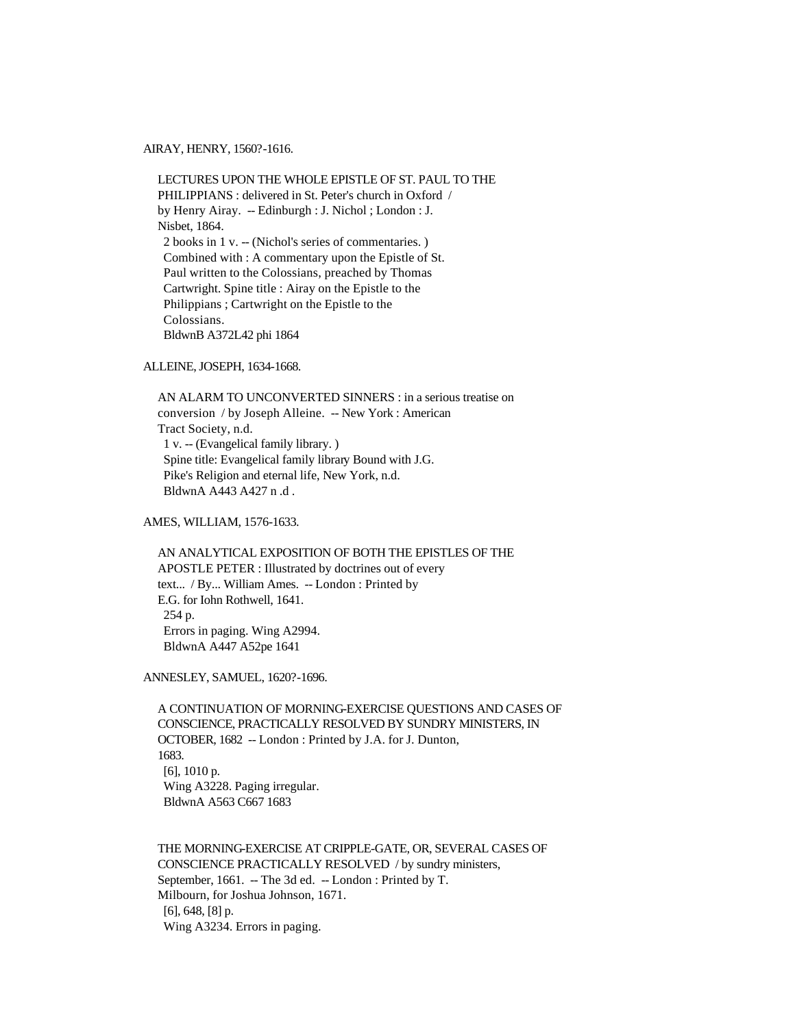AIRAY, HENRY, 1560?-1616.

 LECTURES UPON THE WHOLE EPISTLE OF ST. PAUL TO THE PHILIPPIANS : delivered in St. Peter's church in Oxford / by Henry Airay. -- Edinburgh : J. Nichol ; London : J. Nisbet, 1864. 2 books in 1 v. -- (Nichol's series of commentaries. ) Combined with : A commentary upon the Epistle of St. Paul written to the Colossians, preached by Thomas Cartwright. Spine title : Airay on the Epistle to the Philippians ; Cartwright on the Epistle to the Colossians. BldwnB A372L42 phi 1864

ALLEINE, JOSEPH, 1634-1668.

 AN ALARM TO UNCONVERTED SINNERS : in a serious treatise on conversion / by Joseph Alleine. -- New York : American Tract Society, n.d. 1 v. -- (Evangelical family library. ) Spine title: Evangelical family library Bound with J.G. Pike's Religion and eternal life, New York, n.d. BldwnA A443 A427 n .d .

AMES, WILLIAM, 1576-1633.

 AN ANALYTICAL EXPOSITION OF BOTH THE EPISTLES OF THE APOSTLE PETER : Illustrated by doctrines out of every text... / By... William Ames. -- London : Printed by E.G. for Iohn Rothwell, 1641. 254 p. Errors in paging. Wing A2994. BldwnA A447 A52pe 1641

ANNESLEY, SAMUEL, 1620?-1696.

 A CONTINUATION OF MORNING-EXERCISE QUESTIONS AND CASES OF CONSCIENCE, PRACTICALLY RESOLVED BY SUNDRY MINISTERS, IN OCTOBER, 1682 -- London : Printed by J.A. for J. Dunton, 1683. [6], 1010 p. Wing A3228. Paging irregular. BldwnA A563 C667 1683

 THE MORNING-EXERCISE AT CRIPPLE-GATE, OR, SEVERAL CASES OF CONSCIENCE PRACTICALLY RESOLVED / by sundry ministers, September, 1661. -- The 3d ed. -- London : Printed by T. Milbourn, for Joshua Johnson, 1671. [6], 648, [8] p. Wing A3234. Errors in paging.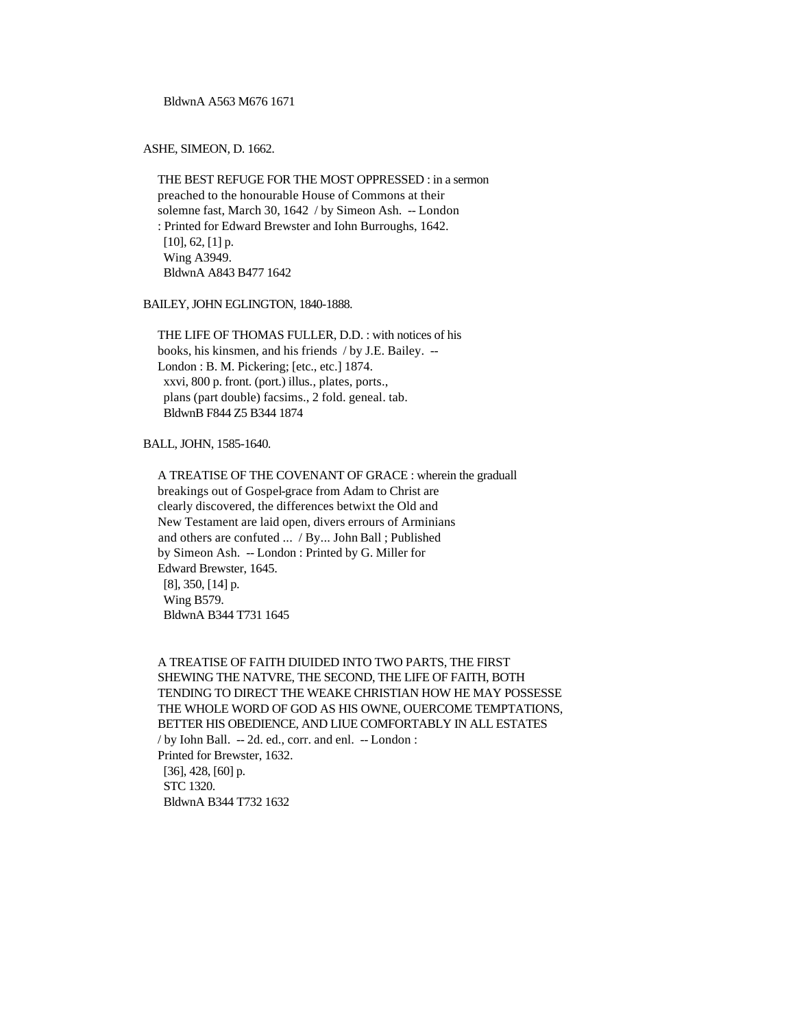BldwnA A563 M676 1671

ASHE, SIMEON, D. 1662.

 THE BEST REFUGE FOR THE MOST OPPRESSED : in a sermon preached to the honourable House of Commons at their solemne fast, March 30, 1642 / by Simeon Ash. -- London : Printed for Edward Brewster and Iohn Burroughs, 1642. [10], 62, [1] p. Wing A3949. BldwnA A843 B477 1642

BAILEY, JOHN EGLINGTON, 1840-1888.

 THE LIFE OF THOMAS FULLER, D.D. : with notices of his books, his kinsmen, and his friends / by J.E. Bailey. -- London : B. M. Pickering; [etc., etc.] 1874. xxvi, 800 p. front. (port.) illus., plates, ports., plans (part double) facsims., 2 fold. geneal. tab. BldwnB F844 Z5 B344 1874

BALL, JOHN, 1585-1640.

 A TREATISE OF THE COVENANT OF GRACE : wherein the graduall breakings out of Gospel-grace from Adam to Christ are clearly discovered, the differences betwixt the Old and New Testament are laid open, divers errours of Arminians and others are confuted ... / By... John Ball ; Published by Simeon Ash. -- London : Printed by G. Miller for Edward Brewster, 1645. [8], 350, [14] p. Wing B579. BldwnA B344 T731 1645

 A TREATISE OF FAITH DIUIDED INTO TWO PARTS, THE FIRST SHEWING THE NATVRE, THE SECOND, THE LIFE OF FAITH, BOTH TENDING TO DIRECT THE WEAKE CHRISTIAN HOW HE MAY POSSESSE THE WHOLE WORD OF GOD AS HIS OWNE, OUERCOME TEMPTATIONS, BETTER HIS OBEDIENCE, AND LIUE COMFORTABLY IN ALL ESTATES / by Iohn Ball. -- 2d. ed., corr. and enl. -- London : Printed for Brewster, 1632. [36], 428, [60] p. STC 1320. BldwnA B344 T732 1632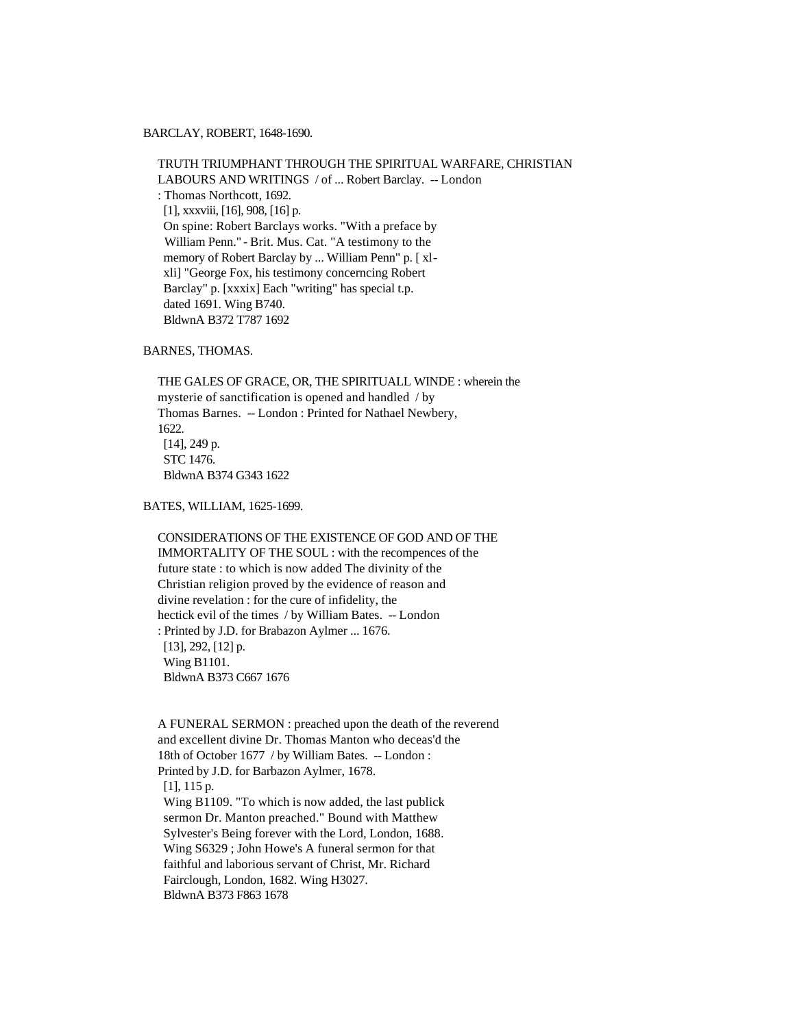### BARCLAY, ROBERT, 1648-1690.

 TRUTH TRIUMPHANT THROUGH THE SPIRITUAL WARFARE, CHRISTIAN LABOURS AND WRITINGS / of ... Robert Barclay. -- London : Thomas Northcott, 1692. [1], xxxviii, [16], 908, [16] p. On spine: Robert Barclays works. "With a preface by William Penn." - Brit. Mus. Cat. "A testimony to the memory of Robert Barclay by ... William Penn" p. [ xl xli] "George Fox, his testimony concerncing Robert Barclay" p. [xxxix] Each "writing" has special t.p. dated 1691. Wing B740. BldwnA B372 T787 1692

# BARNES, THOMAS.

 THE GALES OF GRACE, OR, THE SPIRITUALL WINDE : wherein the mysterie of sanctification is opened and handled / by Thomas Barnes. -- London : Printed for Nathael Newbery, 1622. [14], 249 p. STC 1476. BldwnA B374 G343 1622

BATES, WILLIAM, 1625-1699.

 CONSIDERATIONS OF THE EXISTENCE OF GOD AND OF THE IMMORTALITY OF THE SOUL : with the recompences of the future state : to which is now added The divinity of the Christian religion proved by the evidence of reason and divine revelation : for the cure of infidelity, the hectick evil of the times / by William Bates. -- London : Printed by J.D. for Brabazon Aylmer ... 1676. [13], 292, [12] p. Wing B1101. BldwnA B373 C667 1676

 A FUNERAL SERMON : preached upon the death of the reverend and excellent divine Dr. Thomas Manton who deceas'd the 18th of October 1677 / by William Bates. -- London : Printed by J.D. for Barbazon Aylmer, 1678. [1], 115 p. Wing B1109. "To which is now added, the last publick sermon Dr. Manton preached." Bound with Matthew Sylvester's Being forever with the Lord, London, 1688. Wing S6329 ; John Howe's A funeral sermon for that faithful and laborious servant of Christ, Mr. Richard Fairclough, London, 1682. Wing H3027. BldwnA B373 F863 1678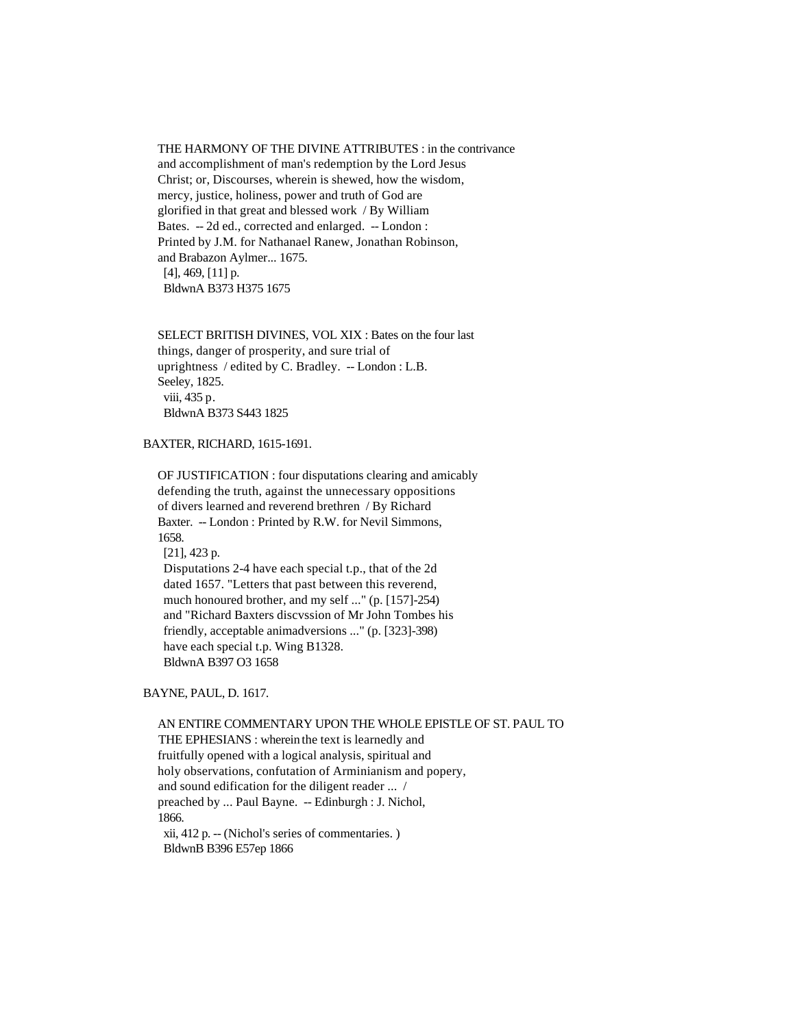### THE HARMONY OF THE DIVINE ATTRIBUTES : in the contrivance

 and accomplishment of man's redemption by the Lord Jesus Christ; or, Discourses, wherein is shewed, how the wisdom, mercy, justice, holiness, power and truth of God are glorified in that great and blessed work / By William Bates. -- 2d ed., corrected and enlarged. -- London : Printed by J.M. for Nathanael Ranew, Jonathan Robinson, and Brabazon Aylmer... 1675. [4], 469, [11] p. BldwnA B373 H375 1675

 SELECT BRITISH DIVINES, VOL XIX : Bates on the four last things, danger of prosperity, and sure trial of uprightness / edited by C. Bradley. -- London : L.B. Seeley, 1825. viii, 435 p. BldwnA B373 S443 1825

BAXTER, RICHARD, 1615-1691.

 OF JUSTIFICATION : four disputations clearing and amicably defending the truth, against the unnecessary oppositions of divers learned and reverend brethren / By Richard Baxter. -- London : Printed by R.W. for Nevil Simmons, 1658. [21], 423 p. Disputations 2-4 have each special t.p., that of the 2d dated 1657. "Letters that past between this reverend, much honoured brother, and my self ..." (p. [157]-254) and "Richard Baxters discvssion of Mr John Tombes his friendly, acceptable animadversions ..." (p. [323]-398) have each special t.p. Wing B1328.

BldwnA B397 O3 1658

BAYNE, PAUL, D. 1617.

 AN ENTIRE COMMENTARY UPON THE WHOLE EPISTLE OF ST. PAUL TO THE EPHESIANS : wherein the text is learnedly and fruitfully opened with a logical analysis, spiritual and holy observations, confutation of Arminianism and popery, and sound edification for the diligent reader ... / preached by ... Paul Bayne. -- Edinburgh : J. Nichol, 1866. xii, 412 p. -- (Nichol's series of commentaries. ) BldwnB B396 E57ep 1866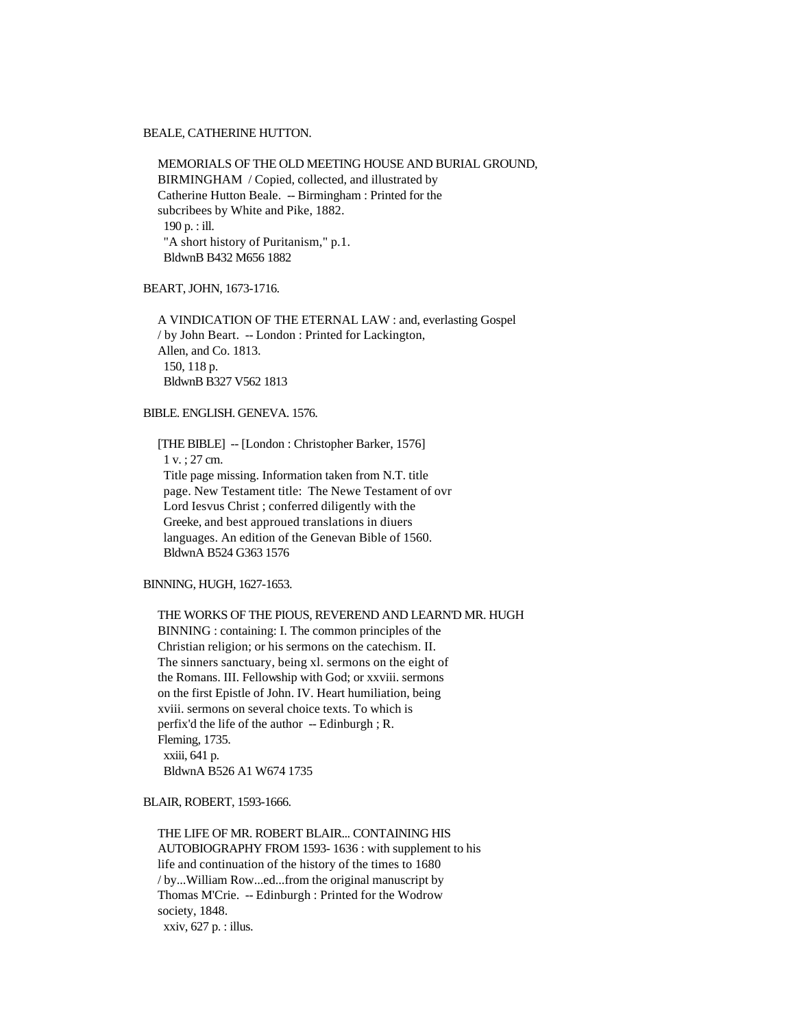#### BEALE, CATHERINE HUTTON.

 MEMORIALS OF THE OLD MEETING HOUSE AND BURIAL GROUND, BIRMINGHAM / Copied, collected, and illustrated by Catherine Hutton Beale. -- Birmingham : Printed for the subcribees by White and Pike, 1882. 190 p. : ill. "A short history of Puritanism," p.1. BldwnB B432 M656 1882

### BEART, JOHN, 1673-1716.

 A VINDICATION OF THE ETERNAL LAW : and, everlasting Gospel / by John Beart. -- London : Printed for Lackington, Allen, and Co. 1813. 150, 118 p. BldwnB B327 V562 1813

# BIBLE. ENGLISH. GENEVA. 1576.

 [THE BIBLE] -- [London : Christopher Barker, 1576] 1 v. ; 27 cm. Title page missing. Information taken from N.T. title page. New Testament title: The Newe Testament of ovr Lord Iesvus Christ ; conferred diligently with the Greeke, and best approued translations in diuers languages. An edition of the Genevan Bible of 1560. BldwnA B524 G363 1576

#### BINNING, HUGH, 1627-1653.

 THE WORKS OF THE PIOUS, REVEREND AND LEARN'D MR. HUGH BINNING : containing: I. The common principles of the Christian religion; or his sermons on the catechism. II. The sinners sanctuary, being xl. sermons on the eight of the Romans. III. Fellowship with God; or xxviii. sermons on the first Epistle of John. IV. Heart humiliation, being xviii. sermons on several choice texts. To which is perfix'd the life of the author -- Edinburgh ; R. Fleming, 1735. xxiii, 641 p. BldwnA B526 A1 W674 1735

### BLAIR, ROBERT, 1593-1666.

 THE LIFE OF MR. ROBERT BLAIR... CONTAINING HIS AUTOBIOGRAPHY FROM 1593- 1636 : with supplement to his life and continuation of the history of the times to 1680 / by...William Row...ed...from the original manuscript by Thomas M'Crie. -- Edinburgh : Printed for the Wodrow society, 1848. xxiv, 627 p. : illus.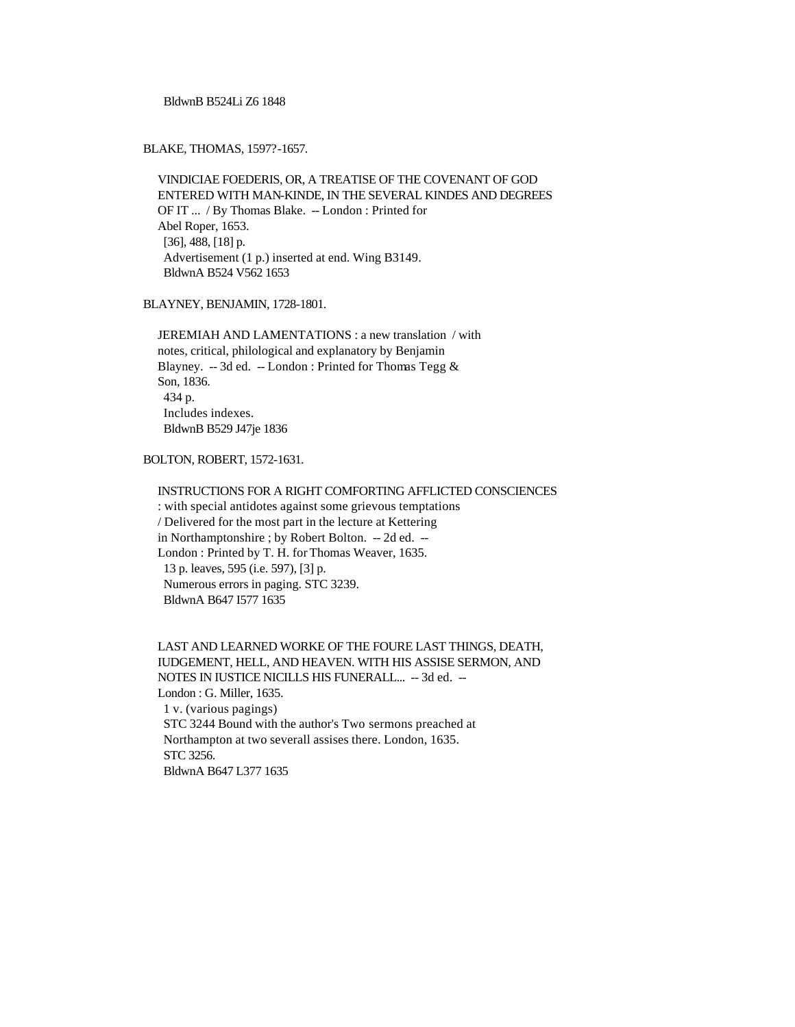BldwnB B524Li Z6 1848

BLAKE, THOMAS, 1597?-1657.

 VINDICIAE FOEDERIS, OR, A TREATISE OF THE COVENANT OF GOD ENTERED WITH MAN-KINDE, IN THE SEVERAL KINDES AND DEGREES OF IT ... / By Thomas Blake. -- London : Printed for Abel Roper, 1653. [36], 488, [18] p. Advertisement (1 p.) inserted at end. Wing B3149. BldwnA B524 V562 1653

BLAYNEY, BENJAMIN, 1728-1801.

 JEREMIAH AND LAMENTATIONS : a new translation / with notes, critical, philological and explanatory by Benjamin Blayney. -- 3d ed. -- London : Printed for Thomas Tegg & Son, 1836. 434 p. Includes indexes. BldwnB B529 J47je 1836

BOLTON, ROBERT, 1572-1631.

 INSTRUCTIONS FOR A RIGHT COMFORTING AFFLICTED CONSCIENCES : with special antidotes against some grievous temptations / Delivered for the most part in the lecture at Kettering in Northamptonshire ; by Robert Bolton. -- 2d ed. -- London : Printed by T. H. for Thomas Weaver, 1635. 13 p. leaves, 595 (i.e. 597), [3] p. Numerous errors in paging. STC 3239. BldwnA B647 I577 1635

 LAST AND LEARNED WORKE OF THE FOURE LAST THINGS, DEATH, IUDGEMENT, HELL, AND HEAVEN. WITH HIS ASSISE SERMON, AND NOTES IN IUSTICE NICILLS HIS FUNERALL... -- 3d ed. -- London : G. Miller, 1635. 1 v. (various pagings) STC 3244 Bound with the author's Two sermons preached at Northampton at two severall assises there. London, 1635. STC 3256. BldwnA B647 L377 1635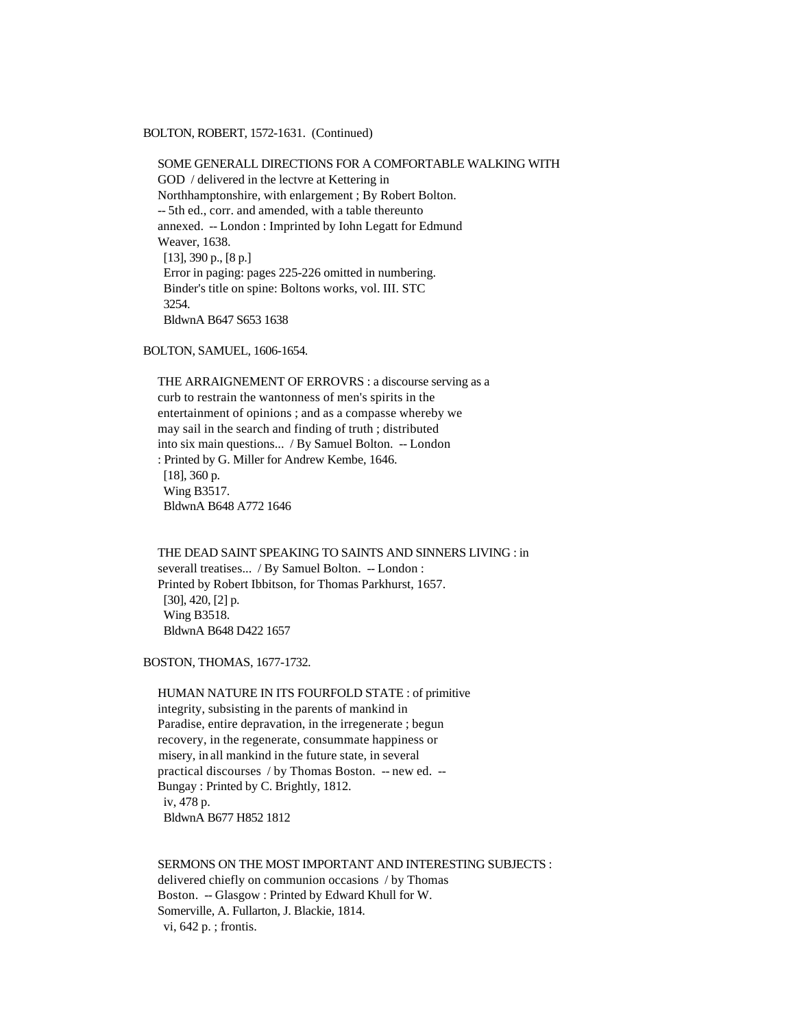BOLTON, ROBERT, 1572-1631. (Continued)

 SOME GENERALL DIRECTIONS FOR A COMFORTABLE WALKING WITH GOD / delivered in the lectvre at Kettering in Northhamptonshire, with enlargement ; By Robert Bolton. -- 5th ed., corr. and amended, with a table thereunto annexed. -- London : Imprinted by Iohn Legatt for Edmund Weaver, 1638. [13], 390 p., [8 p.] Error in paging: pages 225-226 omitted in numbering. Binder's title on spine: Boltons works, vol. III. STC 3254. BldwnA B647 S653 1638

BOLTON, SAMUEL, 1606-1654.

 THE ARRAIGNEMENT OF ERROVRS : a discourse serving as a curb to restrain the wantonness of men's spirits in the entertainment of opinions ; and as a compasse whereby we may sail in the search and finding of truth ; distributed into six main questions... / By Samuel Bolton. -- London : Printed by G. Miller for Andrew Kembe, 1646. [18], 360 p. Wing B3517. BldwnA B648 A772 1646

 THE DEAD SAINT SPEAKING TO SAINTS AND SINNERS LIVING : in severall treatises... / By Samuel Bolton. -- London : Printed by Robert Ibbitson, for Thomas Parkhurst, 1657. [30], 420, [2] p. Wing B3518. BldwnA B648 D422 1657

BOSTON, THOMAS, 1677-1732.

 HUMAN NATURE IN ITS FOURFOLD STATE : of primitive integrity, subsisting in the parents of mankind in Paradise, entire depravation, in the irregenerate ; begun recovery, in the regenerate, consummate happiness or misery, in all mankind in the future state, in several practical discourses / by Thomas Boston. -- new ed. -- Bungay : Printed by C. Brightly, 1812. iv, 478 p. BldwnA B677 H852 1812

 SERMONS ON THE MOST IMPORTANT AND INTERESTING SUBJECTS : delivered chiefly on communion occasions / by Thomas Boston. -- Glasgow : Printed by Edward Khull for W. Somerville, A. Fullarton, J. Blackie, 1814. vi, 642 p. ; frontis.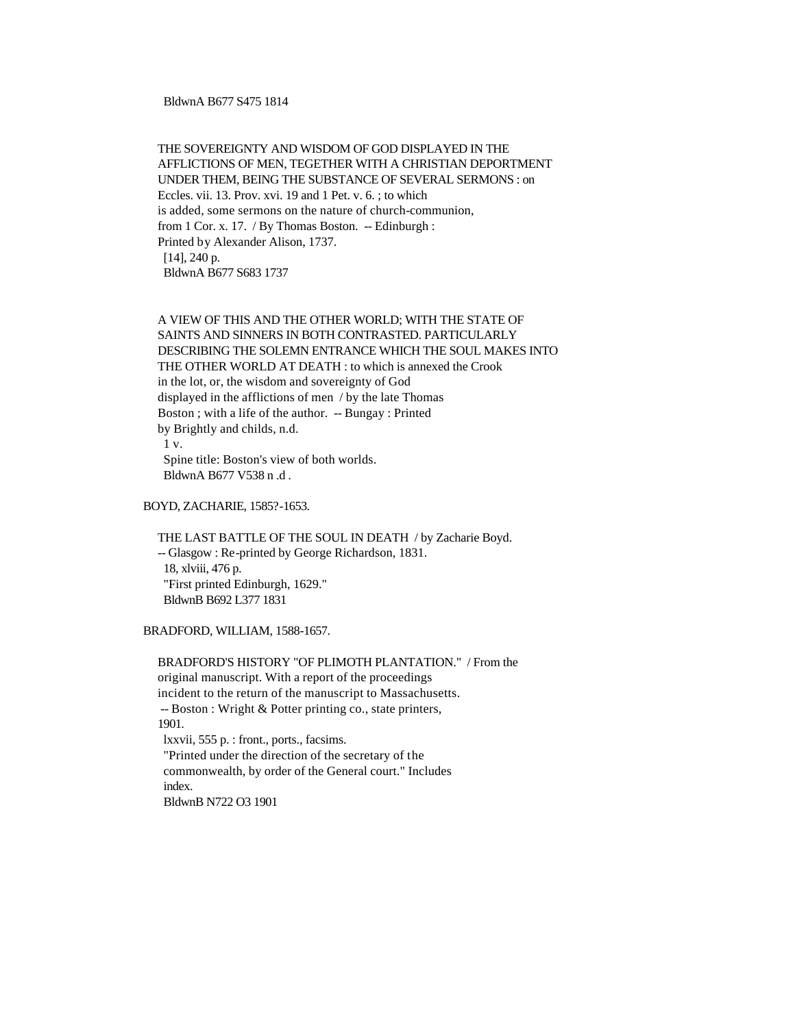### BldwnA B677 S475 1814

# THE SOVEREIGNTY AND WISDOM OF GOD DISPLAYED IN THE AFFLICTIONS OF MEN, TEGETHER WITH A CHRISTIAN DEPORTMENT UNDER THEM, BEING THE SUBSTANCE OF SEVERAL SERMONS : on Eccles. vii. 13. Prov. xvi. 19 and 1 Pet. v. 6. ; to which is added, some sermons on the nature of church-communion, from 1 Cor. x. 17. / By Thomas Boston. -- Edinburgh : Printed by Alexander Alison, 1737. [14], 240 p. BldwnA B677 S683 1737

# A VIEW OF THIS AND THE OTHER WORLD; WITH THE STATE OF SAINTS AND SINNERS IN BOTH CONTRASTED. PARTICULARLY DESCRIBING THE SOLEMN ENTRANCE WHICH THE SOUL MAKES INTO THE OTHER WORLD AT DEATH : to which is annexed the Crook in the lot, or, the wisdom and sovereignty of God displayed in the afflictions of men / by the late Thomas Boston ; with a life of the author. -- Bungay : Printed by Brightly and childs, n.d. 1 v. Spine title: Boston's view of both worlds.

BldwnA B677 V538 n .d .

BOYD, ZACHARIE, 1585?-1653.

 THE LAST BATTLE OF THE SOUL IN DEATH / by Zacharie Boyd. -- Glasgow : Re-printed by George Richardson, 1831. 18, xlviii, 476 p. "First printed Edinburgh, 1629." BldwnB B692 L377 1831

BRADFORD, WILLIAM, 1588-1657.

 BRADFORD'S HISTORY "OF PLIMOTH PLANTATION." / From the original manuscript. With a report of the proceedings incident to the return of the manuscript to Massachusetts. -- Boston : Wright & Potter printing co., state printers, 1901. lxxvii, 555 p. : front., ports., facsims. "Printed under the direction of the secretary of the commonwealth, by order of the General court." Includes index.

BldwnB N722 O3 1901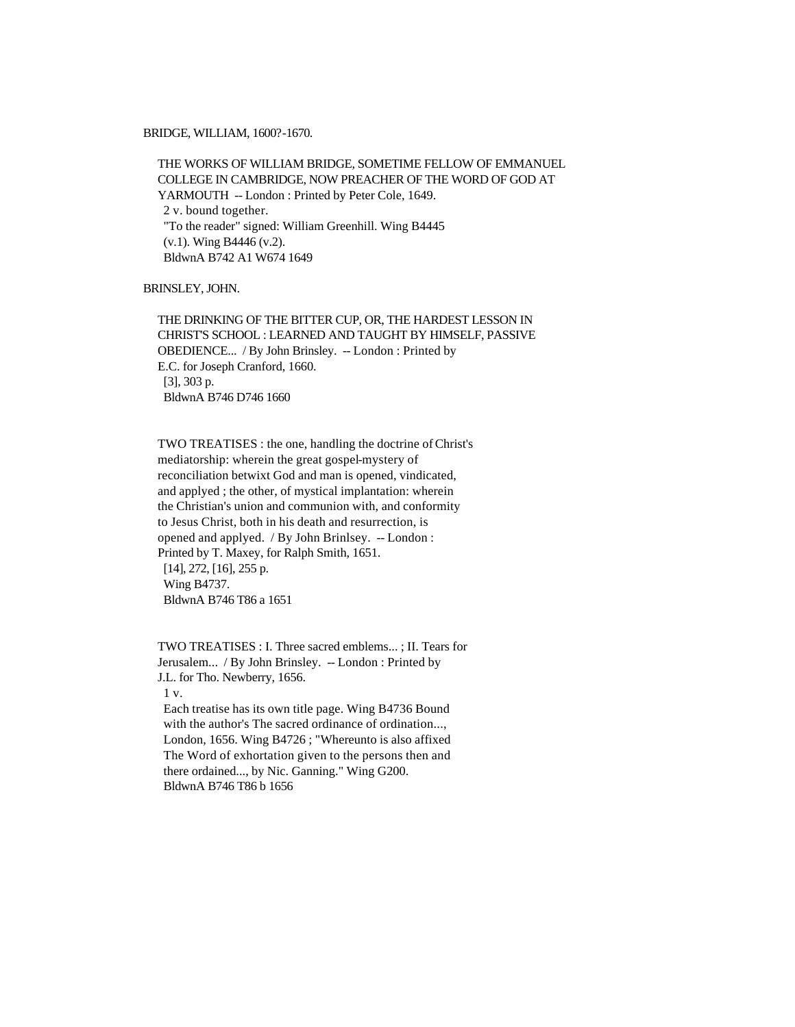#### BRIDGE, WILLIAM, 1600?-1670.

 THE WORKS OF WILLIAM BRIDGE, SOMETIME FELLOW OF EMMANUEL COLLEGE IN CAMBRIDGE, NOW PREACHER OF THE WORD OF GOD AT YARMOUTH -- London : Printed by Peter Cole, 1649. 2 v. bound together. "To the reader" signed: William Greenhill. Wing B4445 (v.1). Wing B4446 (v.2). BldwnA B742 A1 W674 1649

BRINSLEY, JOHN.

 THE DRINKING OF THE BITTER CUP, OR, THE HARDEST LESSON IN CHRIST'S SCHOOL : LEARNED AND TAUGHT BY HIMSELF, PASSIVE OBEDIENCE... / By John Brinsley. -- London : Printed by E.C. for Joseph Cranford, 1660. [3], 303 p. BldwnA B746 D746 1660

 TWO TREATISES : the one, handling the doctrine of Christ's mediatorship: wherein the great gospel-mystery of reconciliation betwixt God and man is opened, vindicated, and applyed ; the other, of mystical implantation: wherein the Christian's union and communion with, and conformity to Jesus Christ, both in his death and resurrection, is opened and applyed. / By John Brinlsey. -- London : Printed by T. Maxey, for Ralph Smith, 1651. [14], 272, [16], 255 p. Wing B4737. BldwnA B746 T86 a 1651

 TWO TREATISES : I. Three sacred emblems... ; II. Tears for Jerusalem... / By John Brinsley. -- London : Printed by J.L. for Tho. Newberry, 1656.

1 v.

 Each treatise has its own title page. Wing B4736 Bound with the author's The sacred ordinance of ordination..., London, 1656. Wing B4726 ; "Whereunto is also affixed The Word of exhortation given to the persons then and there ordained..., by Nic. Ganning." Wing G200. BldwnA B746 T86 b 1656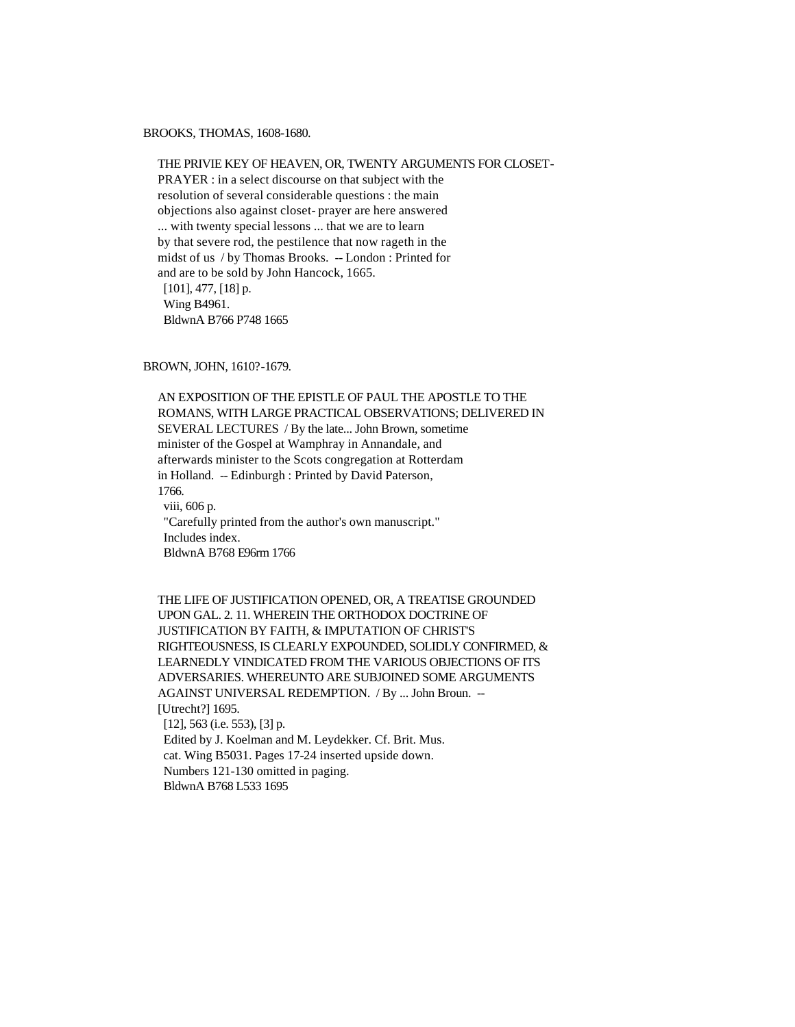BROOKS, THOMAS, 1608-1680.

 THE PRIVIE KEY OF HEAVEN, OR, TWENTY ARGUMENTS FOR CLOSET- PRAYER : in a select discourse on that subject with the resolution of several considerable questions : the main objections also against closet- prayer are here answered ... with twenty special lessons ... that we are to learn by that severe rod, the pestilence that now rageth in the midst of us / by Thomas Brooks. -- London : Printed for and are to be sold by John Hancock, 1665. [101], 477, [18] p. Wing B4961. BldwnA B766 P748 1665

BROWN, JOHN, 1610?-1679.

 AN EXPOSITION OF THE EPISTLE OF PAUL THE APOSTLE TO THE ROMANS, WITH LARGE PRACTICAL OBSERVATIONS; DELIVERED IN SEVERAL LECTURES / By the late... John Brown, sometime minister of the Gospel at Wamphray in Annandale, and afterwards minister to the Scots congregation at Rotterdam in Holland. -- Edinburgh : Printed by David Paterson, 1766. viii, 606 p. "Carefully printed from the author's own manuscript." Includes index. BldwnA B768 E96rm 1766

 THE LIFE OF JUSTIFICATION OPENED, OR, A TREATISE GROUNDED UPON GAL. 2. 11. WHEREIN THE ORTHODOX DOCTRINE OF JUSTIFICATION BY FAITH, & IMPUTATION OF CHRIST'S RIGHTEOUSNESS, IS CLEARLY EXPOUNDED, SOLIDLY CONFIRMED, & LEARNEDLY VINDICATED FROM THE VARIOUS OBJECTIONS OF ITS ADVERSARIES. WHEREUNTO ARE SUBJOINED SOME ARGUMENTS AGAINST UNIVERSAL REDEMPTION. / By ... John Broun. -- [Utrecht?] 1695. [12], 563 (i.e. 553), [3] p.

 Edited by J. Koelman and M. Leydekker. Cf. Brit. Mus. cat. Wing B5031. Pages 17-24 inserted upside down. Numbers 121-130 omitted in paging. BldwnA B768 L533 1695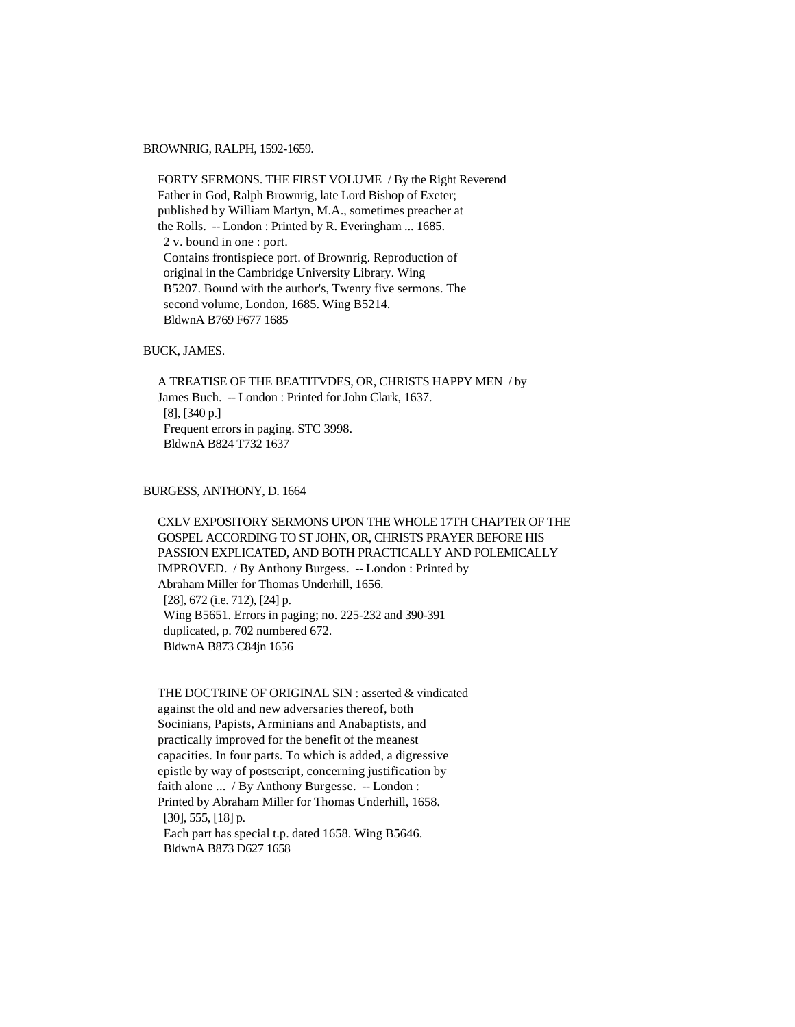# BROWNRIG, RALPH, 1592-1659.

 FORTY SERMONS. THE FIRST VOLUME / By the Right Reverend Father in God, Ralph Brownrig, late Lord Bishop of Exeter; published by William Martyn, M.A., sometimes preacher at the Rolls. -- London : Printed by R. Everingham ... 1685. 2 v. bound in one : port. Contains frontispiece port. of Brownrig. Reproduction of original in the Cambridge University Library. Wing B5207. Bound with the author's, Twenty five sermons. The second volume, London, 1685. Wing B5214. BldwnA B769 F677 1685

# BUCK, JAMES.

 A TREATISE OF THE BEATITVDES, OR, CHRISTS HAPPY MEN / by James Buch. -- London : Printed for John Clark, 1637. [8], [340 p.] Frequent errors in paging. STC 3998. BldwnA B824 T732 1637

# BURGESS, ANTHONY, D. 1664

 CXLV EXPOSITORY SERMONS UPON THE WHOLE 17TH CHAPTER OF THE GOSPEL ACCORDING TO ST JOHN, OR, CHRISTS PRAYER BEFORE HIS PASSION EXPLICATED, AND BOTH PRACTICALLY AND POLEMICALLY IMPROVED. / By Anthony Burgess. -- London : Printed by Abraham Miller for Thomas Underhill, 1656. [28], 672 (i.e. 712), [24] p. Wing B5651. Errors in paging; no. 225-232 and 390-391 duplicated, p. 702 numbered 672. BldwnA B873 C84jn 1656

 THE DOCTRINE OF ORIGINAL SIN : asserted & vindicated against the old and new adversaries thereof, both Socinians, Papists, Arminians and Anabaptists, and practically improved for the benefit of the meanest capacities. In four parts. To which is added, a digressive epistle by way of postscript, concerning justification by faith alone ... / By Anthony Burgesse. -- London : Printed by Abraham Miller for Thomas Underhill, 1658. [30], 555, [18] p. Each part has special t.p. dated 1658. Wing B5646. BldwnA B873 D627 1658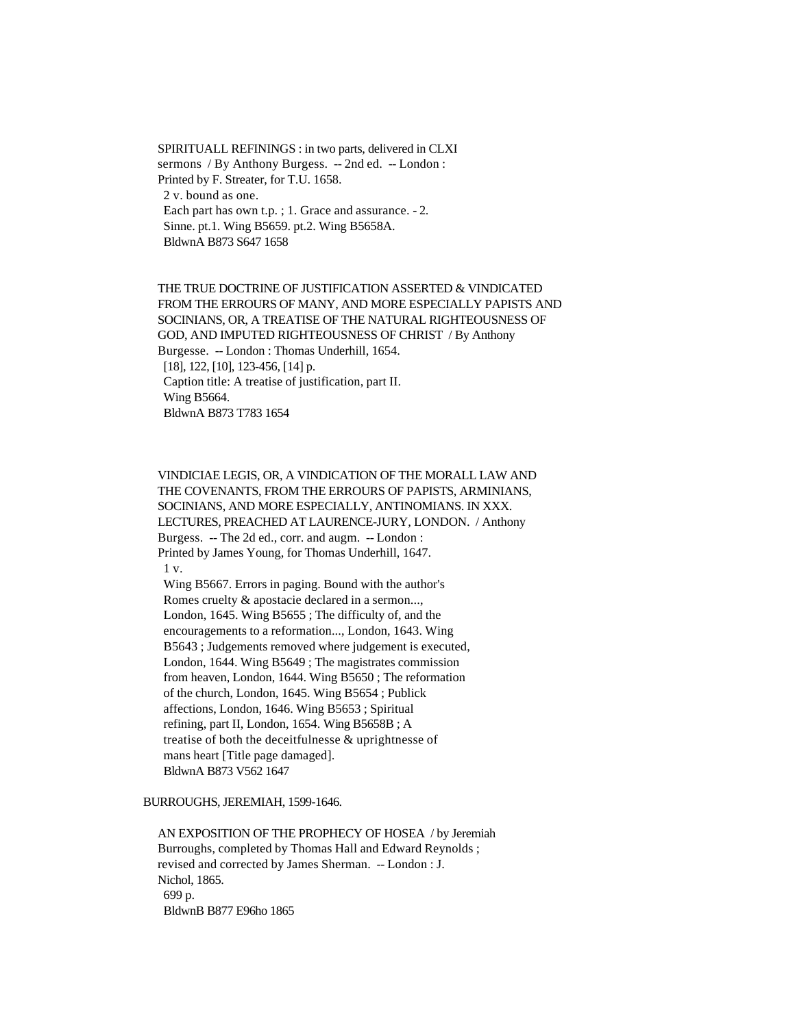SPIRITUALL REFININGS : in two parts, delivered in CLXI sermons / By Anthony Burgess. -- 2nd ed. -- London : Printed by F. Streater, for T.U. 1658. 2 v. bound as one. Each part has own t.p. ; 1. Grace and assurance. - 2. Sinne. pt.1. Wing B5659. pt.2. Wing B5658A. BldwnA B873 S647 1658

 THE TRUE DOCTRINE OF JUSTIFICATION ASSERTED & VINDICATED FROM THE ERROURS OF MANY, AND MORE ESPECIALLY PAPISTS AND SOCINIANS, OR, A TREATISE OF THE NATURAL RIGHTEOUSNESS OF GOD, AND IMPUTED RIGHTEOUSNESS OF CHRIST / By Anthony Burgesse. -- London : Thomas Underhill, 1654. [18], 122, [10], 123-456, [14] p. Caption title: A treatise of justification, part II. Wing B5664. BldwnA B873 T783 1654

 VINDICIAE LEGIS, OR, A VINDICATION OF THE MORALL LAW AND THE COVENANTS, FROM THE ERROURS OF PAPISTS, ARMINIANS, SOCINIANS, AND MORE ESPECIALLY, ANTINOMIANS. IN XXX. LECTURES, PREACHED AT LAURENCE-JURY, LONDON. / Anthony Burgess. -- The 2d ed., corr. and augm. -- London : Printed by James Young, for Thomas Underhill, 1647. 1 v. Wing B5667. Errors in paging. Bound with the author's

 Romes cruelty & apostacie declared in a sermon..., London, 1645. Wing B5655 ; The difficulty of, and the encouragements to a reformation..., London, 1643. Wing B5643 ; Judgements removed where judgement is executed, London, 1644. Wing B5649 ; The magistrates commission from heaven, London, 1644. Wing B5650 ; The reformation of the church, London, 1645. Wing B5654 ; Publick affections, London, 1646. Wing B5653 ; Spiritual refining, part II, London, 1654. Wing B5658B ; A treatise of both the deceitfulnesse & uprightnesse of mans heart [Title page damaged]. BldwnA B873 V562 1647

### BURROUGHS, JEREMIAH, 1599-1646.

 AN EXPOSITION OF THE PROPHECY OF HOSEA / by Jeremiah Burroughs, completed by Thomas Hall and Edward Reynolds ; revised and corrected by James Sherman. -- London : J. Nichol, 1865. 699 p. BldwnB B877 E96ho 1865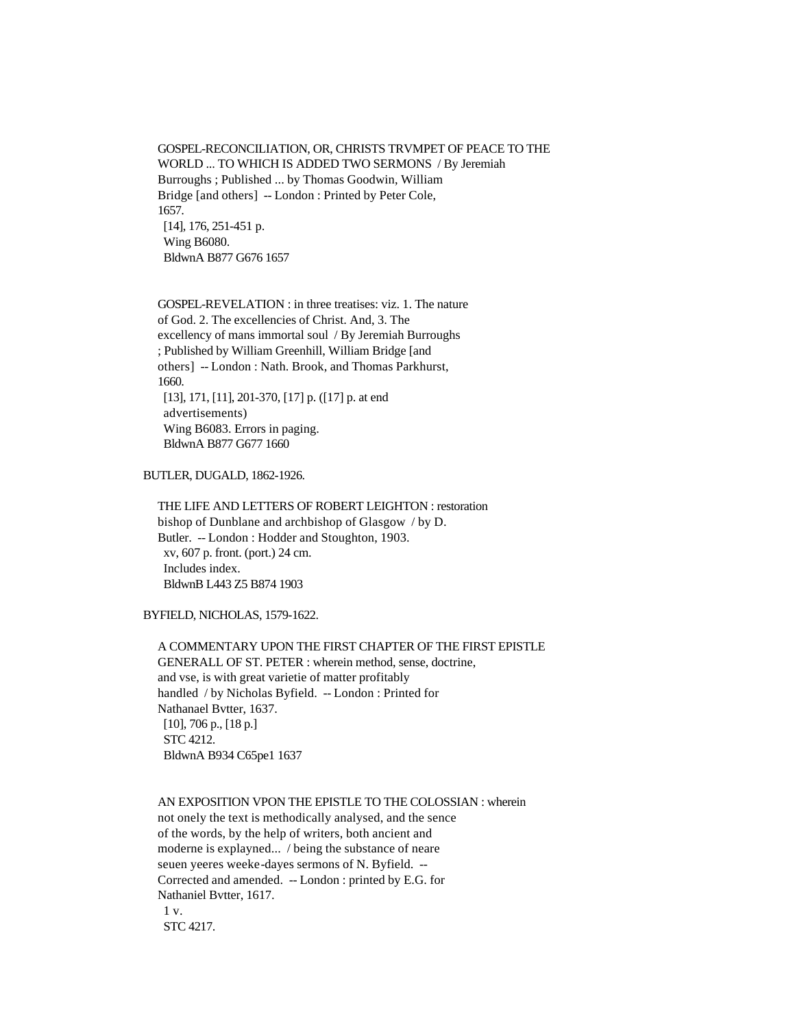GOSPEL-RECONCILIATION, OR, CHRISTS TRVMPET OF PEACE TO THE WORLD ... TO WHICH IS ADDED TWO SERMONS / By Jeremiah Burroughs ; Published ... by Thomas Goodwin, William Bridge [and others] -- London : Printed by Peter Cole, 1657. [14], 176, 251-451 p. Wing B6080. BldwnA B877 G676 1657

 GOSPEL-REVELATION : in three treatises: viz. 1. The nature of God. 2. The excellencies of Christ. And, 3. The excellency of mans immortal soul / By Jeremiah Burroughs ; Published by William Greenhill, William Bridge [and others] -- London : Nath. Brook, and Thomas Parkhurst, 1660. [13], 171, [11], 201-370, [17] p. ([17] p. at end advertisements) Wing B6083. Errors in paging. BldwnA B877 G677 1660

BUTLER, DUGALD, 1862-1926.

 THE LIFE AND LETTERS OF ROBERT LEIGHTON : restoration bishop of Dunblane and archbishop of Glasgow / by D. Butler. -- London : Hodder and Stoughton, 1903. xv, 607 p. front. (port.) 24 cm. Includes index. BldwnB L443 Z5 B874 1903

BYFIELD, NICHOLAS, 1579-1622.

 A COMMENTARY UPON THE FIRST CHAPTER OF THE FIRST EPISTLE GENERALL OF ST. PETER : wherein method, sense, doctrine, and vse, is with great varietie of matter profitably handled / by Nicholas Byfield. -- London : Printed for Nathanael Bvtter, 1637. [10], 706 p., [18 p.] STC 4212. BldwnA B934 C65pe1 1637

 AN EXPOSITION VPON THE EPISTLE TO THE COLOSSIAN : wherein not onely the text is methodically analysed, and the sence of the words, by the help of writers, both ancient and moderne is explayned... / being the substance of neare seuen yeeres weeke-dayes sermons of N. Byfield. -- Corrected and amended. -- London : printed by E.G. for Nathaniel Bvtter, 1617. 1 v. STC 4217.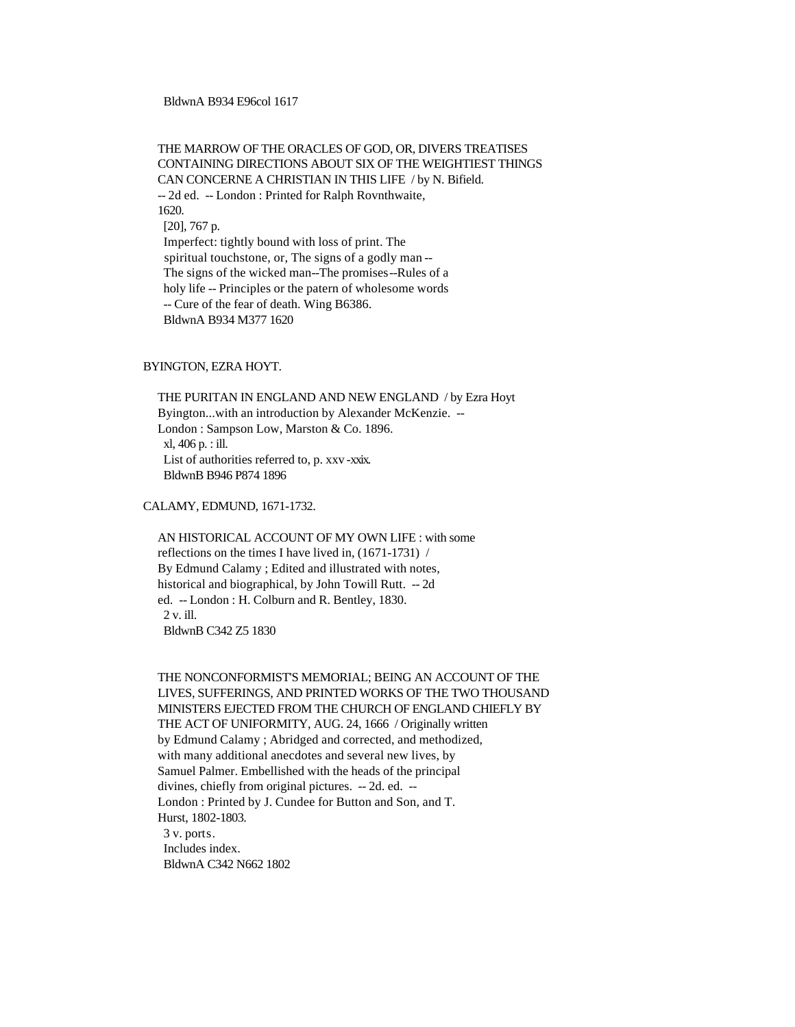BldwnA B934 E96col 1617

 THE MARROW OF THE ORACLES OF GOD, OR, DIVERS TREATISES CONTAINING DIRECTIONS ABOUT SIX OF THE WEIGHTIEST THINGS CAN CONCERNE A CHRISTIAN IN THIS LIFE / by N. Bifield. -- 2d ed. -- London : Printed for Ralph Rovnthwaite, 1620. [20], 767 p. Imperfect: tightly bound with loss of print. The spiritual touchstone, or, The signs of a godly man -- The signs of the wicked man--The promises--Rules of a holy life -- Principles or the patern of wholesome words -- Cure of the fear of death. Wing B6386. BldwnA B934 M377 1620

### BYINGTON, EZRA HOYT.

 THE PURITAN IN ENGLAND AND NEW ENGLAND / by Ezra Hoyt Byington...with an introduction by Alexander McKenzie. -- London : Sampson Low, Marston & Co. 1896. xl, 406 p. : ill. List of authorities referred to, p. xxv -xxix. BldwnB B946 P874 1896

CALAMY, EDMUND, 1671-1732.

 AN HISTORICAL ACCOUNT OF MY OWN LIFE : with some reflections on the times I have lived in, (1671-1731) / By Edmund Calamy ; Edited and illustrated with notes, historical and biographical, by John Towill Rutt. -- 2d ed. -- London : H. Colburn and R. Bentley, 1830. 2 v. ill. BldwnB C342 Z5 1830

 THE NONCONFORMIST'S MEMORIAL; BEING AN ACCOUNT OF THE LIVES, SUFFERINGS, AND PRINTED WORKS OF THE TWO THOUSAND MINISTERS EJECTED FROM THE CHURCH OF ENGLAND CHIEFLY BY THE ACT OF UNIFORMITY, AUG. 24, 1666 / Originally written by Edmund Calamy ; Abridged and corrected, and methodized, with many additional anecdotes and several new lives, by Samuel Palmer. Embellished with the heads of the principal divines, chiefly from original pictures. -- 2d. ed. -- London : Printed by J. Cundee for Button and Son, and T. Hurst, 1802-1803. 3 v. ports. Includes index. BldwnA C342 N662 1802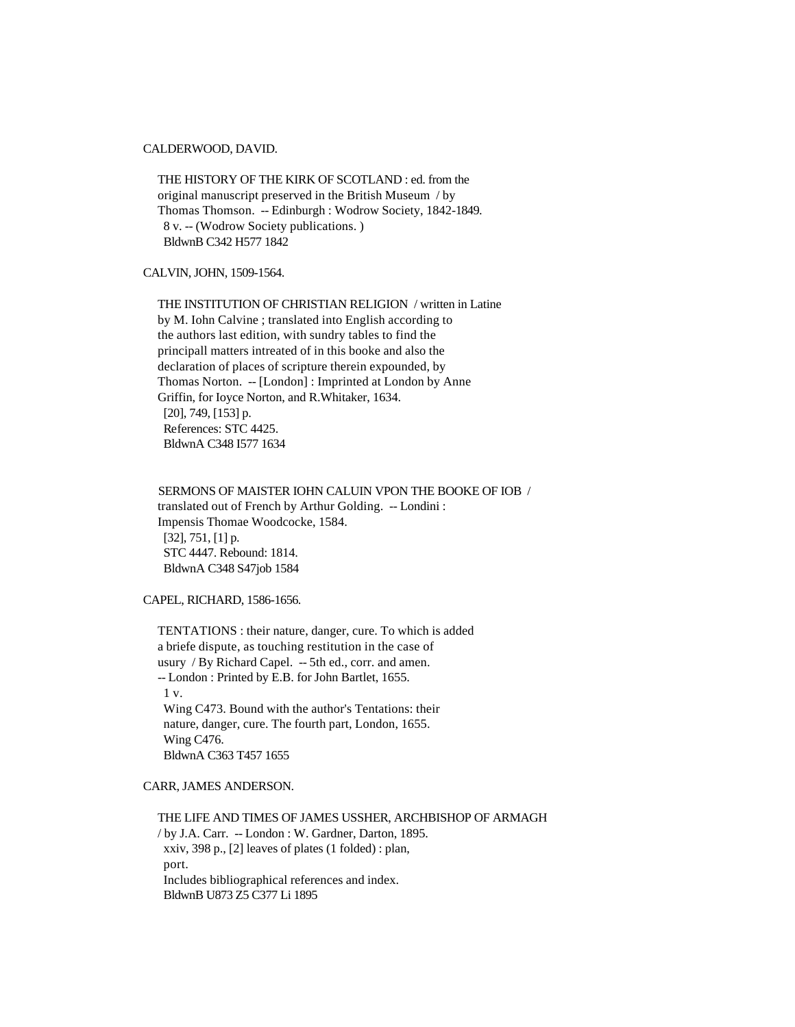# CALDERWOOD, DAVID.

 THE HISTORY OF THE KIRK OF SCOTLAND : ed. from the original manuscript preserved in the British Museum / by Thomas Thomson. -- Edinburgh : Wodrow Society, 1842-1849. 8 v. -- (Wodrow Society publications. ) BldwnB C342 H577 1842

CALVIN, JOHN, 1509-1564.

 THE INSTITUTION OF CHRISTIAN RELIGION / written in Latine by M. Iohn Calvine ; translated into English according to the authors last edition, with sundry tables to find the principall matters intreated of in this booke and also the declaration of places of scripture therein expounded, by Thomas Norton. -- [London] : Imprinted at London by Anne Griffin, for Ioyce Norton, and R.Whitaker, 1634. [20], 749, [153] p. References: STC 4425. BldwnA C348 I577 1634

 SERMONS OF MAISTER IOHN CALUIN VPON THE BOOKE OF IOB / translated out of French by Arthur Golding. -- Londini : Impensis Thomae Woodcocke, 1584. [32], 751, [1] p. STC 4447. Rebound: 1814. BldwnA C348 S47job 1584

CAPEL, RICHARD, 1586-1656.

 TENTATIONS : their nature, danger, cure. To which is added a briefe dispute, as touching restitution in the case of usury / By Richard Capel. -- 5th ed., corr. and amen. -- London : Printed by E.B. for John Bartlet, 1655. 1 v. Wing C473. Bound with the author's Tentations: their nature, danger, cure. The fourth part, London, 1655. Wing C476. BldwnA C363 T457 1655

CARR, JAMES ANDERSON.

 THE LIFE AND TIMES OF JAMES USSHER, ARCHBISHOP OF ARMAGH / by J.A. Carr. -- London : W. Gardner, Darton, 1895. xxiv, 398 p., [2] leaves of plates (1 folded) : plan, port. Includes bibliographical references and index. BldwnB U873 Z5 C377 Li 1895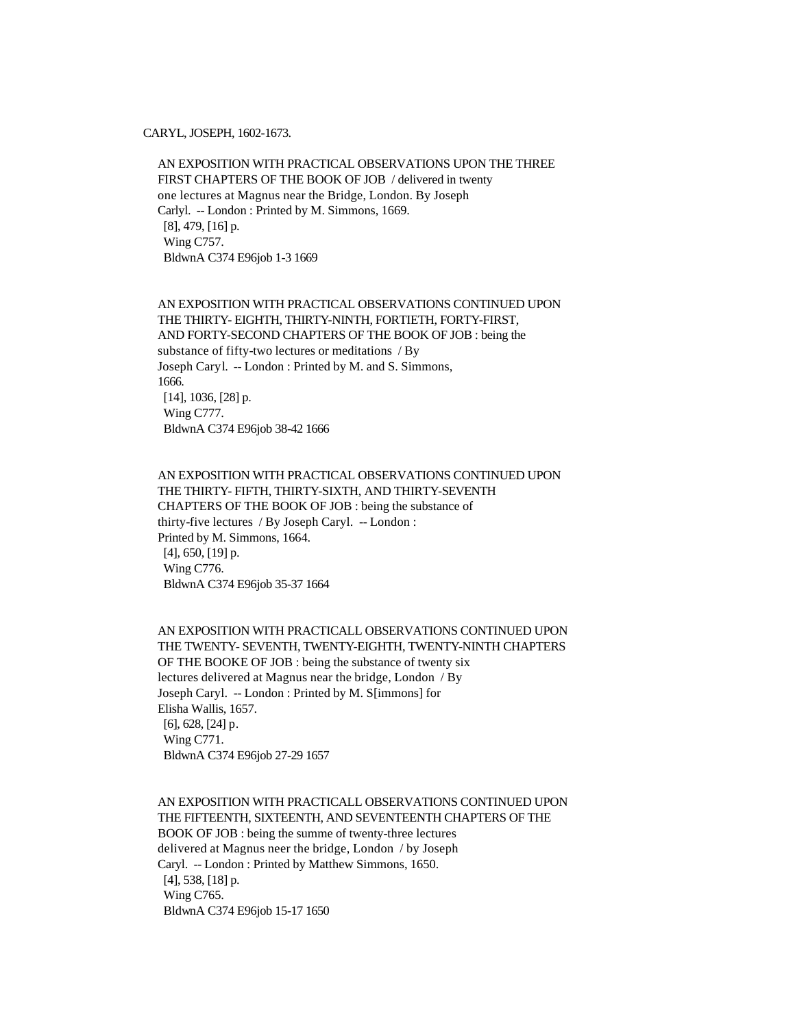CARYL, JOSEPH, 1602-1673.

 AN EXPOSITION WITH PRACTICAL OBSERVATIONS UPON THE THREE FIRST CHAPTERS OF THE BOOK OF JOB / delivered in twenty one lectures at Magnus near the Bridge, London. By Joseph Carlyl. -- London : Printed by M. Simmons, 1669. [8], 479, [16] p. Wing C757. BldwnA C374 E96job 1-3 1669

 AN EXPOSITION WITH PRACTICAL OBSERVATIONS CONTINUED UPON THE THIRTY- EIGHTH, THIRTY-NINTH, FORTIETH, FORTY-FIRST, AND FORTY-SECOND CHAPTERS OF THE BOOK OF JOB : being the substance of fifty-two lectures or meditations / By Joseph Caryl. -- London : Printed by M. and S. Simmons, 1666. [14], 1036, [28] p. Wing C777. BldwnA C374 E96job 38-42 1666

 AN EXPOSITION WITH PRACTICAL OBSERVATIONS CONTINUED UPON THE THIRTY- FIFTH, THIRTY-SIXTH, AND THIRTY-SEVENTH CHAPTERS OF THE BOOK OF JOB : being the substance of thirty-five lectures / By Joseph Caryl. -- London : Printed by M. Simmons, 1664. [4], 650, [19] p. Wing C776. BldwnA C374 E96job 35-37 1664

 AN EXPOSITION WITH PRACTICALL OBSERVATIONS CONTINUED UPON THE TWENTY- SEVENTH, TWENTY-EIGHTH, TWENTY-NINTH CHAPTERS OF THE BOOKE OF JOB : being the substance of twenty six lectures delivered at Magnus near the bridge, London / By Joseph Caryl. -- London : Printed by M. S[immons] for Elisha Wallis, 1657. [6], 628, [24] p. Wing C771. BldwnA C374 E96job 27-29 1657

 AN EXPOSITION WITH PRACTICALL OBSERVATIONS CONTINUED UPON THE FIFTEENTH, SIXTEENTH, AND SEVENTEENTH CHAPTERS OF THE BOOK OF JOB : being the summe of twenty-three lectures delivered at Magnus neer the bridge, London / by Joseph Caryl. -- London : Printed by Matthew Simmons, 1650. [4], 538, [18] p. Wing C765. BldwnA C374 E96job 15-17 1650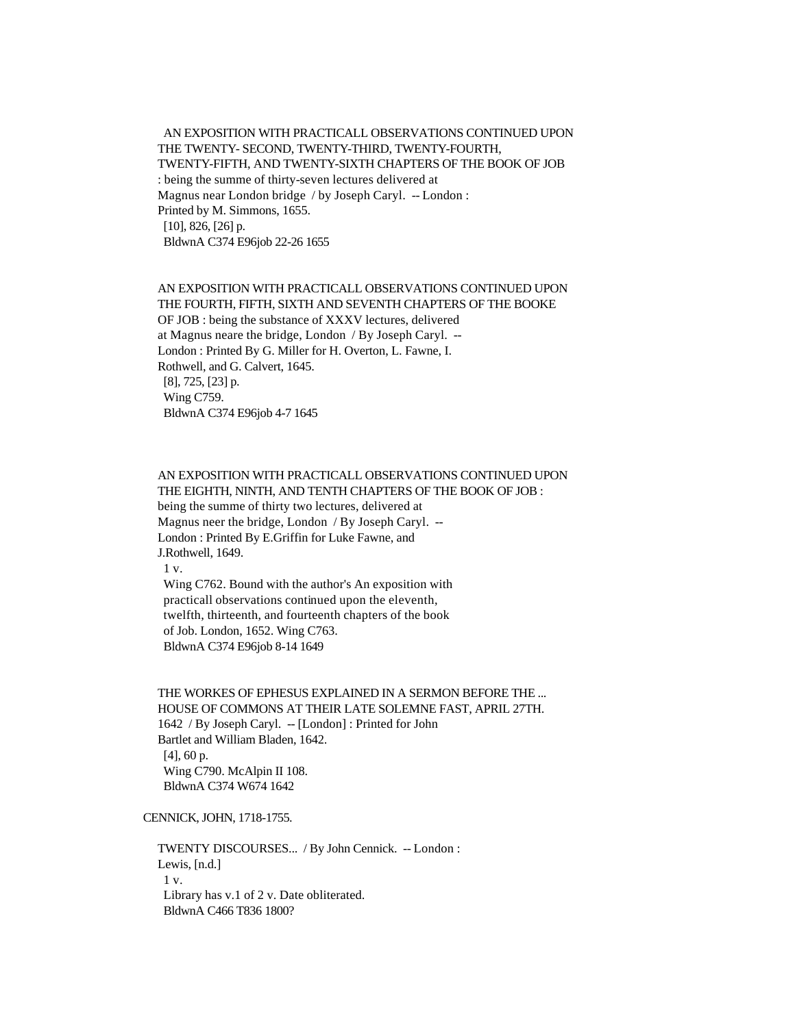AN EXPOSITION WITH PRACTICALL OBSERVATIONS CONTINUED UPON THE TWENTY- SECOND, TWENTY-THIRD, TWENTY-FOURTH, TWENTY-FIFTH, AND TWENTY-SIXTH CHAPTERS OF THE BOOK OF JOB : being the summe of thirty-seven lectures delivered at Magnus near London bridge / by Joseph Caryl. -- London : Printed by M. Simmons, 1655. [10], 826, [26] p. BldwnA C374 E96job 22-26 1655

 AN EXPOSITION WITH PRACTICALL OBSERVATIONS CONTINUED UPON THE FOURTH, FIFTH, SIXTH AND SEVENTH CHAPTERS OF THE BOOKE OF JOB : being the substance of XXXV lectures, delivered at Magnus neare the bridge, London / By Joseph Caryl. -- London : Printed By G. Miller for H. Overton, L. Fawne, I. Rothwell, and G. Calvert, 1645. [8], 725, [23] p. Wing C759. BldwnA C374 E96job 4-7 1645

### AN EXPOSITION WITH PRACTICALL OBSERVATIONS CONTINUED UPON THE EIGHTH, NINTH, AND TENTH CHAPTERS OF THE BOOK OF JOB :

 being the summe of thirty two lectures, delivered at Magnus neer the bridge, London / By Joseph Caryl. -- London : Printed By E.Griffin for Luke Fawne, and J.Rothwell, 1649. 1 v. Wing C762. Bound with the author's An exposition with practicall observations continued upon the eleventh,

 twelfth, thirteenth, and fourteenth chapters of the book of Job. London, 1652. Wing C763. BldwnA C374 E96job 8-14 1649

 THE WORKES OF EPHESUS EXPLAINED IN A SERMON BEFORE THE ... HOUSE OF COMMONS AT THEIR LATE SOLEMNE FAST, APRIL 27TH. 1642 / By Joseph Caryl. -- [London] : Printed for John Bartlet and William Bladen, 1642. [4], 60 p. Wing C790. McAlpin II 108. BldwnA C374 W674 1642

CENNICK, JOHN, 1718-1755.

 TWENTY DISCOURSES... / By John Cennick. -- London : Lewis, [n.d.] 1 v. Library has v.1 of 2 v. Date obliterated. BldwnA C466 T836 1800?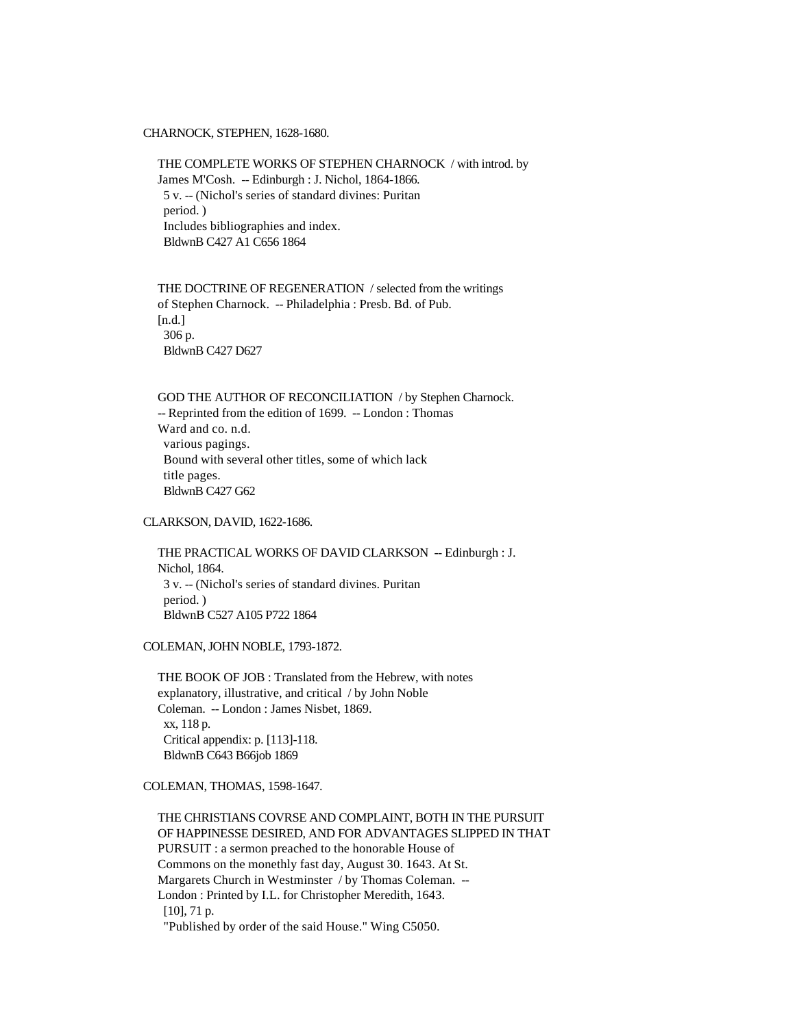CHARNOCK, STEPHEN, 1628-1680.

 THE COMPLETE WORKS OF STEPHEN CHARNOCK / with introd. by James M'Cosh. -- Edinburgh : J. Nichol, 1864-1866. 5 v. -- (Nichol's series of standard divines: Puritan period. ) Includes bibliographies and index. BldwnB C427 A1 C656 1864

 THE DOCTRINE OF REGENERATION / selected from the writings of Stephen Charnock. -- Philadelphia : Presb. Bd. of Pub. [n.d.] 306 p. BldwnB C427 D627

 GOD THE AUTHOR OF RECONCILIATION / by Stephen Charnock. -- Reprinted from the edition of 1699. -- London : Thomas Ward and co. n.d. various pagings. Bound with several other titles, some of which lack title pages. BldwnB C427 G62

# CLARKSON, DAVID, 1622-1686.

 THE PRACTICAL WORKS OF DAVID CLARKSON -- Edinburgh : J. Nichol, 1864. 3 v. -- (Nichol's series of standard divines. Puritan period. ) BldwnB C527 A105 P722 1864

COLEMAN, JOHN NOBLE, 1793-1872.

 THE BOOK OF JOB : Translated from the Hebrew, with notes explanatory, illustrative, and critical / by John Noble Coleman. -- London : James Nisbet, 1869. xx, 118 p. Critical appendix: p. [113]-118. BldwnB C643 B66job 1869

### COLEMAN, THOMAS, 1598-1647.

 THE CHRISTIANS COVRSE AND COMPLAINT, BOTH IN THE PURSUIT OF HAPPINESSE DESIRED, AND FOR ADVANTAGES SLIPPED IN THAT PURSUIT : a sermon preached to the honorable House of Commons on the monethly fast day, August 30. 1643. At St. Margarets Church in Westminster / by Thomas Coleman. -- London : Printed by I.L. for Christopher Meredith, 1643. [10], 71 p. "Published by order of the said House." Wing C5050.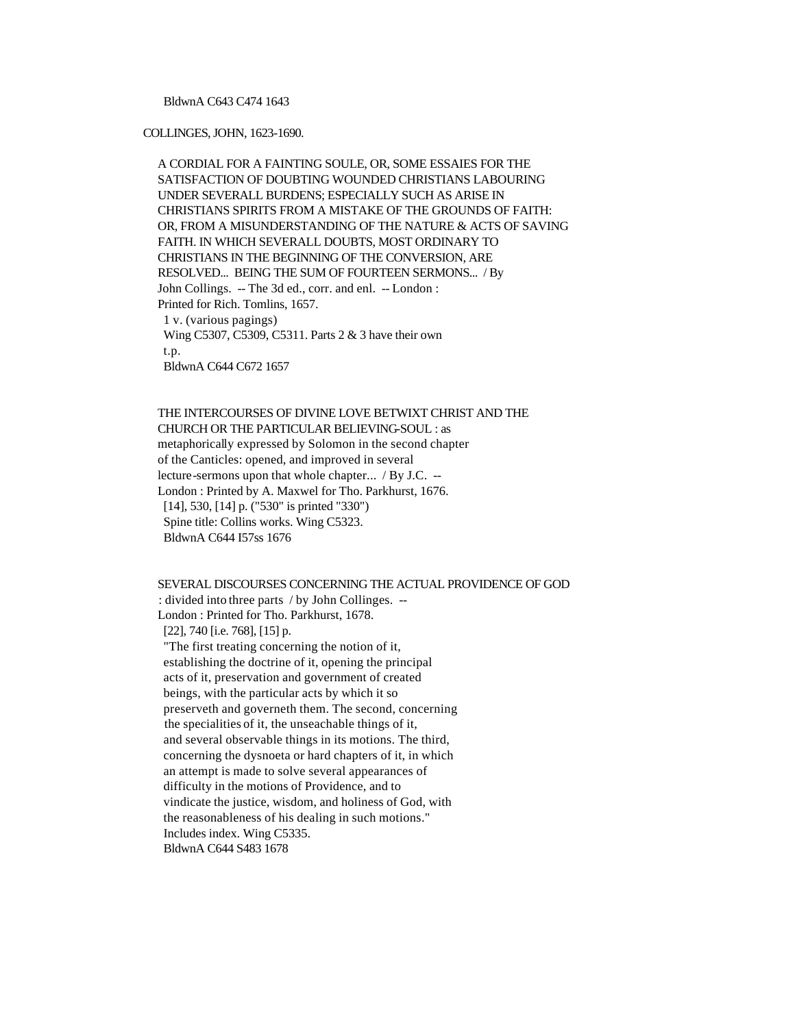### BldwnA C643 C474 1643

#### COLLINGES, JOHN, 1623-1690.

 A CORDIAL FOR A FAINTING SOULE, OR, SOME ESSAIES FOR THE SATISFACTION OF DOUBTING WOUNDED CHRISTIANS LABOURING UNDER SEVERALL BURDENS; ESPECIALLY SUCH AS ARISE IN CHRISTIANS SPIRITS FROM A MISTAKE OF THE GROUNDS OF FAITH: OR, FROM A MISUNDERSTANDING OF THE NATURE & ACTS OF SAVING FAITH. IN WHICH SEVERALL DOUBTS, MOST ORDINARY TO CHRISTIANS IN THE BEGINNING OF THE CONVERSION, ARE RESOLVED... BEING THE SUM OF FOURTEEN SERMONS... / By John Collings. -- The 3d ed., corr. and enl. -- London : Printed for Rich. Tomlins, 1657. 1 v. (various pagings) Wing C5307, C5309, C5311. Parts 2 & 3 have their own t.p. BldwnA C644 C672 1657

 THE INTERCOURSES OF DIVINE LOVE BETWIXT CHRIST AND THE CHURCH OR THE PARTICULAR BELIEVING-SOUL : as metaphorically expressed by Solomon in the second chapter of the Canticles: opened, and improved in several lecture-sermons upon that whole chapter... / By J.C. -- London : Printed by A. Maxwel for Tho. Parkhurst, 1676. [14], 530, [14] p. ("530" is printed "330") Spine title: Collins works. Wing C5323. BldwnA C644 I57ss 1676

# SEVERAL DISCOURSES CONCERNING THE ACTUAL PROVIDENCE OF GOD : divided into three parts / by John Collinges. --

London : Printed for Tho. Parkhurst, 1678.

[22], 740 [i.e. 768], [15] p.

 "The first treating concerning the notion of it, establishing the doctrine of it, opening the principal acts of it, preservation and government of created beings, with the particular acts by which it so preserveth and governeth them. The second, concerning the specialities of it, the unseachable things of it, and several observable things in its motions. The third, concerning the dysnoeta or hard chapters of it, in which an attempt is made to solve several appearances of difficulty in the motions of Providence, and to vindicate the justice, wisdom, and holiness of God, with the reasonableness of his dealing in such motions." Includes index. Wing C5335. BldwnA C644 S483 1678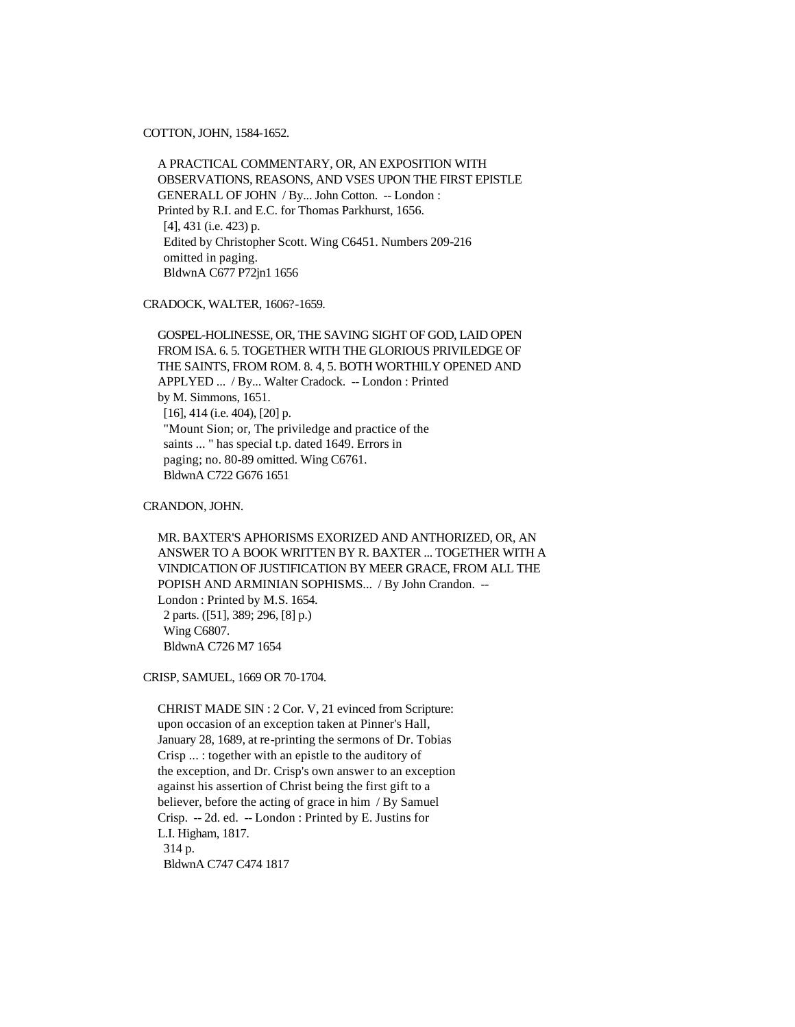COTTON, JOHN, 1584-1652.

 A PRACTICAL COMMENTARY, OR, AN EXPOSITION WITH OBSERVATIONS, REASONS, AND VSES UPON THE FIRST EPISTLE GENERALL OF JOHN / By... John Cotton. -- London : Printed by R.I. and E.C. for Thomas Parkhurst, 1656. [4], 431 (i.e. 423) p. Edited by Christopher Scott. Wing C6451. Numbers 209-216 omitted in paging. BldwnA C677 P72jn1 1656

CRADOCK, WALTER, 1606?-1659.

 GOSPEL-HOLINESSE, OR, THE SAVING SIGHT OF GOD, LAID OPEN FROM ISA. 6. 5. TOGETHER WITH THE GLORIOUS PRIVILEDGE OF THE SAINTS, FROM ROM. 8. 4, 5. BOTH WORTHILY OPENED AND APPLYED ... / By... Walter Cradock. -- London : Printed by M. Simmons, 1651. [16], 414 (i.e. 404), [20] p. "Mount Sion; or, The priviledge and practice of the saints ... " has special t.p. dated 1649. Errors in paging; no. 80-89 omitted. Wing C6761. BldwnA C722 G676 1651

CRANDON, JOHN.

 MR. BAXTER'S APHORISMS EXORIZED AND ANTHORIZED, OR, AN ANSWER TO A BOOK WRITTEN BY R. BAXTER ... TOGETHER WITH A VINDICATION OF JUSTIFICATION BY MEER GRACE, FROM ALL THE POPISH AND ARMINIAN SOPHISMS... / By John Crandon. -- London : Printed by M.S. 1654. 2 parts. ([51], 389; 296, [8] p.) Wing C6807. BldwnA C726 M7 1654

CRISP, SAMUEL, 1669 OR 70-1704.

 CHRIST MADE SIN : 2 Cor. V, 21 evinced from Scripture: upon occasion of an exception taken at Pinner's Hall, January 28, 1689, at re-printing the sermons of Dr. Tobias Crisp ... : together with an epistle to the auditory of the exception, and Dr. Crisp's own answer to an exception against his assertion of Christ being the first gift to a believer, before the acting of grace in him / By Samuel Crisp. -- 2d. ed. -- London : Printed by E. Justins for L.I. Higham, 1817. 314 p. BldwnA C747 C474 1817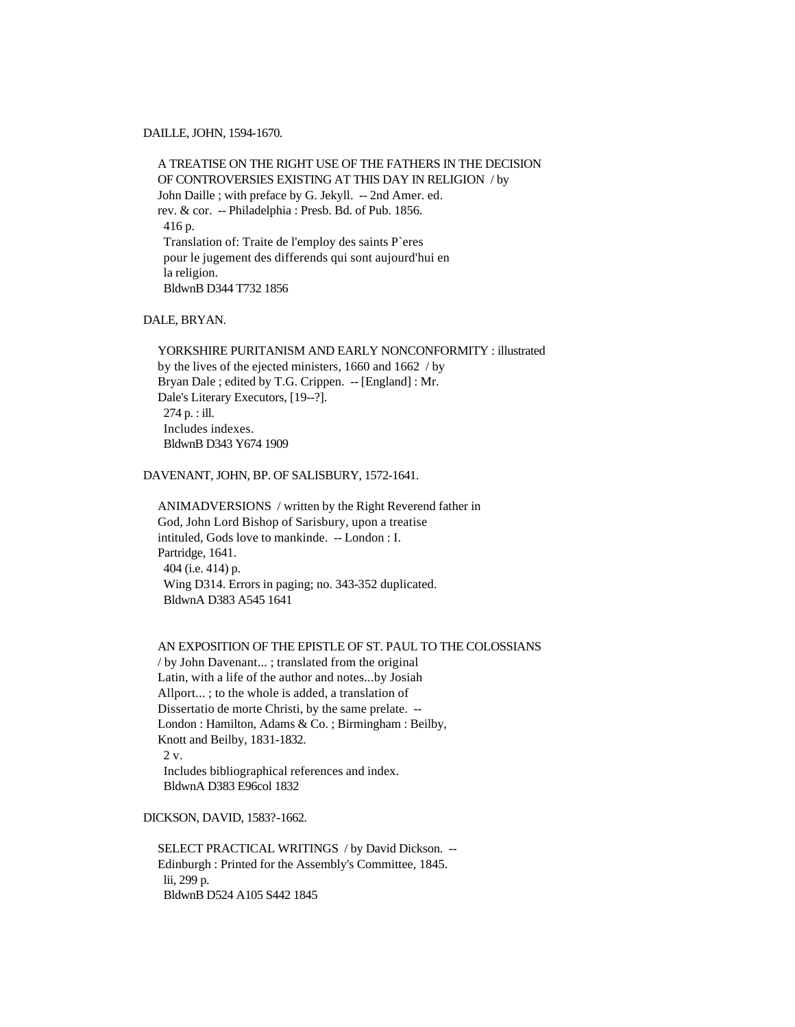#### DAILLE, JOHN, 1594-1670.

 A TREATISE ON THE RIGHT USE OF THE FATHERS IN THE DECISION OF CONTROVERSIES EXISTING AT THIS DAY IN RELIGION / by John Daille ; with preface by G. Jekyll. -- 2nd Amer. ed. rev. & cor. -- Philadelphia : Presb. Bd. of Pub. 1856. 416 p. Translation of: Traite de l'employ des saints P`eres pour le jugement des differends qui sont aujourd'hui en la religion. BldwnB D344 T732 1856

# DALE, BRYAN.

 YORKSHIRE PURITANISM AND EARLY NONCONFORMITY : illustrated by the lives of the ejected ministers, 1660 and 1662 / by Bryan Dale ; edited by T.G. Crippen. -- [England] : Mr. Dale's Literary Executors, [19--?]. 274 p. : ill. Includes indexes. BldwnB D343 Y674 1909

### DAVENANT, JOHN, BP. OF SALISBURY, 1572-1641.

 ANIMADVERSIONS / written by the Right Reverend father in God, John Lord Bishop of Sarisbury, upon a treatise intituled, Gods love to mankinde. -- London : I. Partridge, 1641. 404 (i.e. 414) p. Wing D314. Errors in paging; no. 343-352 duplicated. BldwnA D383 A545 1641

### AN EXPOSITION OF THE EPISTLE OF ST. PAUL TO THE COLOSSIANS

 / by John Davenant... ; translated from the original Latin, with a life of the author and notes...by Josiah Allport... ; to the whole is added, a translation of Dissertatio de morte Christi, by the same prelate. -- London : Hamilton, Adams & Co. ; Birmingham : Beilby, Knott and Beilby, 1831-1832. 2 v. Includes bibliographical references and index. BldwnA D383 E96col 1832

DICKSON, DAVID, 1583?-1662.

 SELECT PRACTICAL WRITINGS / by David Dickson. -- Edinburgh : Printed for the Assembly's Committee, 1845. lii, 299 p. BldwnB D524 A105 S442 1845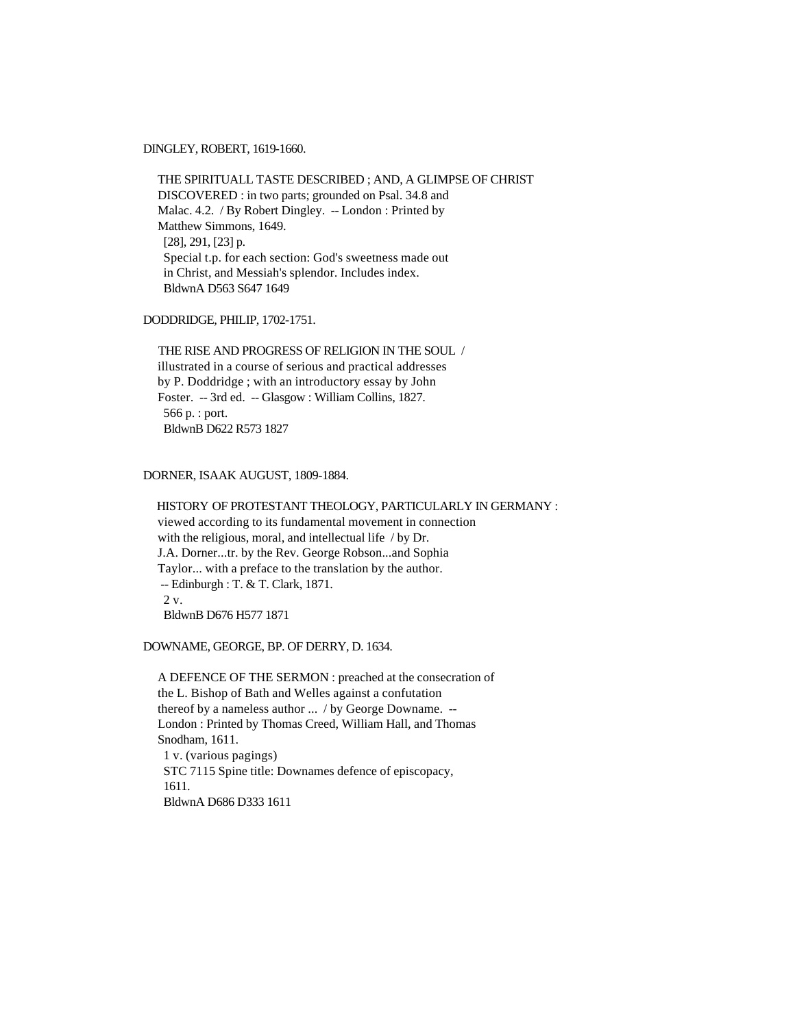DINGLEY, ROBERT, 1619-1660.

 THE SPIRITUALL TASTE DESCRIBED ; AND, A GLIMPSE OF CHRIST DISCOVERED : in two parts; grounded on Psal. 34.8 and Malac. 4.2. / By Robert Dingley. -- London : Printed by Matthew Simmons, 1649. [28], 291, [23] p. Special t.p. for each section: God's sweetness made out in Christ, and Messiah's splendor. Includes index. BldwnA D563 S647 1649

DODDRIDGE, PHILIP, 1702-1751.

 THE RISE AND PROGRESS OF RELIGION IN THE SOUL / illustrated in a course of serious and practical addresses by P. Doddridge ; with an introductory essay by John Foster. -- 3rd ed. -- Glasgow : William Collins, 1827. 566 p. : port. BldwnB D622 R573 1827

### DORNER, ISAAK AUGUST, 1809-1884.

 HISTORY OF PROTESTANT THEOLOGY, PARTICULARLY IN GERMANY : viewed according to its fundamental movement in connection with the religious, moral, and intellectual life / by Dr. J.A. Dorner...tr. by the Rev. George Robson...and Sophia Taylor... with a preface to the translation by the author. -- Edinburgh : T. & T. Clark, 1871. 2 v. BldwnB D676 H577 1871

DOWNAME, GEORGE, BP. OF DERRY, D. 1634.

 A DEFENCE OF THE SERMON : preached at the consecration of the L. Bishop of Bath and Welles against a confutation thereof by a nameless author ... / by George Downame. -- London : Printed by Thomas Creed, William Hall, and Thomas Snodham, 1611. 1 v. (various pagings) STC 7115 Spine title: Downames defence of episcopacy, 1611. BldwnA D686 D333 1611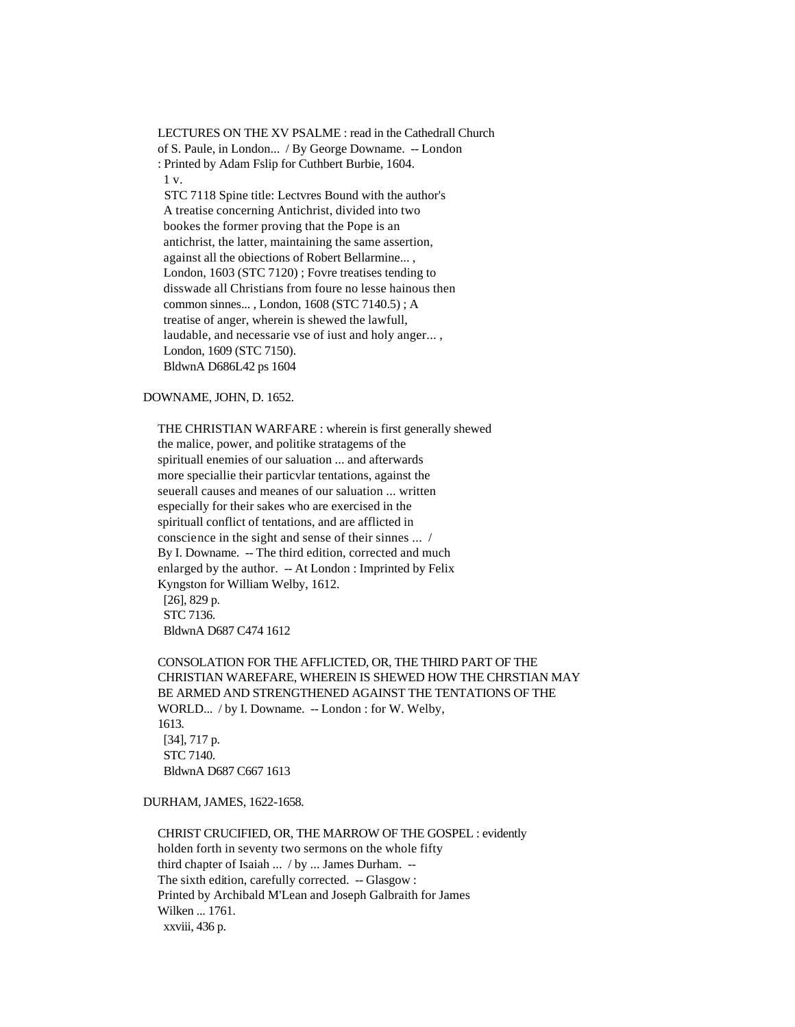LECTURES ON THE XV PSALME : read in the Cathedrall Church of S. Paule, in London... / By George Downame. -- London : Printed by Adam Fslip for Cuthbert Burbie, 1604. 1 v.

 STC 7118 Spine title: Lectvres Bound with the author's A treatise concerning Antichrist, divided into two bookes the former proving that the Pope is an antichrist, the latter, maintaining the same assertion, against all the obiections of Robert Bellarmine... , London, 1603 (STC 7120) ; Fovre treatises tending to disswade all Christians from foure no lesse hainous then common sinnes... , London, 1608 (STC 7140.5) ; A treatise of anger, wherein is shewed the lawfull, laudable, and necessarie vse of iust and holy anger... , London, 1609 (STC 7150). BldwnA D686L42 ps 1604

### DOWNAME, JOHN, D. 1652.

 THE CHRISTIAN WARFARE : wherein is first generally shewed the malice, power, and politike stratagems of the spirituall enemies of our saluation ... and afterwards more speciallie their particvlar tentations, against the seuerall causes and meanes of our saluation ... written especially for their sakes who are exercised in the spirituall conflict of tentations, and are afflicted in conscience in the sight and sense of their sinnes ... / By I. Downame. -- The third edition, corrected and much enlarged by the author. -- At London : Imprinted by Felix Kyngston for William Welby, 1612. [26], 829 p. STC 7136.

BldwnA D687 C474 1612

 CONSOLATION FOR THE AFFLICTED, OR, THE THIRD PART OF THE CHRISTIAN WAREFARE, WHEREIN IS SHEWED HOW THE CHRSTIAN MAY BE ARMED AND STRENGTHENED AGAINST THE TENTATIONS OF THE WORLD... / by I. Downame. -- London : for W. Welby, 1613. [34], 717 p. STC 7140. BldwnA D687 C667 1613

DURHAM, JAMES, 1622-1658.

 CHRIST CRUCIFIED, OR, THE MARROW OF THE GOSPEL : evidently holden forth in seventy two sermons on the whole fifty third chapter of Isaiah ... / by ... James Durham. -- The sixth edition, carefully corrected. -- Glasgow : Printed by Archibald M'Lean and Joseph Galbraith for James Wilken ... 1761. xxviii, 436 p.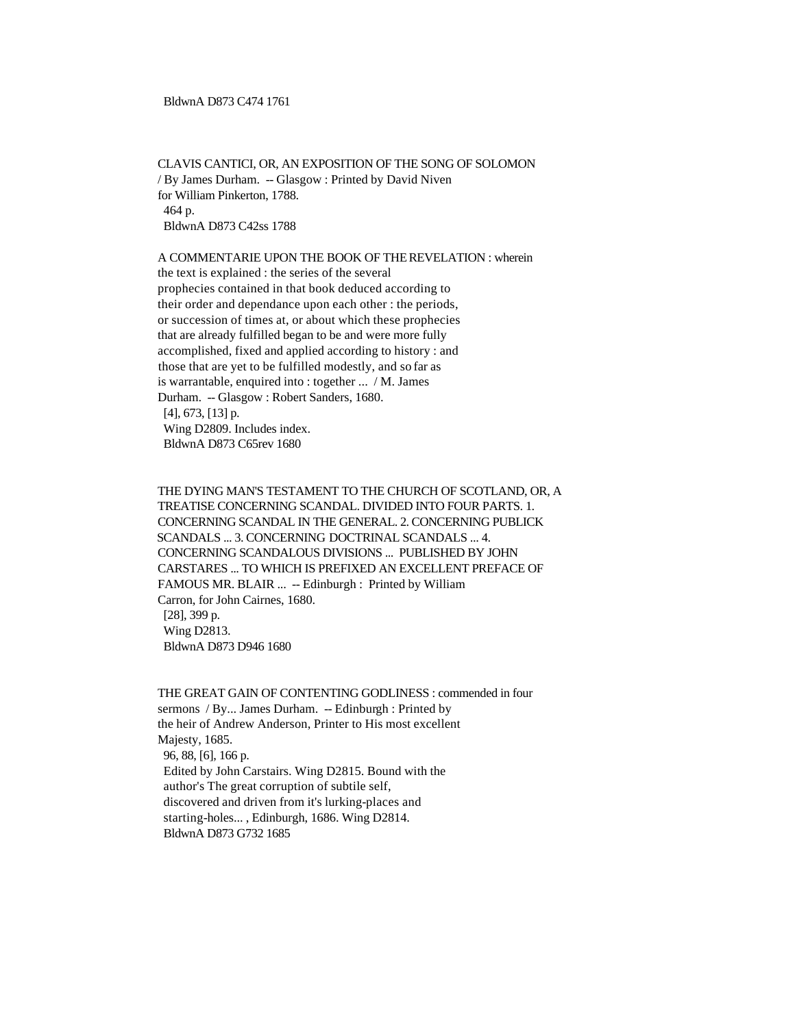### BldwnA D873 C474 1761

 CLAVIS CANTICI, OR, AN EXPOSITION OF THE SONG OF SOLOMON / By James Durham. -- Glasgow : Printed by David Niven for William Pinkerton, 1788. 464 p. BldwnA D873 C42ss 1788

# A COMMENTARIE UPON THE BOOK OF THE REVELATION : wherein

 the text is explained : the series of the several prophecies contained in that book deduced according to their order and dependance upon each other : the periods, or succession of times at, or about which these prophecies that are already fulfilled began to be and were more fully accomplished, fixed and applied according to history : and those that are yet to be fulfilled modestly, and so far as is warrantable, enquired into : together ... / M. James Durham. -- Glasgow : Robert Sanders, 1680. [4], 673, [13] p. Wing D2809. Includes index. BldwnA D873 C65rev 1680

 THE DYING MAN'S TESTAMENT TO THE CHURCH OF SCOTLAND, OR, A TREATISE CONCERNING SCANDAL. DIVIDED INTO FOUR PARTS. 1. CONCERNING SCANDAL IN THE GENERAL. 2. CONCERNING PUBLICK SCANDALS ... 3. CONCERNING DOCTRINAL SCANDALS ... 4. CONCERNING SCANDALOUS DIVISIONS ... PUBLISHED BY JOHN CARSTARES ... TO WHICH IS PREFIXED AN EXCELLENT PREFACE OF FAMOUS MR. BLAIR ... -- Edinburgh : Printed by William Carron, for John Cairnes, 1680. [28], 399 p. Wing D2813. BldwnA D873 D946 1680

 THE GREAT GAIN OF CONTENTING GODLINESS : commended in four sermons / By... James Durham. -- Edinburgh : Printed by the heir of Andrew Anderson, Printer to His most excellent Majesty, 1685. 96, 88, [6], 166 p. Edited by John Carstairs. Wing D2815. Bound with the author's The great corruption of subtile self, discovered and driven from it's lurking-places and starting-holes... , Edinburgh, 1686. Wing D2814. BldwnA D873 G732 1685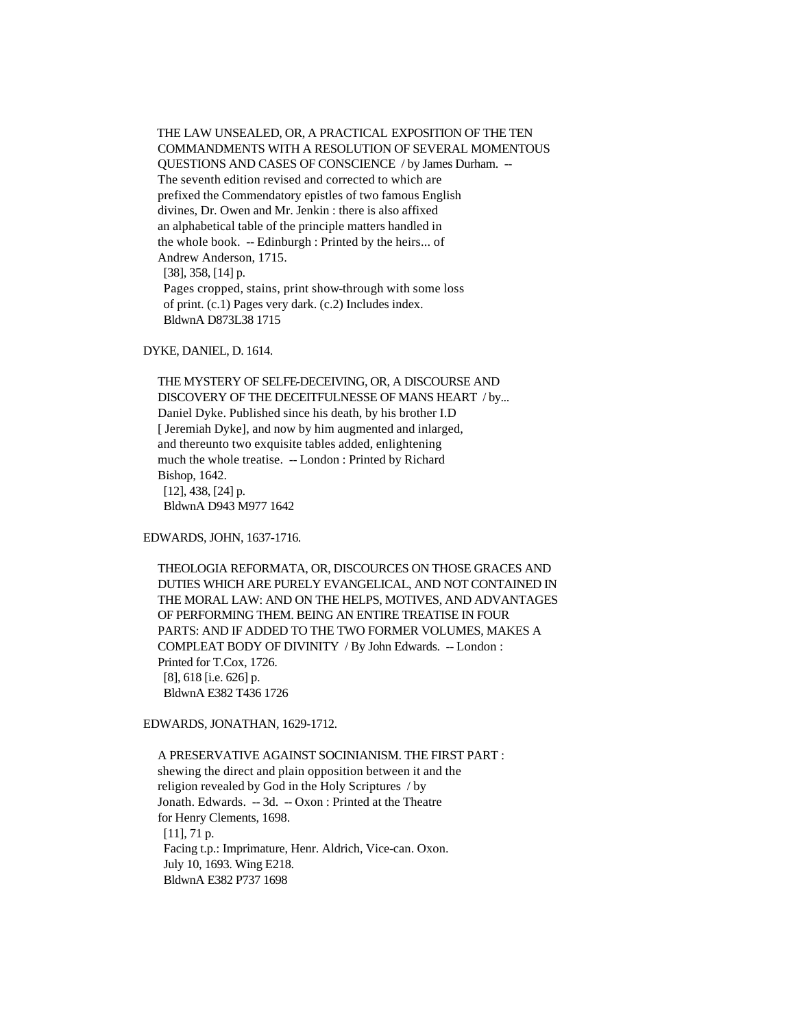THE LAW UNSEALED, OR, A PRACTICAL EXPOSITION OF THE TEN COMMANDMENTS WITH A RESOLUTION OF SEVERAL MOMENTOUS QUESTIONS AND CASES OF CONSCIENCE / by James Durham. -- The seventh edition revised and corrected to which are prefixed the Commendatory epistles of two famous English divines, Dr. Owen and Mr. Jenkin : there is also affixed an alphabetical table of the principle matters handled in the whole book. -- Edinburgh : Printed by the heirs... of Andrew Anderson, 1715. [38], 358, [14] p. Pages cropped, stains, print show-through with some loss of print. (c.1) Pages very dark. (c.2) Includes index. BldwnA D873L38 1715

DYKE, DANIEL, D. 1614.

 THE MYSTERY OF SELFE-DECEIVING, OR, A DISCOURSE AND DISCOVERY OF THE DECEITFULNESSE OF MANS HEART / by... Daniel Dyke. Published since his death, by his brother I.D [ Jeremiah Dyke], and now by him augmented and inlarged, and thereunto two exquisite tables added, enlightening much the whole treatise. -- London : Printed by Richard Bishop, 1642. [12], 438, [24] p. BldwnA D943 M977 1642

EDWARDS, JOHN, 1637-1716.

 THEOLOGIA REFORMATA, OR, DISCOURCES ON THOSE GRACES AND DUTIES WHICH ARE PURELY EVANGELICAL, AND NOT CONTAINED IN THE MORAL LAW: AND ON THE HELPS, MOTIVES, AND ADVANTAGES OF PERFORMING THEM. BEING AN ENTIRE TREATISE IN FOUR PARTS: AND IF ADDED TO THE TWO FORMER VOLUMES, MAKES A COMPLEAT BODY OF DIVINITY / By John Edwards. -- London : Printed for T.Cox, 1726. [8], 618 [i.e. 626] p. BldwnA E382 T436 1726

EDWARDS, JONATHAN, 1629-1712.

 A PRESERVATIVE AGAINST SOCINIANISM. THE FIRST PART : shewing the direct and plain opposition between it and the religion revealed by God in the Holy Scriptures / by Jonath. Edwards. -- 3d. -- Oxon : Printed at the Theatre for Henry Clements, 1698. [11], 71 p. Facing t.p.: Imprimature, Henr. Aldrich, Vice-can. Oxon. July 10, 1693. Wing E218. BldwnA E382 P737 1698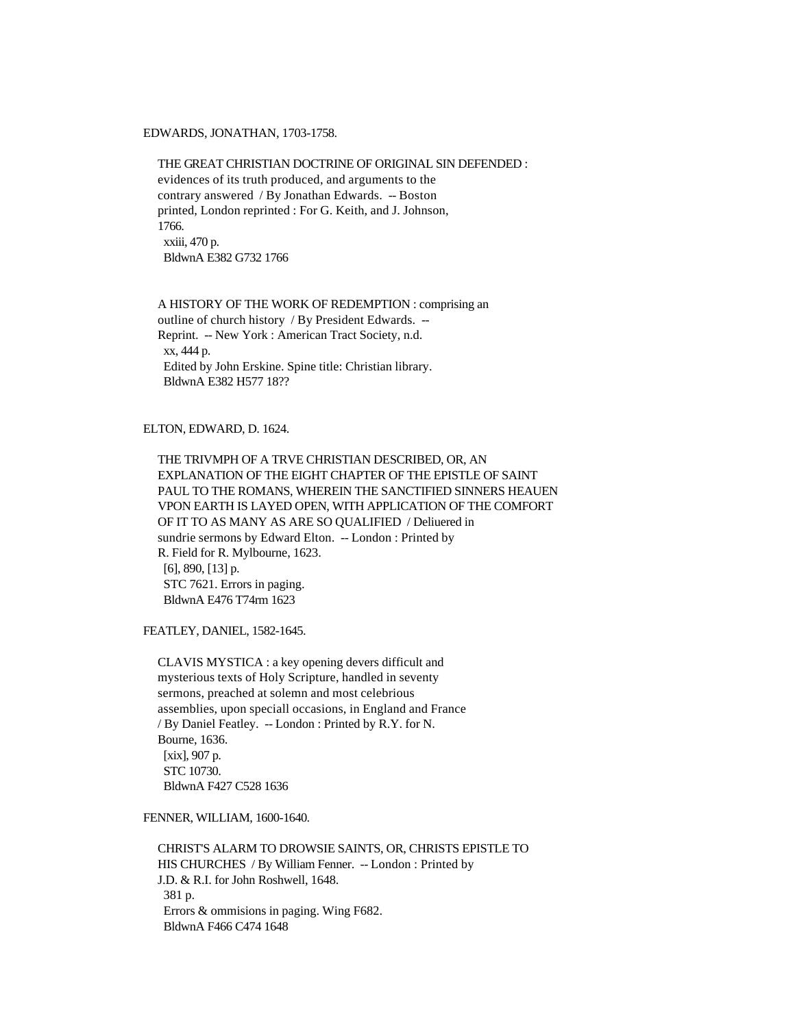#### EDWARDS, JONATHAN, 1703-1758.

# THE GREAT CHRISTIAN DOCTRINE OF ORIGINAL SIN DEFENDED : evidences of its truth produced, and arguments to the contrary answered / By Jonathan Edwards. -- Boston printed, London reprinted : For G. Keith, and J. Johnson, 1766. xxiii, 470 p. BldwnA E382 G732 1766

 A HISTORY OF THE WORK OF REDEMPTION : comprising an outline of church history / By President Edwards. -- Reprint. -- New York : American Tract Society, n.d. xx, 444 p. Edited by John Erskine. Spine title: Christian library. BldwnA E382 H577 18??

# ELTON, EDWARD, D. 1624.

 THE TRIVMPH OF A TRVE CHRISTIAN DESCRIBED, OR, AN EXPLANATION OF THE EIGHT CHAPTER OF THE EPISTLE OF SAINT PAUL TO THE ROMANS, WHEREIN THE SANCTIFIED SINNERS HEAUEN VPON EARTH IS LAYED OPEN, WITH APPLICATION OF THE COMFORT OF IT TO AS MANY AS ARE SO QUALIFIED / Deliuered in sundrie sermons by Edward Elton. -- London : Printed by R. Field for R. Mylbourne, 1623. [6], 890, [13] p. STC 7621. Errors in paging. BldwnA E476 T74rm 1623

FEATLEY, DANIEL, 1582-1645.

 CLAVIS MYSTICA : a key opening devers difficult and mysterious texts of Holy Scripture, handled in seventy sermons, preached at solemn and most celebrious assemblies, upon speciall occasions, in England and France / By Daniel Featley. -- London : Printed by R.Y. for N. Bourne, 1636. [xix], 907 p. STC 10730. BldwnA F427 C528 1636

#### FENNER, WILLIAM, 1600-1640.

 CHRIST'S ALARM TO DROWSIE SAINTS, OR, CHRISTS EPISTLE TO HIS CHURCHES / By William Fenner. -- London : Printed by J.D. & R.I. for John Roshwell, 1648. 381 p. Errors & ommisions in paging. Wing F682. BldwnA F466 C474 1648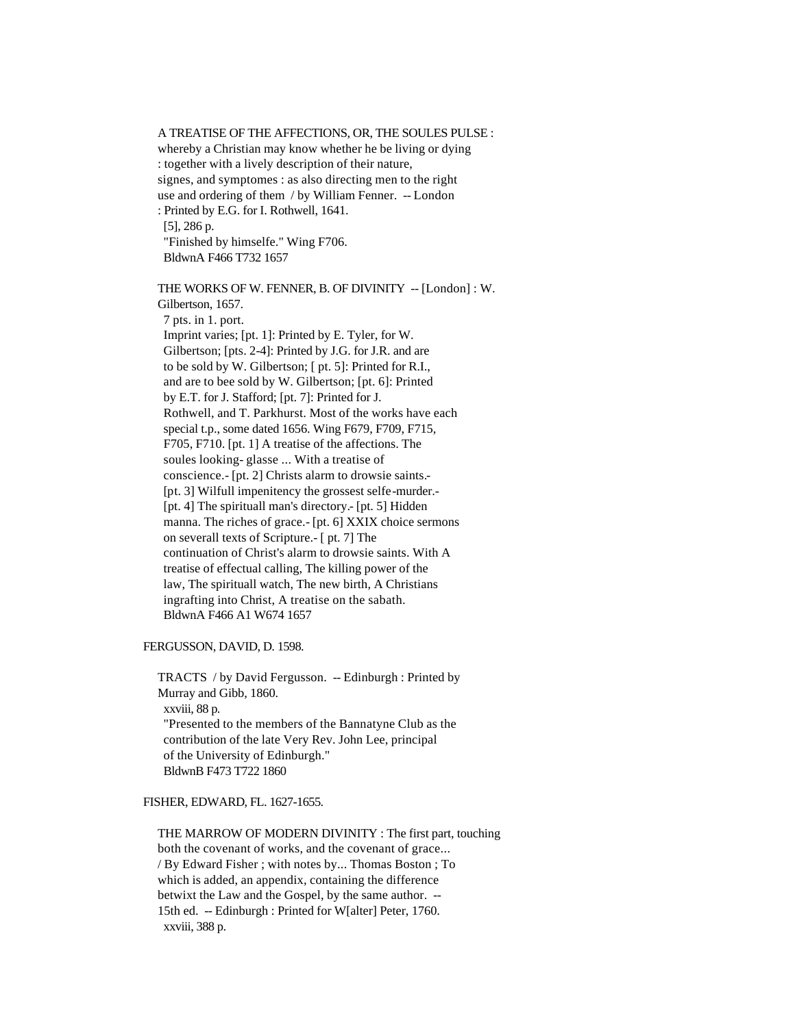A TREATISE OF THE AFFECTIONS, OR, THE SOULES PULSE : whereby a Christian may know whether he be living or dying : together with a lively description of their nature, signes, and symptomes : as also directing men to the right use and ordering of them / by William Fenner. -- London : Printed by E.G. for I. Rothwell, 1641. [5], 286 p. "Finished by himselfe." Wing F706.

BldwnA F466 T732 1657

 THE WORKS OF W. FENNER, B. OF DIVINITY -- [London] : W. Gilbertson, 1657.

 7 pts. in 1. port. Imprint varies; [pt. 1]: Printed by E. Tyler, for W. Gilbertson; [pts. 2-4]: Printed by J.G. for J.R. and are to be sold by W. Gilbertson; [ pt. 5]: Printed for R.I., and are to bee sold by W. Gilbertson; [pt. 6]: Printed by E.T. for J. Stafford; [pt. 7]: Printed for J. Rothwell, and T. Parkhurst. Most of the works have each special t.p., some dated 1656. Wing F679, F709, F715, F705, F710. [pt. 1] A treatise of the affections. The soules looking- glasse ... With a treatise of conscience.- [pt. 2] Christs alarm to drowsie saints.- [pt. 3] Wilfull impenitency the grossest selfe-murder.- [pt. 4] The spirituall man's directory.- [pt. 5] Hidden manna. The riches of grace.- [pt. 6] XXIX choice sermons on severall texts of Scripture.- [ pt. 7] The continuation of Christ's alarm to drowsie saints. With A treatise of effectual calling, The killing power of the law, The spirituall watch, The new birth, A Christians ingrafting into Christ, A treatise on the sabath. BldwnA F466 A1 W674 1657

FERGUSSON, DAVID, D. 1598.

 TRACTS / by David Fergusson. -- Edinburgh : Printed by Murray and Gibb, 1860. xxviii, 88 p. "Presented to the members of the Bannatyne Club as the contribution of the late Very Rev. John Lee, principal of the University of Edinburgh." BldwnB F473 T722 1860

### FISHER, EDWARD, FL. 1627-1655.

 THE MARROW OF MODERN DIVINITY : The first part, touching both the covenant of works, and the covenant of grace... / By Edward Fisher ; with notes by... Thomas Boston ; To which is added, an appendix, containing the difference betwixt the Law and the Gospel, by the same author. -- 15th ed. -- Edinburgh : Printed for W[alter] Peter, 1760. xxviii, 388 p.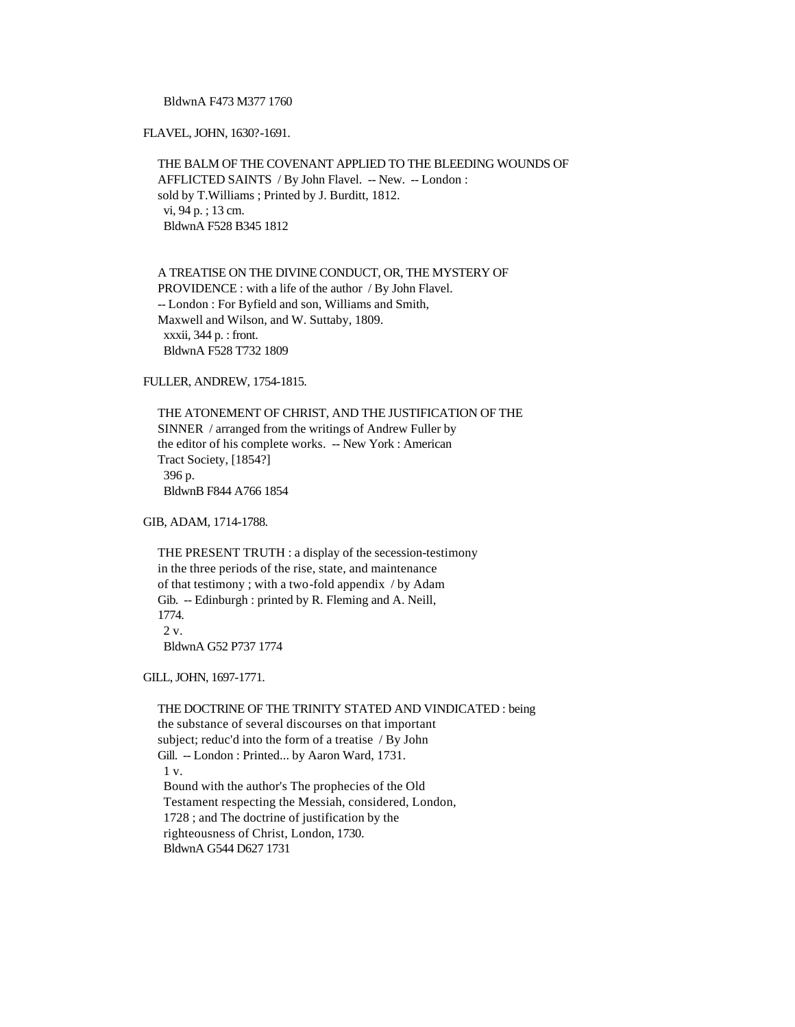BldwnA F473 M377 1760

FLAVEL, JOHN, 1630?-1691.

 THE BALM OF THE COVENANT APPLIED TO THE BLEEDING WOUNDS OF AFFLICTED SAINTS / By John Flavel. -- New. -- London : sold by T.Williams ; Printed by J. Burditt, 1812. vi, 94 p. ; 13 cm. BldwnA F528 B345 1812

 A TREATISE ON THE DIVINE CONDUCT, OR, THE MYSTERY OF PROVIDENCE : with a life of the author / By John Flavel. -- London : For Byfield and son, Williams and Smith, Maxwell and Wilson, and W. Suttaby, 1809. xxxii, 344 p. : front. BldwnA F528 T732 1809

FULLER, ANDREW, 1754-1815.

 THE ATONEMENT OF CHRIST, AND THE JUSTIFICATION OF THE SINNER / arranged from the writings of Andrew Fuller by the editor of his complete works. -- New York : American Tract Society, [1854?] 396 p. BldwnB F844 A766 1854

GIB, ADAM, 1714-1788.

 THE PRESENT TRUTH : a display of the secession-testimony in the three periods of the rise, state, and maintenance of that testimony ; with a two-fold appendix / by Adam Gib. -- Edinburgh : printed by R. Fleming and A. Neill, 1774.  $2 \mathrm{v}$ . BldwnA G52 P737 1774

GILL, JOHN, 1697-1771.

 THE DOCTRINE OF THE TRINITY STATED AND VINDICATED : being the substance of several discourses on that important subject; reduc'd into the form of a treatise / By John Gill. -- London : Printed... by Aaron Ward, 1731. 1 v. Bound with the author's The prophecies of the Old Testament respecting the Messiah, considered, London, 1728 ; and The doctrine of justification by the righteousness of Christ, London, 1730. BldwnA G544 D627 1731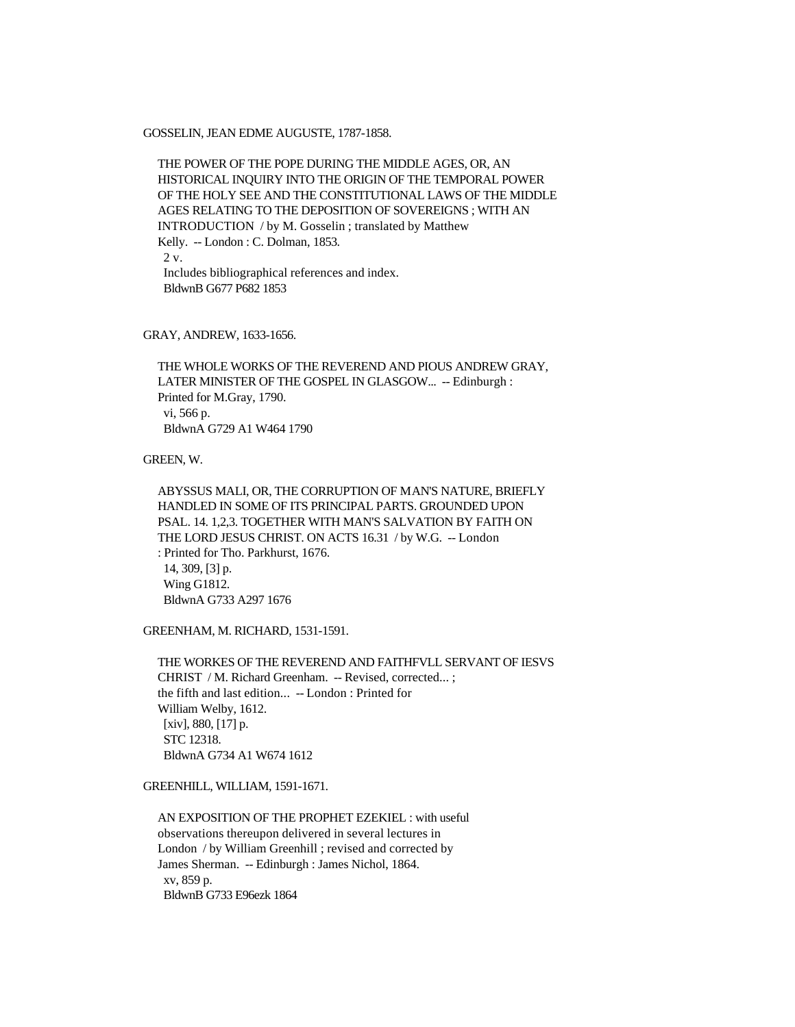GOSSELIN, JEAN EDME AUGUSTE, 1787-1858.

 THE POWER OF THE POPE DURING THE MIDDLE AGES, OR, AN HISTORICAL INQUIRY INTO THE ORIGIN OF THE TEMPORAL POWER OF THE HOLY SEE AND THE CONSTITUTIONAL LAWS OF THE MIDDLE AGES RELATING TO THE DEPOSITION OF SOVEREIGNS ; WITH AN INTRODUCTION / by M. Gosselin ; translated by Matthew Kelly. -- London : C. Dolman, 1853. 2 v. Includes bibliographical references and index. BldwnB G677 P682 1853

GRAY, ANDREW, 1633-1656.

 THE WHOLE WORKS OF THE REVEREND AND PIOUS ANDREW GRAY, LATER MINISTER OF THE GOSPEL IN GLASGOW... -- Edinburgh : Printed for M.Gray, 1790. vi, 566 p. BldwnA G729 A1 W464 1790

GREEN, W.

 ABYSSUS MALI, OR, THE CORRUPTION OF MAN'S NATURE, BRIEFLY HANDLED IN SOME OF ITS PRINCIPAL PARTS. GROUNDED UPON PSAL. 14. 1,2,3. TOGETHER WITH MAN'S SALVATION BY FAITH ON THE LORD JESUS CHRIST. ON ACTS 16.31 / by W.G. -- London : Printed for Tho. Parkhurst, 1676. 14, 309, [3] p. Wing G1812. BldwnA G733 A297 1676

GREENHAM, M. RICHARD, 1531-1591.

 THE WORKES OF THE REVEREND AND FAITHFVLL SERVANT OF IESVS CHRIST / M. Richard Greenham. -- Revised, corrected...; the fifth and last edition... -- London : Printed for William Welby, 1612. [xiv], 880, [17] p. STC 12318. BldwnA G734 A1 W674 1612

GREENHILL, WILLIAM, 1591-1671.

 AN EXPOSITION OF THE PROPHET EZEKIEL : with useful observations thereupon delivered in several lectures in London / by William Greenhill ; revised and corrected by James Sherman. -- Edinburgh : James Nichol, 1864. xv, 859 p. BldwnB G733 E96ezk 1864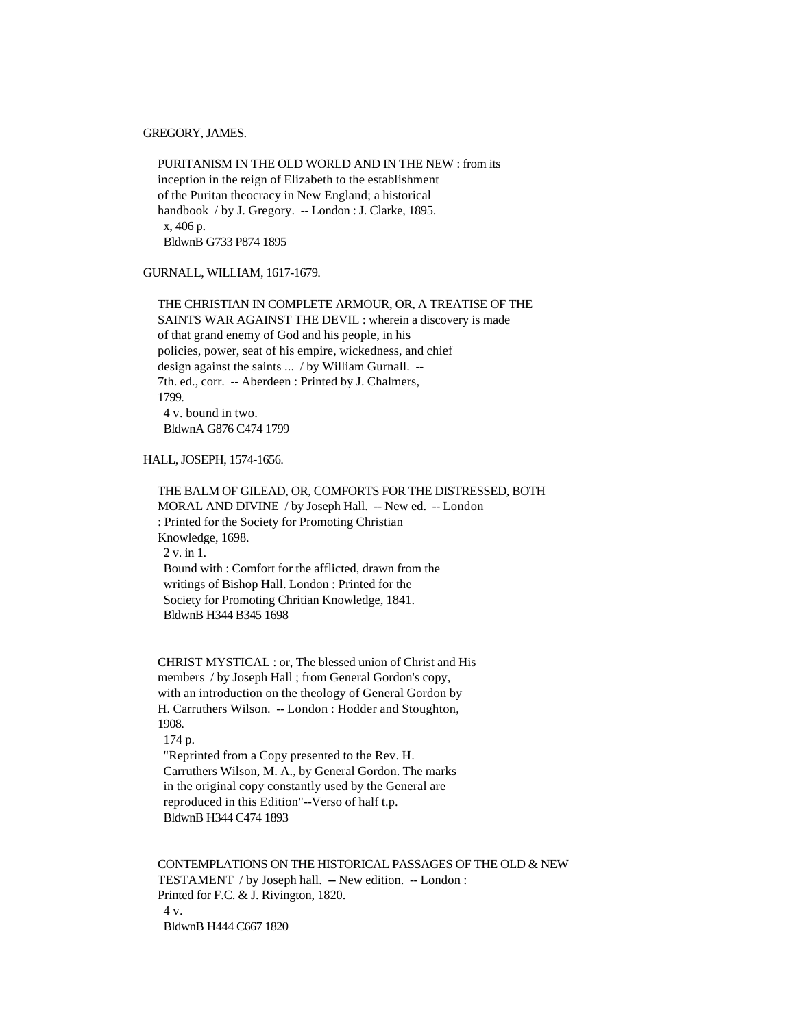GREGORY, JAMES.

 PURITANISM IN THE OLD WORLD AND IN THE NEW : from its inception in the reign of Elizabeth to the establishment of the Puritan theocracy in New England; a historical handbook / by J. Gregory. -- London : J. Clarke, 1895. x, 406 p. BldwnB G733 P874 1895

GURNALL, WILLIAM, 1617-1679.

 THE CHRISTIAN IN COMPLETE ARMOUR, OR, A TREATISE OF THE SAINTS WAR AGAINST THE DEVIL : wherein a discovery is made of that grand enemy of God and his people, in his policies, power, seat of his empire, wickedness, and chief design against the saints ... / by William Gurnall. -- 7th. ed., corr. -- Aberdeen : Printed by J. Chalmers, 1799. 4 v. bound in two. BldwnA G876 C474 1799

HALL, JOSEPH, 1574-1656.

 THE BALM OF GILEAD, OR, COMFORTS FOR THE DISTRESSED, BOTH MORAL AND DIVINE / by Joseph Hall. -- New ed. -- London : Printed for the Society for Promoting Christian Knowledge, 1698. 2 v. in 1. Bound with : Comfort for the afflicted, drawn from the writings of Bishop Hall. London : Printed for the Society for Promoting Chritian Knowledge, 1841. BldwnB H344 B345 1698

 CHRIST MYSTICAL : or, The blessed union of Christ and His members / by Joseph Hall ; from General Gordon's copy, with an introduction on the theology of General Gordon by H. Carruthers Wilson. -- London : Hodder and Stoughton, 1908.

174 p.

 "Reprinted from a Copy presented to the Rev. H. Carruthers Wilson, M. A., by General Gordon. The marks in the original copy constantly used by the General are reproduced in this Edition"--Verso of half t.p. BldwnB H344 C474 1893

 CONTEMPLATIONS ON THE HISTORICAL PASSAGES OF THE OLD & NEW TESTAMENT / by Joseph hall. -- New edition. -- London : Printed for F.C. & J. Rivington, 1820. 4 v. BldwnB H444 C667 1820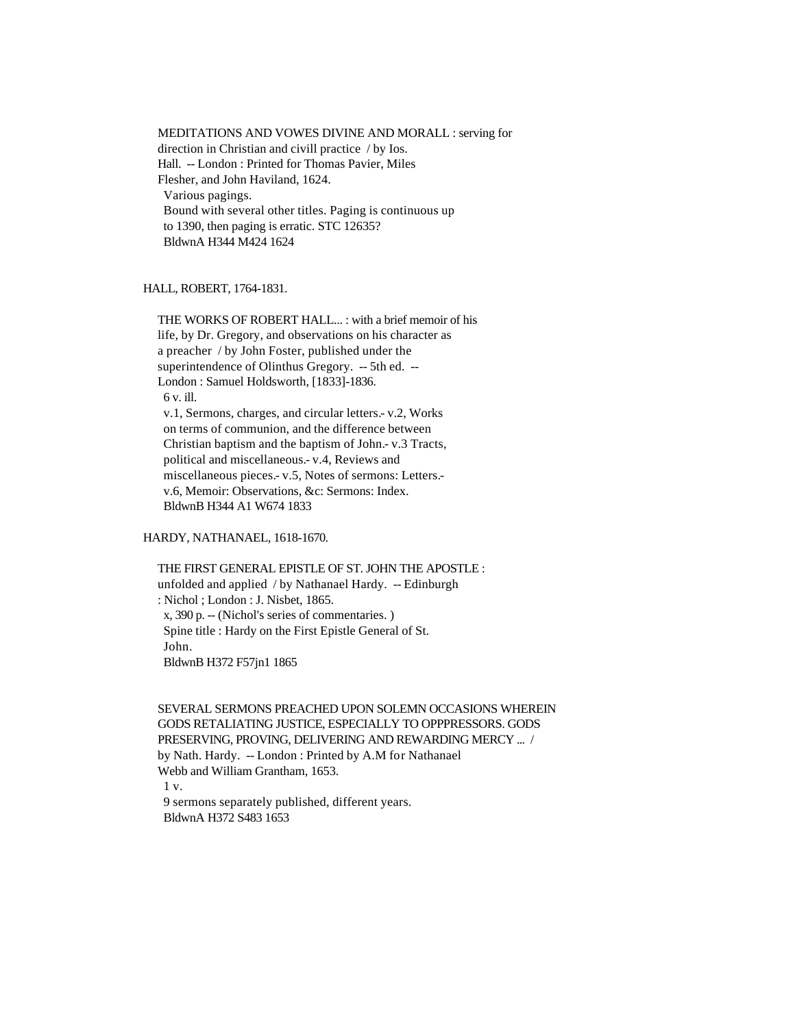MEDITATIONS AND VOWES DIVINE AND MORALL : serving for direction in Christian and civill practice / by Ios. Hall. -- London : Printed for Thomas Pavier, Miles Flesher, and John Haviland, 1624. Various pagings. Bound with several other titles. Paging is continuous up to 1390, then paging is erratic. STC 12635? BldwnA H344 M424 1624

# HALL, ROBERT, 1764-1831.

 THE WORKS OF ROBERT HALL... : with a brief memoir of his life, by Dr. Gregory, and observations on his character as a preacher / by John Foster, published under the superintendence of Olinthus Gregory. -- 5th ed. -- London : Samuel Holdsworth, [1833]-1836. 6 v. ill. v.1, Sermons, charges, and circular letters.- v.2, Works on terms of communion, and the difference between Christian baptism and the baptism of John.- v.3 Tracts, political and miscellaneous.- v.4, Reviews and miscellaneous pieces.- v.5, Notes of sermons: Letters. v.6, Memoir: Observations, &c: Sermons: Index. BldwnB H344 A1 W674 1833

### HARDY, NATHANAEL, 1618-1670.

 THE FIRST GENERAL EPISTLE OF ST. JOHN THE APOSTLE : unfolded and applied / by Nathanael Hardy. -- Edinburgh : Nichol ; London : J. Nisbet, 1865. x, 390 p. -- (Nichol's series of commentaries. ) Spine title : Hardy on the First Epistle General of St. John. BldwnB H372 F57jn1 1865

 SEVERAL SERMONS PREACHED UPON SOLEMN OCCASIONS WHEREIN GODS RETALIATING JUSTICE, ESPECIALLY TO OPPPRESSORS. GODS PRESERVING, PROVING, DELIVERING AND REWARDING MERCY ... / by Nath. Hardy. -- London : Printed by A.M for Nathanael Webb and William Grantham, 1653. 1 v. 9 sermons separately published, different years.

BldwnA H372 S483 1653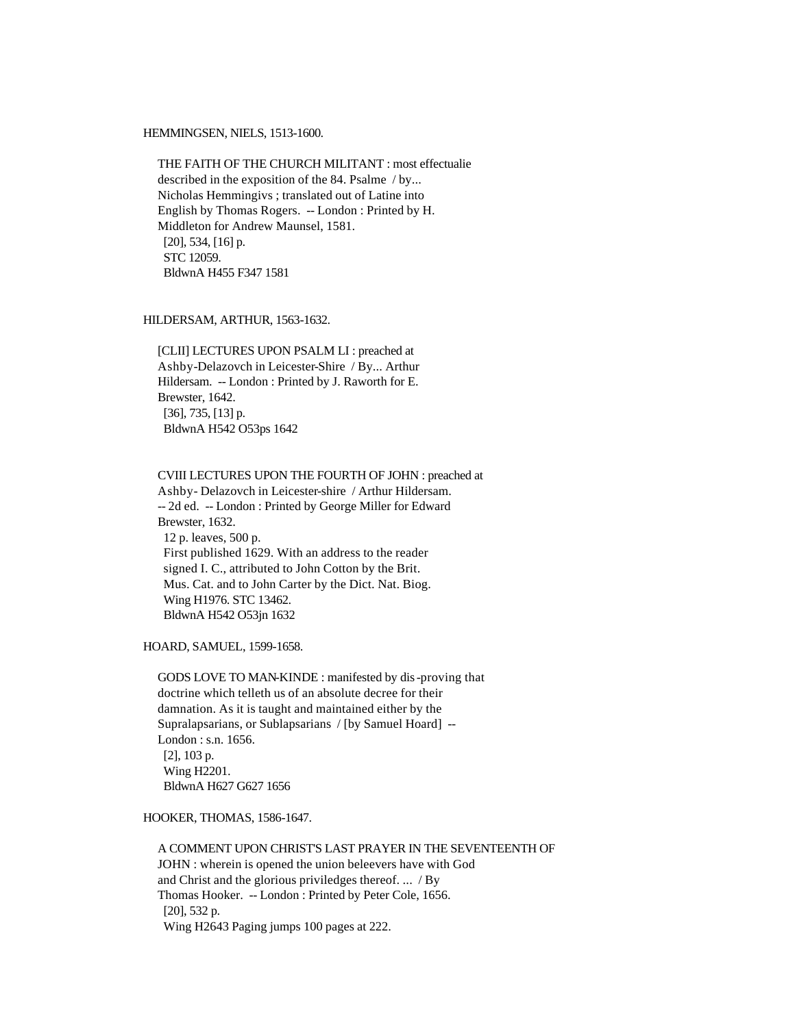### HEMMINGSEN, NIELS, 1513-1600.

 THE FAITH OF THE CHURCH MILITANT : most effectualie described in the exposition of the 84. Psalme / by... Nicholas Hemmingivs ; translated out of Latine into English by Thomas Rogers. -- London : Printed by H. Middleton for Andrew Maunsel, 1581. [20], 534, [16] p. STC 12059. BldwnA H455 F347 1581

# HILDERSAM, ARTHUR, 1563-1632.

 [CLII] LECTURES UPON PSALM LI : preached at Ashby-Delazovch in Leicester-Shire / By... Arthur Hildersam. -- London : Printed by J. Raworth for E. Brewster, 1642. [36], 735, [13] p. BldwnA H542 O53ps 1642

### CVIII LECTURES UPON THE FOURTH OF JOHN : preached at

 Ashby- Delazovch in Leicester-shire / Arthur Hildersam. -- 2d ed. -- London : Printed by George Miller for Edward Brewster, 1632. 12 p. leaves, 500 p. First published 1629. With an address to the reader signed I. C., attributed to John Cotton by the Brit. Mus. Cat. and to John Carter by the Dict. Nat. Biog. Wing H1976. STC 13462. BldwnA H542 O53jn 1632

HOARD, SAMUEL, 1599-1658.

 GODS LOVE TO MAN-KINDE : manifested by dis-proving that doctrine which telleth us of an absolute decree for their damnation. As it is taught and maintained either by the Supralapsarians, or Sublapsarians / [by Samuel Hoard] -- London : s.n. 1656. [2], 103 p. Wing H2201. BldwnA H627 G627 1656

#### HOOKER, THOMAS, 1586-1647.

 A COMMENT UPON CHRIST'S LAST PRAYER IN THE SEVENTEENTH OF JOHN : wherein is opened the union beleevers have with God and Christ and the glorious priviledges thereof. ... / By Thomas Hooker. -- London : Printed by Peter Cole, 1656. [20], 532 p. Wing H2643 Paging jumps 100 pages at 222.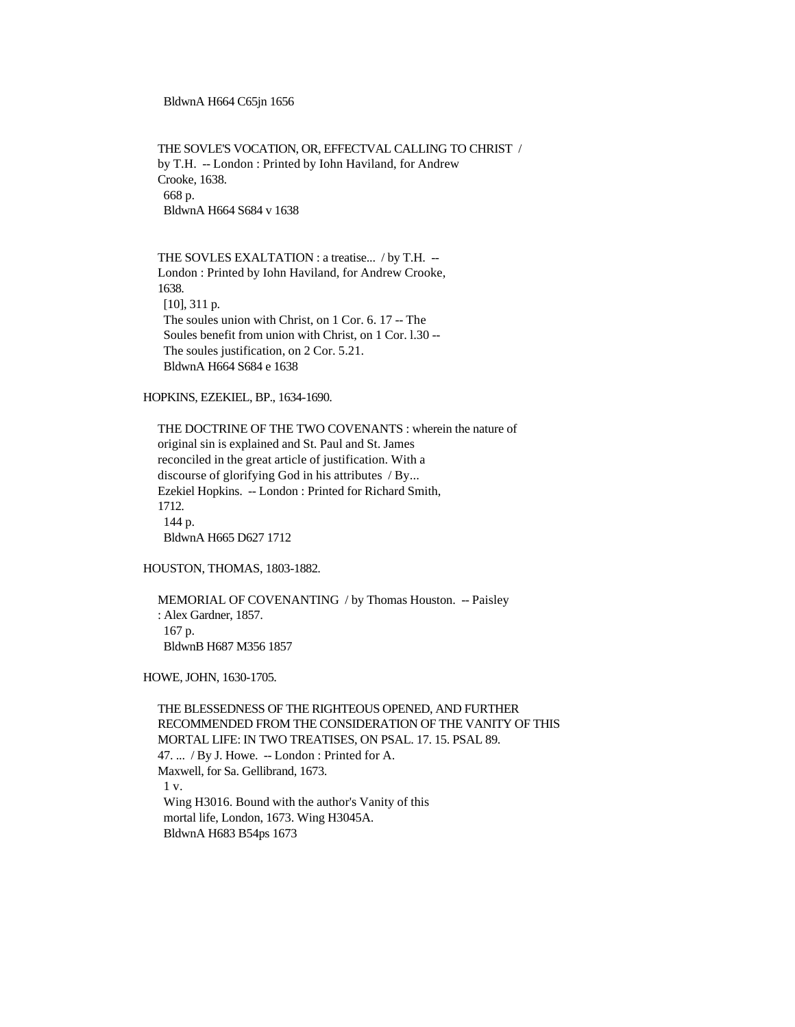BldwnA H664 C65jn 1656

 THE SOVLE'S VOCATION, OR, EFFECTVAL CALLING TO CHRIST / by T.H. -- London : Printed by Iohn Haviland, for Andrew Crooke, 1638. 668 p. BldwnA H664 S684 v 1638

 THE SOVLES EXALTATION : a treatise... / by T.H. -- London : Printed by Iohn Haviland, for Andrew Crooke, 1638. [10], 311 p. The soules union with Christ, on 1 Cor. 6. 17 -- The Soules benefit from union with Christ, on 1 Cor. l.30 -- The soules justification, on 2 Cor. 5.21. BldwnA H664 S684 e 1638

HOPKINS, EZEKIEL, BP., 1634-1690.

 THE DOCTRINE OF THE TWO COVENANTS : wherein the nature of original sin is explained and St. Paul and St. James reconciled in the great article of justification. With a discourse of glorifying God in his attributes / By... Ezekiel Hopkins. -- London : Printed for Richard Smith, 1712. 144 p. BldwnA H665 D627 1712

HOUSTON, THOMAS, 1803-1882.

 MEMORIAL OF COVENANTING / by Thomas Houston. -- Paisley : Alex Gardner, 1857. 167 p. BldwnB H687 M356 1857

HOWE, JOHN, 1630-1705.

 THE BLESSEDNESS OF THE RIGHTEOUS OPENED, AND FURTHER RECOMMENDED FROM THE CONSIDERATION OF THE VANITY OF THIS MORTAL LIFE: IN TWO TREATISES, ON PSAL. 17. 15. PSAL 89. 47. ... / By J. Howe. -- London : Printed for A. Maxwell, for Sa. Gellibrand, 1673. 1 v. Wing H3016. Bound with the author's Vanity of this mortal life, London, 1673. Wing H3045A. BldwnA H683 B54ps 1673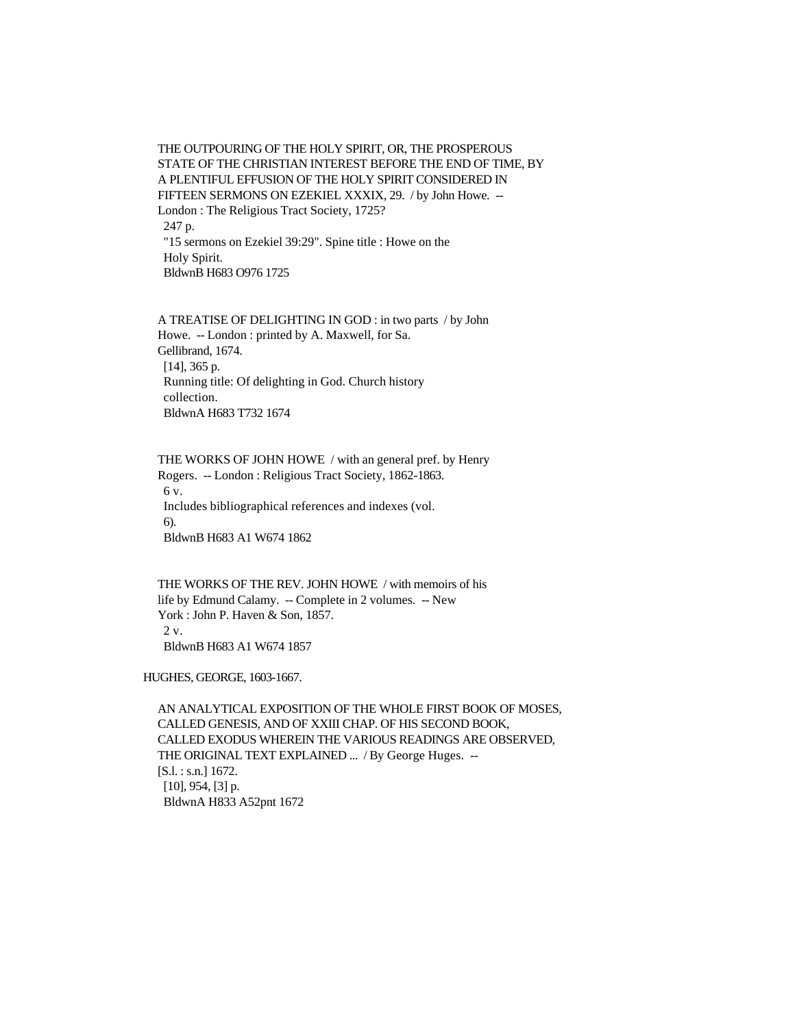THE OUTPOURING OF THE HOLY SPIRIT, OR, THE PROSPEROUS STATE OF THE CHRISTIAN INTEREST BEFORE THE END OF TIME, BY A PLENTIFUL EFFUSION OF THE HOLY SPIRIT CONSIDERED IN FIFTEEN SERMONS ON EZEKIEL XXXIX, 29. / by John Howe. -- London : The Religious Tract Society, 1725? 247 p. "15 sermons on Ezekiel 39:29". Spine title : Howe on the Holy Spirit. BldwnB H683 O976 1725

 A TREATISE OF DELIGHTING IN GOD : in two parts / by John Howe. -- London : printed by A. Maxwell, for Sa. Gellibrand, 1674. [14], 365 p. Running title: Of delighting in God. Church history collection. BldwnA H683 T732 1674

 THE WORKS OF JOHN HOWE / with an general pref. by Henry Rogers. -- London : Religious Tract Society, 1862-1863. 6 v. Includes bibliographical references and indexes (vol. 6). BldwnB H683 A1 W674 1862

 THE WORKS OF THE REV. JOHN HOWE / with memoirs of his life by Edmund Calamy. -- Complete in 2 volumes. -- New York : John P. Haven & Son, 1857.  $2 \mathrm{v}$ . BldwnB H683 A1 W674 1857

HUGHES, GEORGE, 1603-1667.

 AN ANALYTICAL EXPOSITION OF THE WHOLE FIRST BOOK OF MOSES, CALLED GENESIS, AND OF XXIII CHAP. OF HIS SECOND BOOK, CALLED EXODUS WHEREIN THE VARIOUS READINGS ARE OBSERVED, THE ORIGINAL TEXT EXPLAINED ... / By George Huges. -- [S.l. : s.n.] 1672.  $[10]$ , 954,  $[3]$  p. BldwnA H833 A52pnt 1672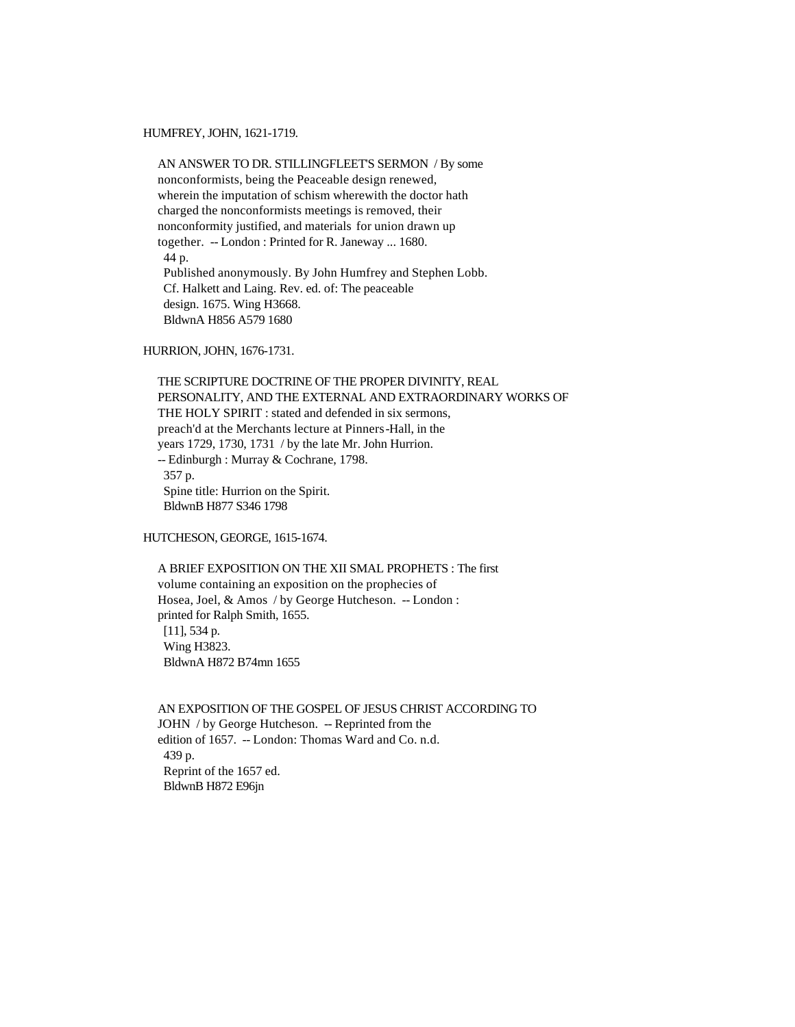HUMFREY, JOHN, 1621-1719.

 AN ANSWER TO DR. STILLINGFLEET'S SERMON / By some nonconformists, being the Peaceable design renewed, wherein the imputation of schism wherewith the doctor hath charged the nonconformists meetings is removed, their nonconformity justified, and materials for union drawn up together. -- London : Printed for R. Janeway ... 1680. 44 p. Published anonymously. By John Humfrey and Stephen Lobb. Cf. Halkett and Laing. Rev. ed. of: The peaceable design. 1675. Wing H3668. BldwnA H856 A579 1680

HURRION, JOHN, 1676-1731.

 THE SCRIPTURE DOCTRINE OF THE PROPER DIVINITY, REAL PERSONALITY, AND THE EXTERNAL AND EXTRAORDINARY WORKS OF THE HOLY SPIRIT : stated and defended in six sermons, preach'd at the Merchants lecture at Pinners-Hall, in the years 1729, 1730, 1731 / by the late Mr. John Hurrion. -- Edinburgh : Murray & Cochrane, 1798. 357 p. Spine title: Hurrion on the Spirit. BldwnB H877 S346 1798

HUTCHESON, GEORGE, 1615-1674.

 A BRIEF EXPOSITION ON THE XII SMAL PROPHETS : The first volume containing an exposition on the prophecies of Hosea, Joel, & Amos / by George Hutcheson. -- London : printed for Ralph Smith, 1655. [11], 534 p. Wing H3823. BldwnA H872 B74mn 1655

 AN EXPOSITION OF THE GOSPEL OF JESUS CHRIST ACCORDING TO JOHN / by George Hutcheson. -- Reprinted from the edition of 1657. -- London: Thomas Ward and Co. n.d. 439 p. Reprint of the 1657 ed. BldwnB H872 E96jn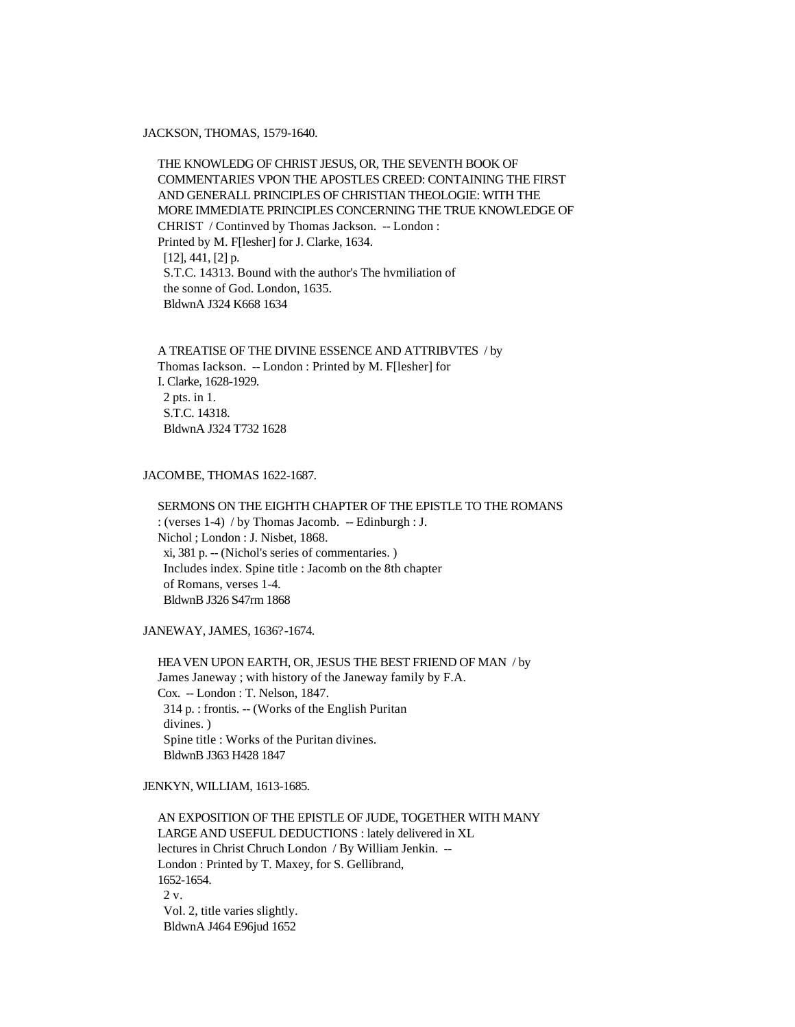### JACKSON, THOMAS, 1579-1640.

 THE KNOWLEDG OF CHRIST JESUS, OR, THE SEVENTH BOOK OF COMMENTARIES VPON THE APOSTLES CREED: CONTAINING THE FIRST AND GENERALL PRINCIPLES OF CHRISTIAN THEOLOGIE: WITH THE MORE IMMEDIATE PRINCIPLES CONCERNING THE TRUE KNOWLEDGE OF CHRIST / Continved by Thomas Jackson. -- London : Printed by M. F[lesher] for J. Clarke, 1634. [12], 441, [2] p. S.T.C. 14313. Bound with the author's The hvmiliation of the sonne of God. London, 1635. BldwnA J324 K668 1634

 A TREATISE OF THE DIVINE ESSENCE AND ATTRIBVTES / by Thomas Iackson. -- London : Printed by M. F[lesher] for I. Clarke, 1628-1929. 2 pts. in 1. S.T.C. 14318. BldwnA J324 T732 1628

### JACOMBE, THOMAS 1622-1687.

 SERMONS ON THE EIGHTH CHAPTER OF THE EPISTLE TO THE ROMANS : (verses 1-4) / by Thomas Jacomb. -- Edinburgh : J. Nichol ; London : J. Nisbet, 1868. xi, 381 p. -- (Nichol's series of commentaries. ) Includes index. Spine title : Jacomb on the 8th chapter of Romans, verses 1-4. BldwnB J326 S47rm 1868

JANEWAY, JAMES, 1636?-1674.

 HEAVEN UPON EARTH, OR, JESUS THE BEST FRIEND OF MAN / by James Janeway ; with history of the Janeway family by F.A. Cox. -- London : T. Nelson, 1847. 314 p. : frontis. -- (Works of the English Puritan divines. ) Spine title : Works of the Puritan divines. BldwnB J363 H428 1847

### JENKYN, WILLIAM, 1613-1685.

 AN EXPOSITION OF THE EPISTLE OF JUDE, TOGETHER WITH MANY LARGE AND USEFUL DEDUCTIONS : lately delivered in XL lectures in Christ Chruch London / By William Jenkin. -- London : Printed by T. Maxey, for S. Gellibrand, 1652-1654.  $2 \mathrm{v}$ . Vol. 2, title varies slightly. BldwnA J464 E96jud 1652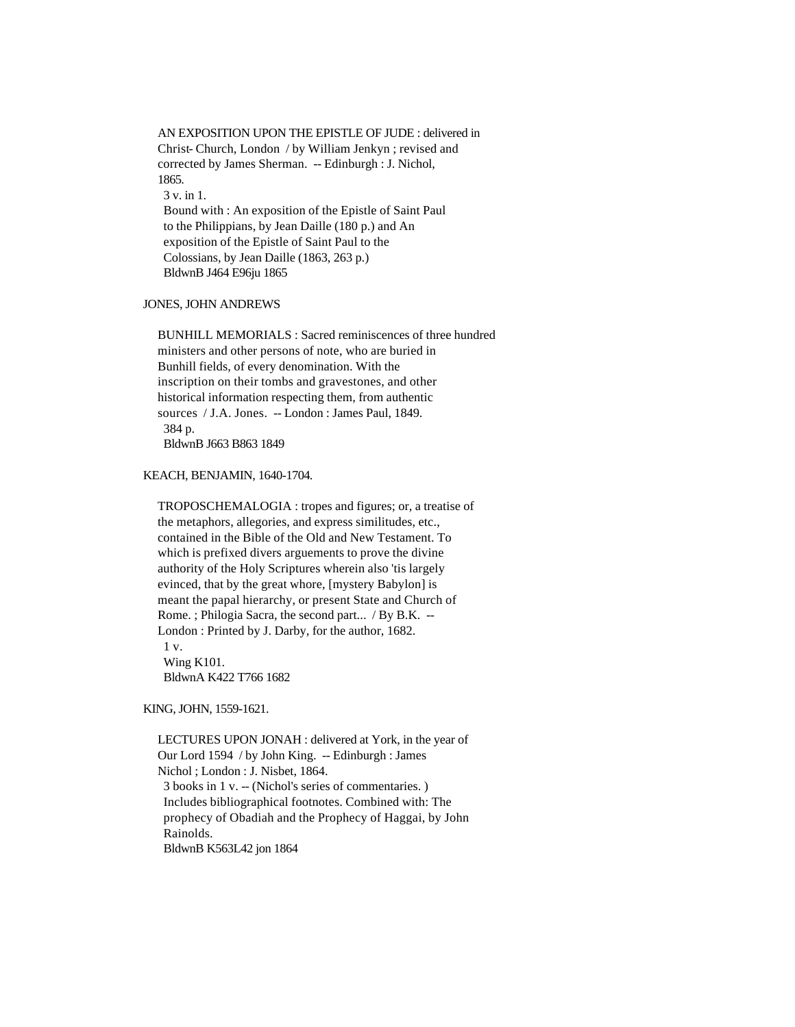AN EXPOSITION UPON THE EPISTLE OF JUDE : delivered in Christ- Church, London / by William Jenkyn ; revised and corrected by James Sherman. -- Edinburgh : J. Nichol, 1865. 3 v. in 1. Bound with : An exposition of the Epistle of Saint Paul to the Philippians, by Jean Daille (180 p.) and An exposition of the Epistle of Saint Paul to the Colossians, by Jean Daille (1863, 263 p.) BldwnB J464 E96ju 1865

### JONES, JOHN ANDREWS

 BUNHILL MEMORIALS : Sacred reminiscences of three hundred ministers and other persons of note, who are buried in Bunhill fields, of every denomination. With the inscription on their tombs and gravestones, and other historical information respecting them, from authentic sources / J.A. Jones. -- London : James Paul, 1849. 384 p. BldwnB J663 B863 1849

#### KEACH, BENJAMIN, 1640-1704.

 TROPOSCHEMALOGIA : tropes and figures; or, a treatise of the metaphors, allegories, and express similitudes, etc., contained in the Bible of the Old and New Testament. To which is prefixed divers arguements to prove the divine authority of the Holy Scriptures wherein also 'tis largely evinced, that by the great whore, [mystery Babylon] is meant the papal hierarchy, or present State and Church of Rome. ; Philogia Sacra, the second part... / By B.K. -- London : Printed by J. Darby, for the author, 1682. 1 v.

 Wing K101. BldwnA K422 T766 1682

### KING, JOHN, 1559-1621.

 LECTURES UPON JONAH : delivered at York, in the year of Our Lord 1594 / by John King. -- Edinburgh : James Nichol ; London : J. Nisbet, 1864. 3 books in 1 v. -- (Nichol's series of commentaries. ) Includes bibliographical footnotes. Combined with: The prophecy of Obadiah and the Prophecy of Haggai, by John Rainolds. BldwnB K563L42 jon 1864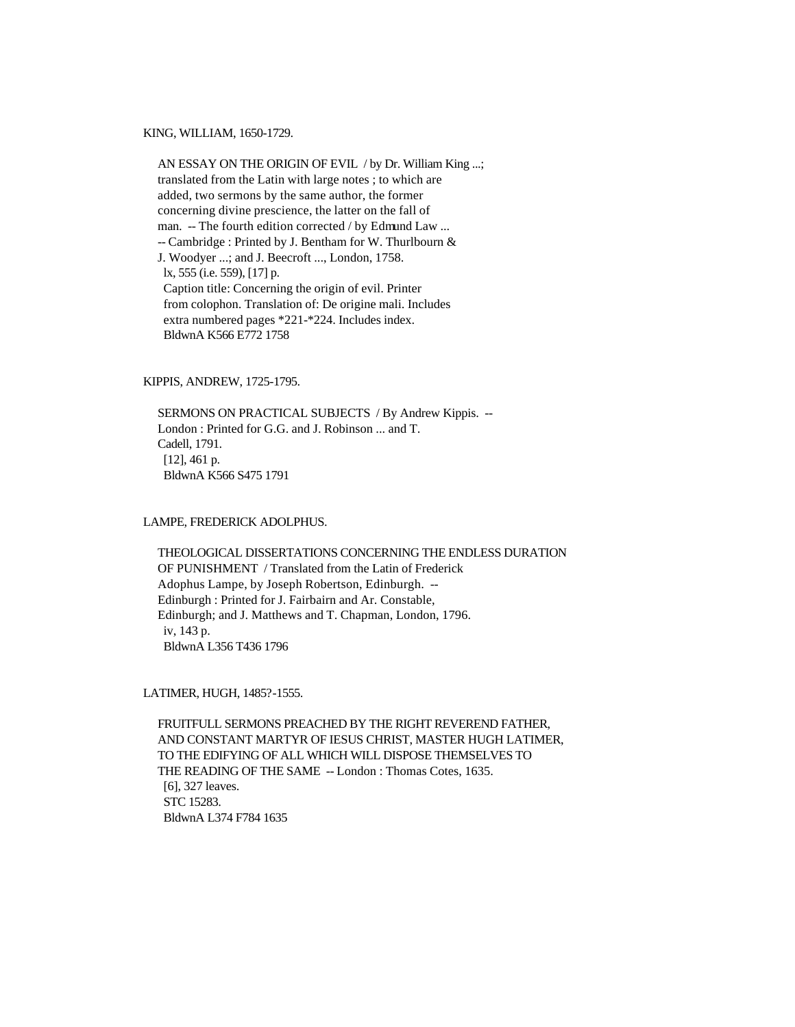KING, WILLIAM, 1650-1729.

 AN ESSAY ON THE ORIGIN OF EVIL / by Dr. William King ...; translated from the Latin with large notes ; to which are added, two sermons by the same author, the former concerning divine prescience, the latter on the fall of man. -- The fourth edition corrected / by Edmund Law ... -- Cambridge : Printed by J. Bentham for W. Thurlbourn & J. Woodyer ...; and J. Beecroft ..., London, 1758. lx, 555 (i.e. 559), [17] p. Caption title: Concerning the origin of evil. Printer from colophon. Translation of: De origine mali. Includes extra numbered pages \*221-\*224. Includes index. BldwnA K566 E772 1758

KIPPIS, ANDREW, 1725-1795.

 SERMONS ON PRACTICAL SUBJECTS / By Andrew Kippis. -- London : Printed for G.G. and J. Robinson ... and T. Cadell, 1791. [12], 461 p. BldwnA K566 S475 1791

LAMPE, FREDERICK ADOLPHUS.

 THEOLOGICAL DISSERTATIONS CONCERNING THE ENDLESS DURATION OF PUNISHMENT / Translated from the Latin of Frederick Adophus Lampe, by Joseph Robertson, Edinburgh. -- Edinburgh : Printed for J. Fairbairn and Ar. Constable, Edinburgh; and J. Matthews and T. Chapman, London, 1796. iv, 143 p. BldwnA L356 T436 1796

LATIMER, HUGH, 1485?-1555.

 FRUITFULL SERMONS PREACHED BY THE RIGHT REVEREND FATHER, AND CONSTANT MARTYR OF IESUS CHRIST, MASTER HUGH LATIMER, TO THE EDIFYING OF ALL WHICH WILL DISPOSE THEMSELVES TO THE READING OF THE SAME -- London : Thomas Cotes, 1635. [6], 327 leaves. STC 15283. BldwnA L374 F784 1635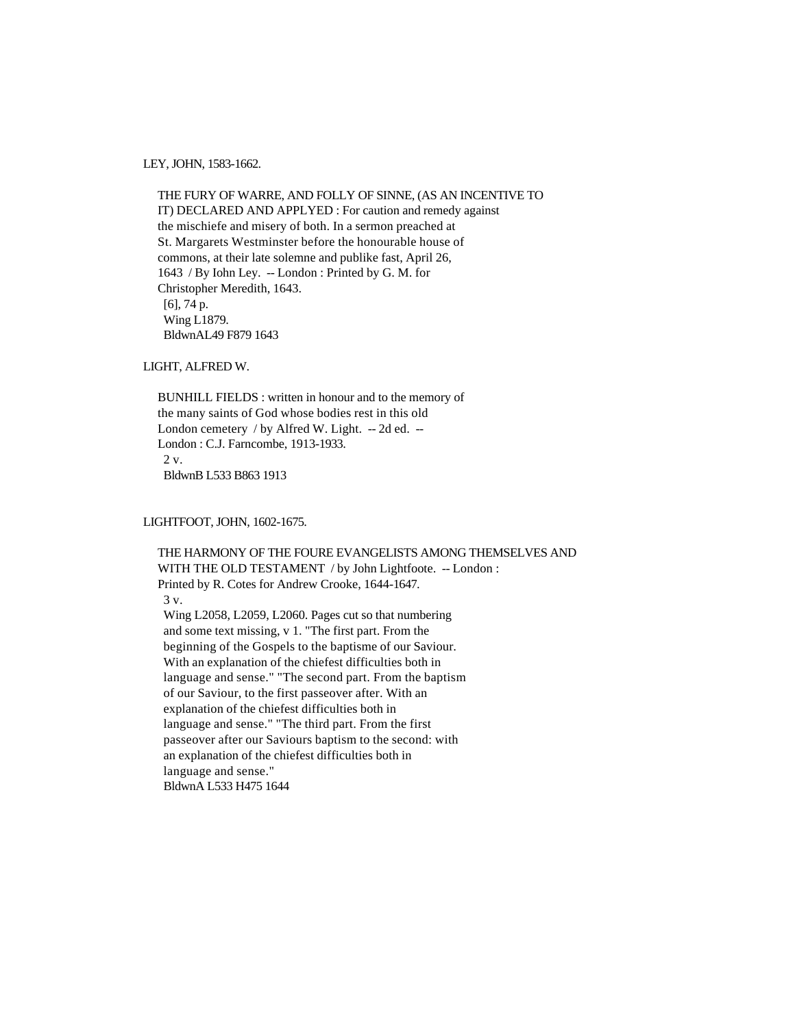LEY, JOHN, 1583-1662.

 THE FURY OF WARRE, AND FOLLY OF SINNE, (AS AN INCENTIVE TO IT) DECLARED AND APPLYED : For caution and remedy against the mischiefe and misery of both. In a sermon preached at St. Margarets Westminster before the honourable house of commons, at their late solemne and publike fast, April 26, 1643 / By Iohn Ley. -- London : Printed by G. M. for Christopher Meredith, 1643. [6], 74 p. Wing L1879. BldwnAL49 F879 1643

LIGHT, ALFRED W.

 BUNHILL FIELDS : written in honour and to the memory of the many saints of God whose bodies rest in this old London cemetery / by Alfred W. Light. -- 2d ed. -- London : C.J. Farncombe, 1913-1933.  $2 \mathrm{v}$ . BldwnB L533 B863 1913

LIGHTFOOT, JOHN, 1602-1675.

 THE HARMONY OF THE FOURE EVANGELISTS AMONG THEMSELVES AND WITH THE OLD TESTAMENT / by John Lightfoote. -- London: Printed by R. Cotes for Andrew Crooke, 1644-1647. 3 v. Wing L2058, L2059, L2060. Pages cut so that numbering and some text missing, v 1. "The first part. From the beginning of the Gospels to the baptisme of our Saviour. With an explanation of the chiefest difficulties both in language and sense." "The second part. From the baptism of our Saviour, to the first passeover after. With an explanation of the chiefest difficulties both in language and sense." "The third part. From the first passeover after our Saviours baptism to the second: with an explanation of the chiefest difficulties both in language and sense." BldwnA L533 H475 1644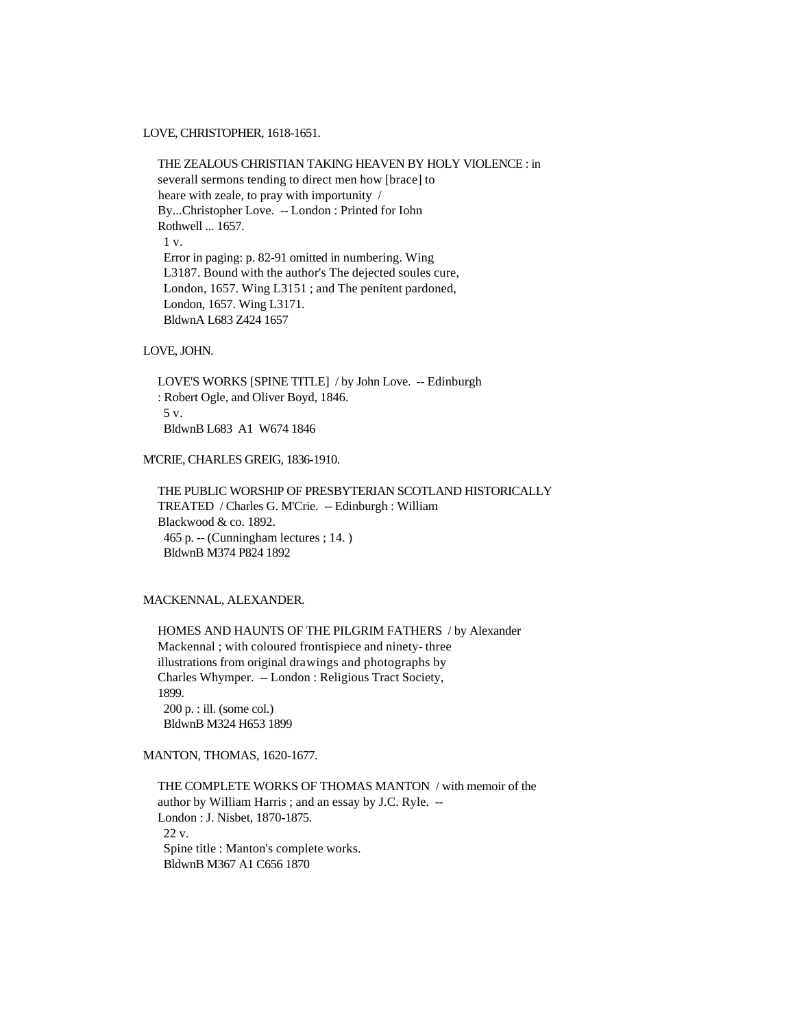LOVE, CHRISTOPHER, 1618-1651.

 THE ZEALOUS CHRISTIAN TAKING HEAVEN BY HOLY VIOLENCE : in severall sermons tending to direct men how [brace] to heare with zeale, to pray with importunity / By...Christopher Love. -- London : Printed for Iohn Rothwell ... 1657. 1 v. Error in paging: p. 82-91 omitted in numbering. Wing L3187. Bound with the author's The dejected soules cure, London, 1657. Wing L3151 ; and The penitent pardoned, London, 1657. Wing L3171. BldwnA L683 Z424 1657

# LOVE, JOHN.

 LOVE'S WORKS [SPINE TITLE] / by John Love. -- Edinburgh : Robert Ogle, and Oliver Boyd, 1846. 5 v. BldwnB L683 A1 W674 1846

# M'CRIE, CHARLES GREIG, 1836-1910.

 THE PUBLIC WORSHIP OF PRESBYTERIAN SCOTLAND HISTORICALLY TREATED / Charles G. M'Crie. -- Edinburgh : William Blackwood & co. 1892. 465 p. -- (Cunningham lectures ; 14. ) BldwnB M374 P824 1892

# MACKENNAL, ALEXANDER.

 HOMES AND HAUNTS OF THE PILGRIM FATHERS / by Alexander Mackennal ; with coloured frontispiece and ninety- three illustrations from original drawings and photographs by Charles Whymper. -- London : Religious Tract Society, 1899. 200 p. : ill. (some col.) BldwnB M324 H653 1899

# MANTON, THOMAS, 1620-1677.

 THE COMPLETE WORKS OF THOMAS MANTON / with memoir of the author by William Harris ; and an essay by J.C. Ryle. -- London : J. Nisbet, 1870-1875. 22 v. Spine title : Manton's complete works. BldwnB M367 A1 C656 1870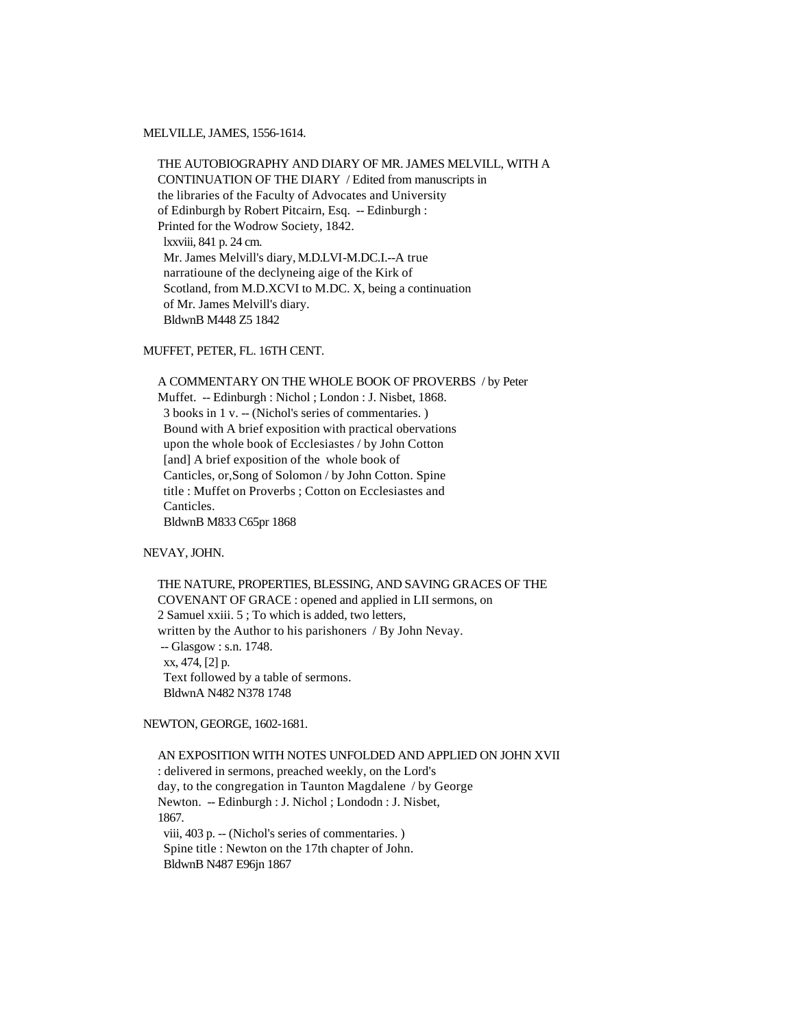### MELVILLE, JAMES, 1556-1614.

 THE AUTOBIOGRAPHY AND DIARY OF MR. JAMES MELVILL, WITH A CONTINUATION OF THE DIARY / Edited from manuscripts in the libraries of the Faculty of Advocates and University of Edinburgh by Robert Pitcairn, Esq. -- Edinburgh : Printed for the Wodrow Society, 1842. lxxviii, 841 p. 24 cm. Mr. James Melvill's diary, M.D.LVI-M.DC.I.--A true narratioune of the declyneing aige of the Kirk of Scotland, from M.D.XCVI to M.DC. X, being a continuation of Mr. James Melvill's diary. BldwnB M448 Z5 1842

# MUFFET, PETER, FL. 16TH CENT.

 A COMMENTARY ON THE WHOLE BOOK OF PROVERBS / by Peter Muffet. -- Edinburgh : Nichol ; London : J. Nisbet, 1868. 3 books in 1 v. -- (Nichol's series of commentaries. ) Bound with A brief exposition with practical obervations upon the whole book of Ecclesiastes / by John Cotton [and] A brief exposition of the whole book of Canticles, or,Song of Solomon / by John Cotton. Spine title : Muffet on Proverbs ; Cotton on Ecclesiastes and Canticles. BldwnB M833 C65pr 1868

# NEVAY, JOHN.

 THE NATURE, PROPERTIES, BLESSING, AND SAVING GRACES OF THE COVENANT OF GRACE : opened and applied in LII sermons, on 2 Samuel xxiii. 5 ; To which is added, two letters, written by the Author to his parishoners / By John Nevay. -- Glasgow : s.n. 1748. xx, 474, [2] p. Text followed by a table of sermons. BldwnA N482 N378 1748

# NEWTON, GEORGE, 1602-1681.

 AN EXPOSITION WITH NOTES UNFOLDED AND APPLIED ON JOHN XVII : delivered in sermons, preached weekly, on the Lord's day, to the congregation in Taunton Magdalene / by George Newton. -- Edinburgh : J. Nichol ; Londodn : J. Nisbet, 1867. viii, 403 p. -- (Nichol's series of commentaries. ) Spine title : Newton on the 17th chapter of John. BldwnB N487 E96jn 1867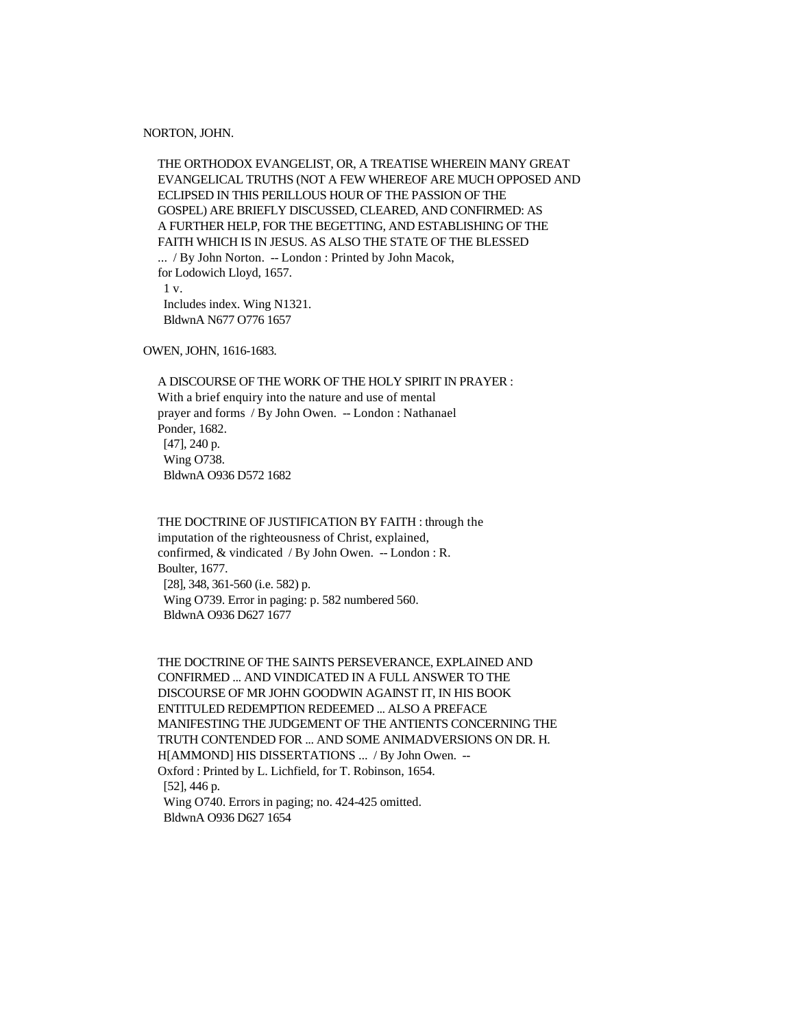#### NORTON, JOHN.

 THE ORTHODOX EVANGELIST, OR, A TREATISE WHEREIN MANY GREAT EVANGELICAL TRUTHS (NOT A FEW WHEREOF ARE MUCH OPPOSED AND ECLIPSED IN THIS PERILLOUS HOUR OF THE PASSION OF THE GOSPEL) ARE BRIEFLY DISCUSSED, CLEARED, AND CONFIRMED: AS A FURTHER HELP, FOR THE BEGETTING, AND ESTABLISHING OF THE FAITH WHICH IS IN JESUS. AS ALSO THE STATE OF THE BLESSED

 ... / By John Norton. -- London : Printed by John Macok, for Lodowich Lloyd, 1657. 1 v. Includes index. Wing N1321. BldwnA N677 O776 1657

OWEN, JOHN, 1616-1683.

 A DISCOURSE OF THE WORK OF THE HOLY SPIRIT IN PRAYER : With a brief enquiry into the nature and use of mental prayer and forms / By John Owen. -- London : Nathanael Ponder, 1682. [47], 240 p. Wing O738. BldwnA O936 D572 1682

 THE DOCTRINE OF JUSTIFICATION BY FAITH : through the imputation of the righteousness of Christ, explained, confirmed, & vindicated / By John Owen. -- London : R. Boulter, 1677. [28], 348, 361-560 (i.e. 582) p. Wing O739. Error in paging: p. 582 numbered 560. BldwnA O936 D627 1677

 THE DOCTRINE OF THE SAINTS PERSEVERANCE, EXPLAINED AND CONFIRMED ... AND VINDICATED IN A FULL ANSWER TO THE DISCOURSE OF MR JOHN GOODWIN AGAINST IT, IN HIS BOOK ENTITULED REDEMPTION REDEEMED ... ALSO A PREFACE MANIFESTING THE JUDGEMENT OF THE ANTIENTS CONCERNING THE TRUTH CONTENDED FOR ... AND SOME ANIMADVERSIONS ON DR. H. H[AMMOND] HIS DISSERTATIONS ... / By John Owen. -- Oxford : Printed by L. Lichfield, for T. Robinson, 1654. [52], 446 p. Wing O740. Errors in paging; no. 424-425 omitted. BldwnA O936 D627 1654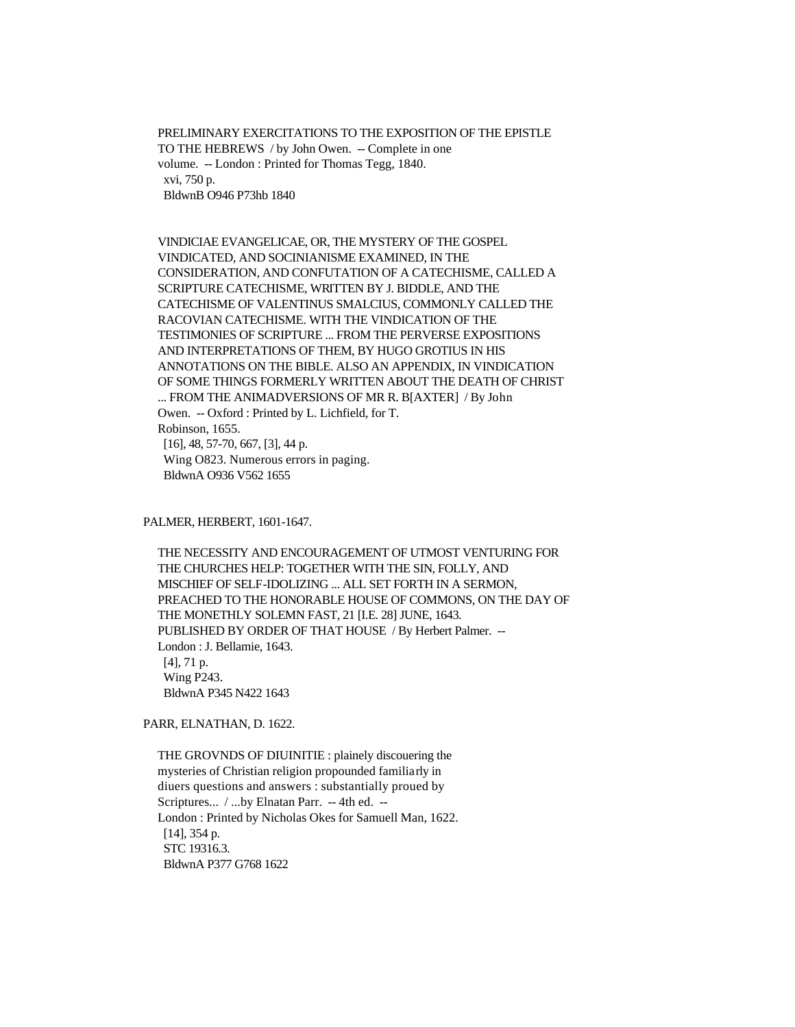PRELIMINARY EXERCITATIONS TO THE EXPOSITION OF THE EPISTLE TO THE HEBREWS / by John Owen. -- Complete in one volume. -- London : Printed for Thomas Tegg, 1840. xvi, 750 p. BldwnB O946 P73hb 1840

 VINDICIAE EVANGELICAE, OR, THE MYSTERY OF THE GOSPEL VINDICATED, AND SOCINIANISME EXAMINED, IN THE CONSIDERATION, AND CONFUTATION OF A CATECHISME, CALLED A SCRIPTURE CATECHISME, WRITTEN BY J. BIDDLE, AND THE CATECHISME OF VALENTINUS SMALCIUS, COMMONLY CALLED THE RACOVIAN CATECHISME. WITH THE VINDICATION OF THE TESTIMONIES OF SCRIPTURE ... FROM THE PERVERSE EXPOSITIONS AND INTERPRETATIONS OF THEM, BY HUGO GROTIUS IN HIS ANNOTATIONS ON THE BIBLE. ALSO AN APPENDIX, IN VINDICATION OF SOME THINGS FORMERLY WRITTEN ABOUT THE DEATH OF CHRIST ... FROM THE ANIMADVERSIONS OF MR R. B[AXTER] / By John Owen. -- Oxford : Printed by L. Lichfield, for T. Robinson, 1655. [16], 48, 57-70, 667, [3], 44 p. Wing O823. Numerous errors in paging. BldwnA O936 V562 1655

PALMER, HERBERT, 1601-1647.

 THE NECESSITY AND ENCOURAGEMENT OF UTMOST VENTURING FOR THE CHURCHES HELP: TOGETHER WITH THE SIN, FOLLY, AND MISCHIEF OF SELF-IDOLIZING ... ALL SET FORTH IN A SERMON, PREACHED TO THE HONORABLE HOUSE OF COMMONS, ON THE DAY OF THE MONETHLY SOLEMN FAST, 21 [I.E. 28] JUNE, 1643. PUBLISHED BY ORDER OF THAT HOUSE / By Herbert Palmer. -- London : J. Bellamie, 1643. [4], 71 p. Wing P243. BldwnA P345 N422 1643

PARR, ELNATHAN, D. 1622.

 THE GROVNDS OF DIUINITIE : plainely discouering the mysteries of Christian religion propounded familiarly in diuers questions and answers : substantially proued by Scriptures... / ...by Elnatan Parr. -- 4th ed. -- London : Printed by Nicholas Okes for Samuell Man, 1622. [14], 354 p. STC 19316.3. BldwnA P377 G768 1622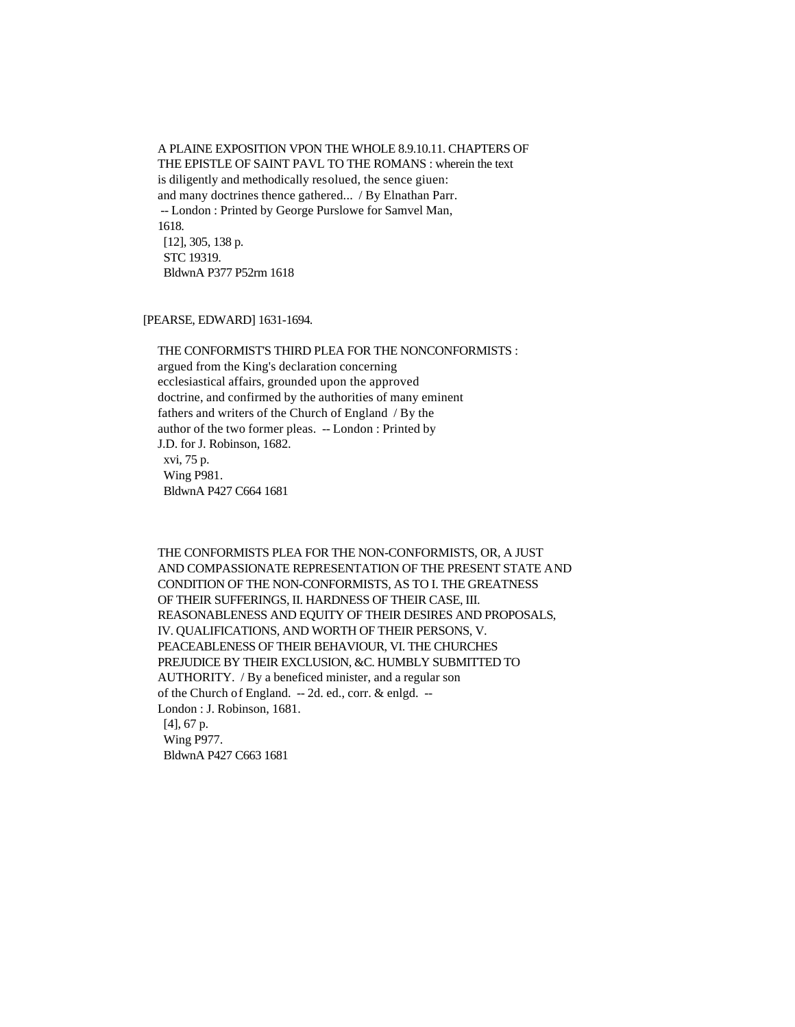A PLAINE EXPOSITION VPON THE WHOLE 8.9.10.11. CHAPTERS OF THE EPISTLE OF SAINT PAVL TO THE ROMANS : wherein the text is diligently and methodically resolued, the sence giuen: and many doctrines thence gathered... / By Elnathan Parr. -- London : Printed by George Purslowe for Samvel Man, 1618. [12], 305, 138 p. STC 19319. BldwnA P377 P52rm 1618

### [PEARSE, EDWARD] 1631-1694.

 THE CONFORMIST'S THIRD PLEA FOR THE NONCONFORMISTS : argued from the King's declaration concerning ecclesiastical affairs, grounded upon the approved doctrine, and confirmed by the authorities of many eminent fathers and writers of the Church of England / By the author of the two former pleas. -- London : Printed by J.D. for J. Robinson, 1682. xvi, 75 p. Wing P981. BldwnA P427 C664 1681

 THE CONFORMISTS PLEA FOR THE NON-CONFORMISTS, OR, A JUST AND COMPASSIONATE REPRESENTATION OF THE PRESENT STATE AND CONDITION OF THE NON-CONFORMISTS, AS TO I. THE GREATNESS OF THEIR SUFFERINGS, II. HARDNESS OF THEIR CASE, III. REASONABLENESS AND EQUITY OF THEIR DESIRES AND PROPOSALS, IV. QUALIFICATIONS, AND WORTH OF THEIR PERSONS, V. PEACEABLENESS OF THEIR BEHAVIOUR, VI. THE CHURCHES PREJUDICE BY THEIR EXCLUSION, &C. HUMBLY SUBMITTED TO AUTHORITY. / By a beneficed minister, and a regular son of the Church of England. -- 2d. ed., corr. & enlgd. -- London : J. Robinson, 1681. [4], 67 p. Wing P977. BldwnA P427 C663 1681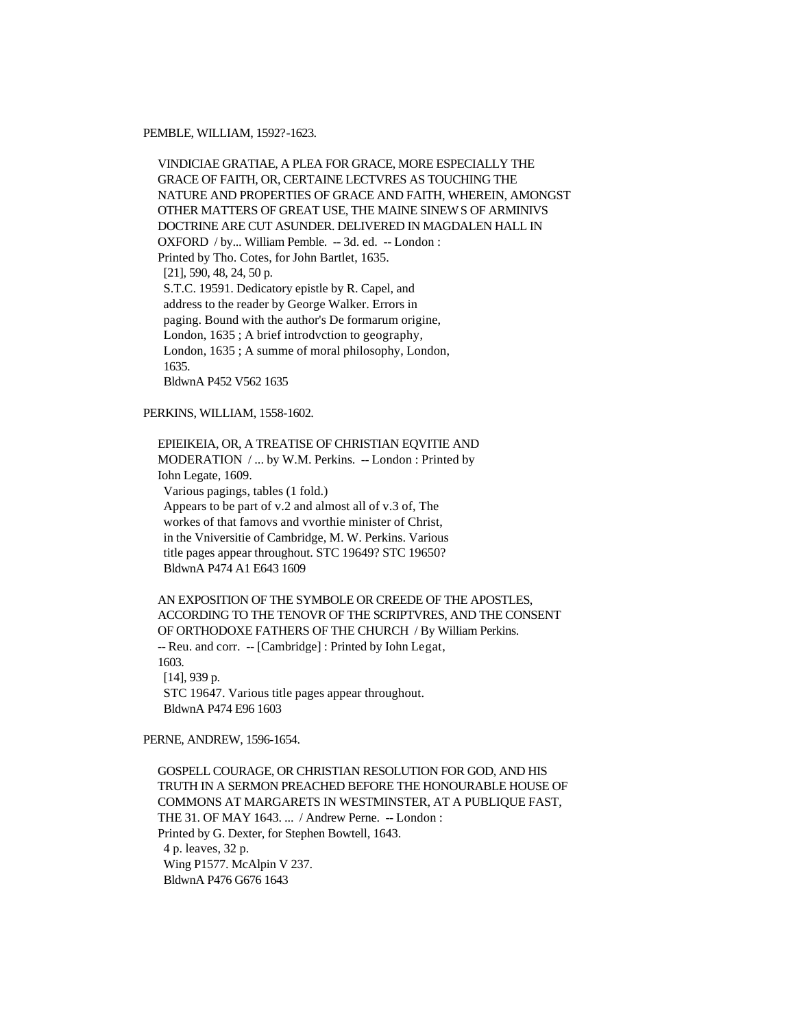### PEMBLE, WILLIAM, 1592?-1623.

 VINDICIAE GRATIAE, A PLEA FOR GRACE, MORE ESPECIALLY THE GRACE OF FAITH, OR, CERTAINE LECTVRES AS TOUCHING THE NATURE AND PROPERTIES OF GRACE AND FAITH, WHEREIN, AMONGST OTHER MATTERS OF GREAT USE, THE MAINE SINEWS OF ARMINIVS DOCTRINE ARE CUT ASUNDER. DELIVERED IN MAGDALEN HALL IN OXFORD / by... William Pemble. -- 3d. ed. -- London : Printed by Tho. Cotes, for John Bartlet, 1635. [21], 590, 48, 24, 50 p. S.T.C. 19591. Dedicatory epistle by R. Capel, and address to the reader by George Walker. Errors in paging. Bound with the author's De formarum origine, London, 1635 ; A brief introdvction to geography, London, 1635 ; A summe of moral philosophy, London, 1635. BldwnA P452 V562 1635

# PERKINS, WILLIAM, 1558-1602.

 EPIEIKEIA, OR, A TREATISE OF CHRISTIAN EQVITIE AND MODERATION / ... by W.M. Perkins. -- London : Printed by Iohn Legate, 1609. Various pagings, tables (1 fold.) Appears to be part of v.2 and almost all of v.3 of, The workes of that famovs and vvorthie minister of Christ, in the Vniversitie of Cambridge, M. W. Perkins. Various title pages appear throughout. STC 19649? STC 19650? BldwnA P474 A1 E643 1609

 AN EXPOSITION OF THE SYMBOLE OR CREEDE OF THE APOSTLES, ACCORDING TO THE TENOVR OF THE SCRIPTVRES, AND THE CONSENT OF ORTHODOXE FATHERS OF THE CHURCH / By William Perkins. -- Reu. and corr. -- [Cambridge] : Printed by Iohn Legat, 1603. [14], 939 p. STC 19647. Various title pages appear throughout. BldwnA P474 E96 1603

PERNE, ANDREW, 1596-1654.

 GOSPELL COURAGE, OR CHRISTIAN RESOLUTION FOR GOD, AND HIS TRUTH IN A SERMON PREACHED BEFORE THE HONOURABLE HOUSE OF COMMONS AT MARGARETS IN WESTMINSTER, AT A PUBLIQUE FAST, THE 31. OF MAY 1643. ... / Andrew Perne. -- London : Printed by G. Dexter, for Stephen Bowtell, 1643. 4 p. leaves, 32 p. Wing P1577. McAlpin V 237. BldwnA P476 G676 1643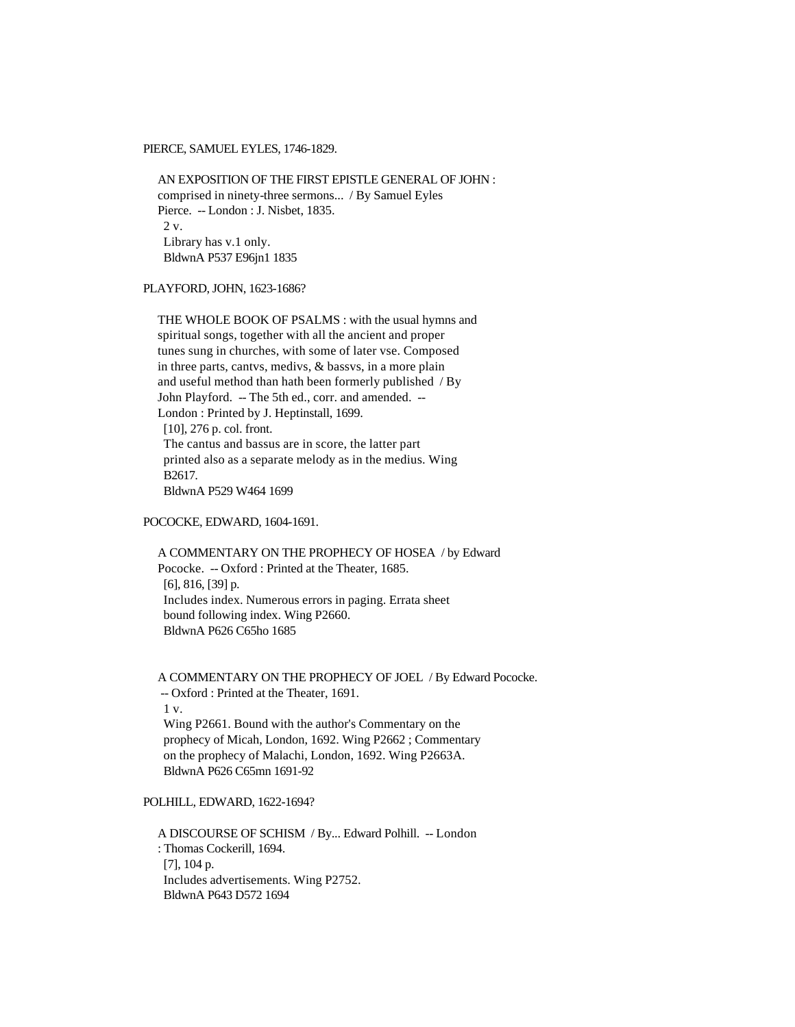PIERCE, SAMUEL EYLES, 1746-1829.

 AN EXPOSITION OF THE FIRST EPISTLE GENERAL OF JOHN : comprised in ninety-three sermons... / By Samuel Eyles Pierce. -- London : J. Nisbet, 1835.  $2 \mathrm{v}$ . Library has v.1 only. BldwnA P537 E96jn1 1835

PLAYFORD, JOHN, 1623-1686?

 THE WHOLE BOOK OF PSALMS : with the usual hymns and spiritual songs, together with all the ancient and proper tunes sung in churches, with some of later vse. Composed in three parts, cantvs, medivs, & bassvs, in a more plain and useful method than hath been formerly published / By John Playford. -- The 5th ed., corr. and amended. -- London : Printed by J. Heptinstall, 1699. [10], 276 p. col. front. The cantus and bassus are in score, the latter part printed also as a separate melody as in the medius. Wing B2617. BldwnA P529 W464 1699

# POCOCKE, EDWARD, 1604-1691.

 A COMMENTARY ON THE PROPHECY OF HOSEA / by Edward Pococke. -- Oxford : Printed at the Theater, 1685. [6], 816, [39] p. Includes index. Numerous errors in paging. Errata sheet bound following index. Wing P2660. BldwnA P626 C65ho 1685

 A COMMENTARY ON THE PROPHECY OF JOEL / By Edward Pococke. -- Oxford : Printed at the Theater, 1691. 1 v. Wing P2661. Bound with the author's Commentary on the prophecy of Micah, London, 1692. Wing P2662 ; Commentary on the prophecy of Malachi, London, 1692. Wing P2663A. BldwnA P626 C65mn 1691-92

# POLHILL, EDWARD, 1622-1694?

 A DISCOURSE OF SCHISM / By... Edward Polhill. -- London : Thomas Cockerill, 1694. [7], 104 p. Includes advertisements. Wing P2752. BldwnA P643 D572 1694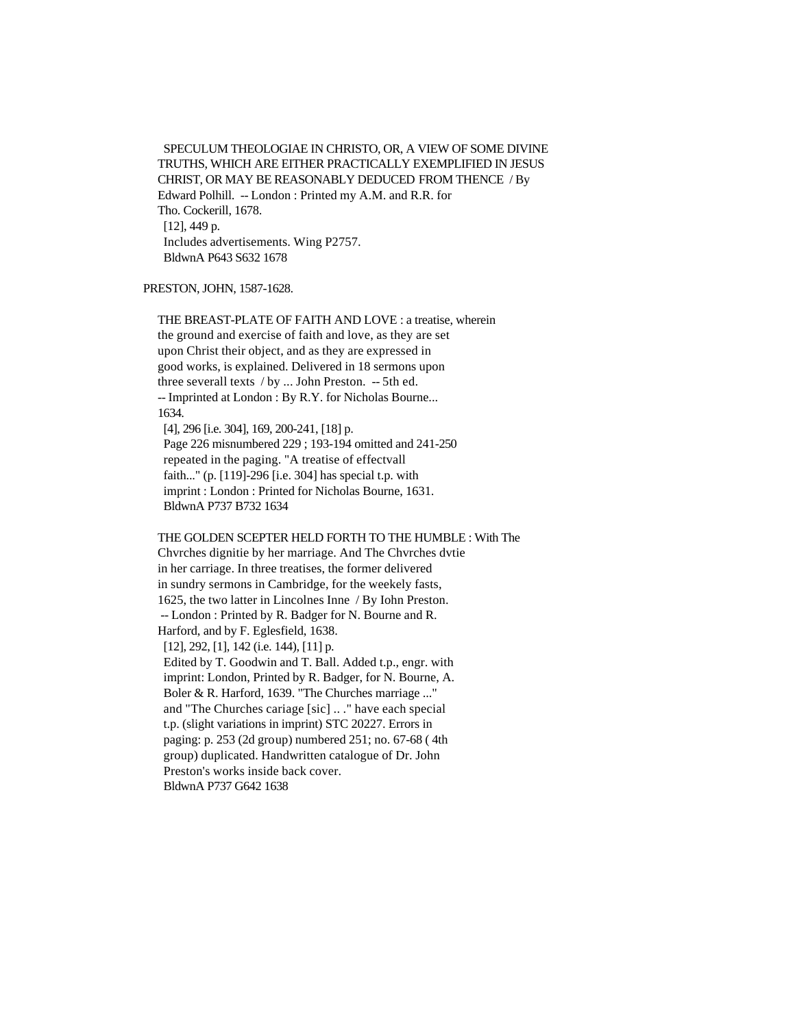SPECULUM THEOLOGIAE IN CHRISTO, OR, A VIEW OF SOME DIVINE TRUTHS, WHICH ARE EITHER PRACTICALLY EXEMPLIFIED IN JESUS CHRIST, OR MAY BE REASONABLY DEDUCED FROM THENCE / By Edward Polhill. -- London : Printed my A.M. and R.R. for Tho. Cockerill, 1678. [12], 449 p. Includes advertisements. Wing P2757. BldwnA P643 S632 1678

# PRESTON, JOHN, 1587-1628.

 THE BREAST-PLATE OF FAITH AND LOVE : a treatise, wherein the ground and exercise of faith and love, as they are set upon Christ their object, and as they are expressed in good works, is explained. Delivered in 18 sermons upon three severall texts / by ... John Preston. -- 5th ed. -- Imprinted at London : By R.Y. for Nicholas Bourne... 1634. [4], 296 [i.e. 304], 169, 200-241, [18] p.

 Page 226 misnumbered 229 ; 193-194 omitted and 241-250 repeated in the paging. "A treatise of effectvall faith..." (p. [119]-296 [i.e. 304] has special t.p. with imprint : London : Printed for Nicholas Bourne, 1631. BldwnA P737 B732 1634

#### THE GOLDEN SCEPTER HELD FORTH TO THE HUMBLE : With The

 Chvrches dignitie by her marriage. And The Chvrches dvtie in her carriage. In three treatises, the former delivered in sundry sermons in Cambridge, for the weekely fasts, 1625, the two latter in Lincolnes Inne / By Iohn Preston. -- London : Printed by R. Badger for N. Bourne and R. Harford, and by F. Eglesfield, 1638. [12], 292, [1], 142 (i.e. 144), [11] p. Edited by T. Goodwin and T. Ball. Added t.p., engr. with imprint: London, Printed by R. Badger, for N. Bourne, A. Boler & R. Harford, 1639. "The Churches marriage ..." and "The Churches cariage [sic] .. ." have each special t.p. (slight variations in imprint) STC 20227. Errors in paging: p. 253 (2d group) numbered 251; no. 67-68 ( 4th group) duplicated. Handwritten catalogue of Dr. John Preston's works inside back cover. BldwnA P737 G642 1638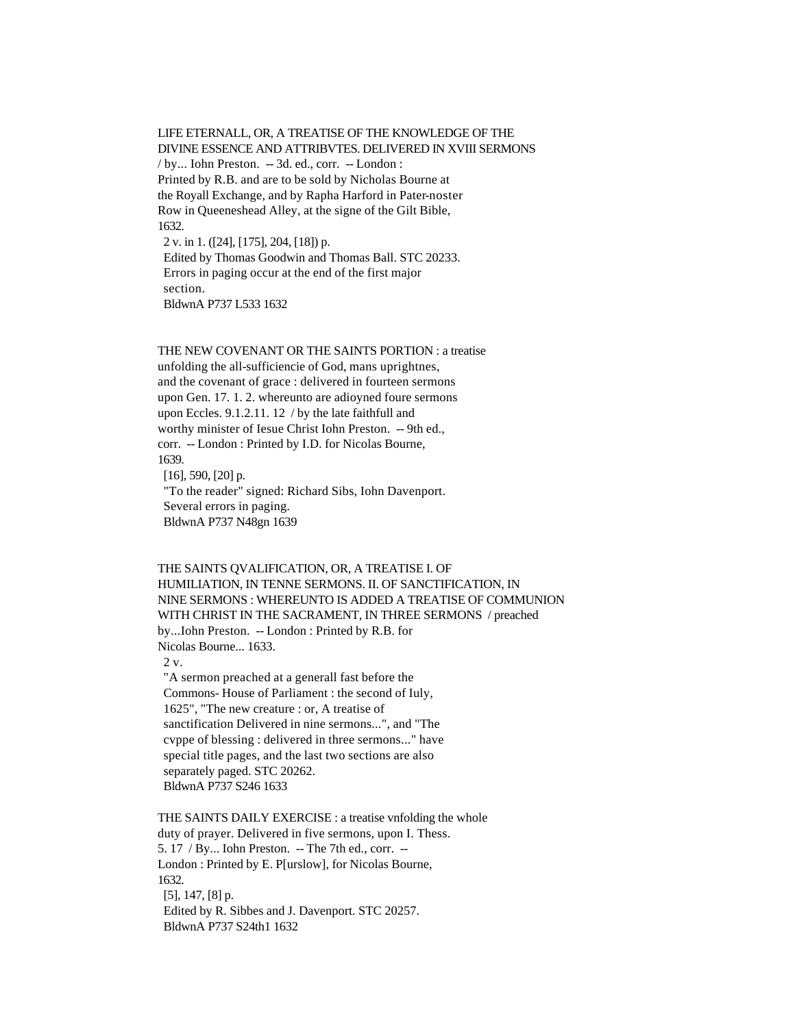LIFE ETERNALL, OR, A TREATISE OF THE KNOWLEDGE OF THE DIVINE ESSENCE AND ATTRIBVTES. DELIVERED IN XVIII SERMONS / by... Iohn Preston. -- 3d. ed., corr. -- London : Printed by R.B. and are to be sold by Nicholas Bourne at the Royall Exchange, and by Rapha Harford in Pater-noster Row in Queeneshead Alley, at the signe of the Gilt Bible, 1632. 2 v. in 1. ([24], [175], 204, [18]) p. Edited by Thomas Goodwin and Thomas Ball. STC 20233.

 Errors in paging occur at the end of the first major section.

BldwnA P737 L533 1632

 THE NEW COVENANT OR THE SAINTS PORTION : a treatise unfolding the all-sufficiencie of God, mans uprightnes, and the covenant of grace : delivered in fourteen sermons upon Gen. 17. 1. 2. whereunto are adioyned foure sermons upon Eccles. 9.1.2.11. 12 / by the late faithfull and worthy minister of Iesue Christ Iohn Preston. -- 9th ed., corr. -- London : Printed by I.D. for Nicolas Bourne, 1639.  $[16]$ , 590,  $[20]$  p. "To the reader" signed: Richard Sibs, Iohn Davenport. Several errors in paging.

BldwnA P737 N48gn 1639

 THE SAINTS QVALIFICATION, OR, A TREATISE I. OF HUMILIATION, IN TENNE SERMONS. II. OF SANCTIFICATION, IN NINE SERMONS : WHEREUNTO IS ADDED A TREATISE OF COMMUNION WITH CHRIST IN THE SACRAMENT, IN THREE SERMONS / preached by...Iohn Preston. -- London : Printed by R.B. for Nicolas Bourne... 1633.

 $2 \times$ 

 "A sermon preached at a generall fast before the Commons- House of Parliament : the second of Iuly, 1625", "The new creature : or, A treatise of sanctification Delivered in nine sermons...", and "The cvppe of blessing : delivered in three sermons..." have special title pages, and the last two sections are also separately paged. STC 20262. BldwnA P737 S246 1633

 THE SAINTS DAILY EXERCISE : a treatise vnfolding the whole duty of prayer. Delivered in five sermons, upon I. Thess. 5. 17 / By... Iohn Preston. -- The 7th ed., corr. -- London : Printed by E. P[urslow], for Nicolas Bourne, 1632. [5], 147, [8] p. Edited by R. Sibbes and J. Davenport. STC 20257. BldwnA P737 S24th1 1632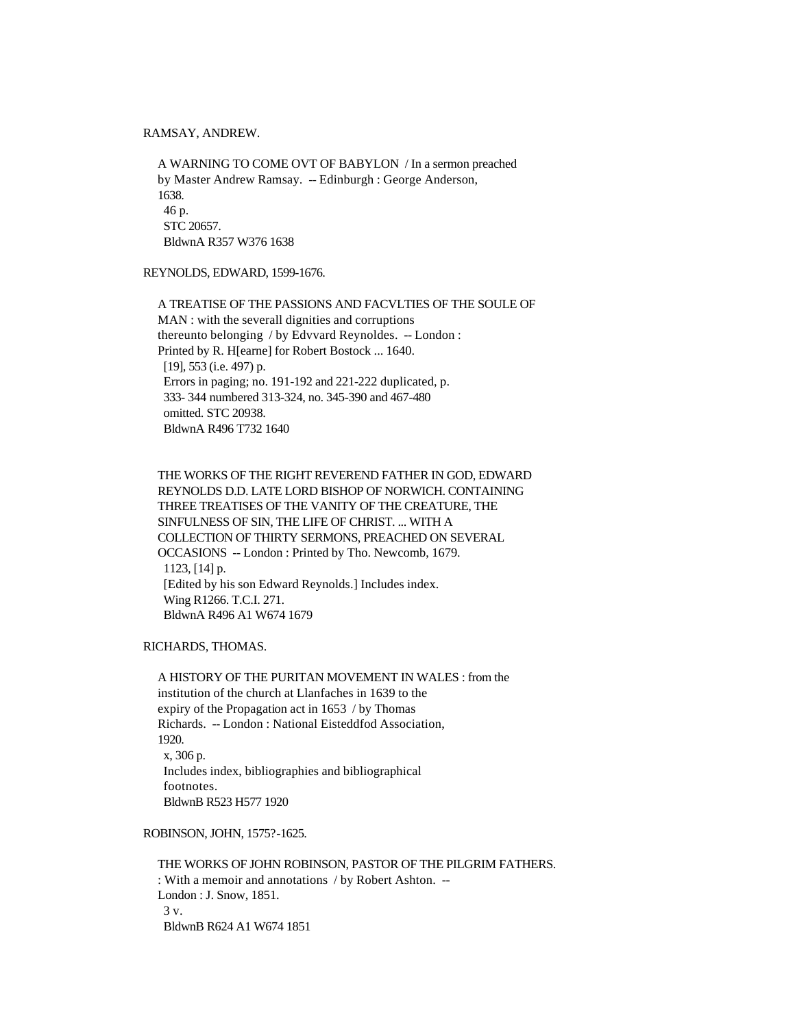RAMSAY, ANDREW.

 A WARNING TO COME OVT OF BABYLON / In a sermon preached by Master Andrew Ramsay. -- Edinburgh : George Anderson, 1638. 46 p. STC 20657. BldwnA R357 W376 1638

REYNOLDS, EDWARD, 1599-1676.

 A TREATISE OF THE PASSIONS AND FACVLTIES OF THE SOULE OF MAN : with the severall dignities and corruptions thereunto belonging / by Edvvard Reynoldes. -- London : Printed by R. H[earne] for Robert Bostock ... 1640. [19], 553 (i.e. 497) p. Errors in paging; no. 191-192 and 221-222 duplicated, p. 333- 344 numbered 313-324, no. 345-390 and 467-480 omitted. STC 20938. BldwnA R496 T732 1640

 THE WORKS OF THE RIGHT REVEREND FATHER IN GOD, EDWARD REYNOLDS D.D. LATE LORD BISHOP OF NORWICH. CONTAINING THREE TREATISES OF THE VANITY OF THE CREATURE, THE SINFULNESS OF SIN, THE LIFE OF CHRIST. ... WITH A COLLECTION OF THIRTY SERMONS, PREACHED ON SEVERAL OCCASIONS -- London : Printed by Tho. Newcomb, 1679. 1123, [14] p. [Edited by his son Edward Reynolds.] Includes index. Wing R1266. T.C.I. 271. BldwnA R496 A1 W674 1679

RICHARDS, THOMAS.

 A HISTORY OF THE PURITAN MOVEMENT IN WALES : from the institution of the church at Llanfaches in 1639 to the expiry of the Propagation act in 1653 / by Thomas Richards. -- London : National Eisteddfod Association, 1920. x, 306 p. Includes index, bibliographies and bibliographical footnotes. BldwnB R523 H577 1920

ROBINSON, JOHN, 1575?-1625.

 THE WORKS OF JOHN ROBINSON, PASTOR OF THE PILGRIM FATHERS. : With a memoir and annotations / by Robert Ashton. -- London : J. Snow, 1851. 3 v. BldwnB R624 A1 W674 1851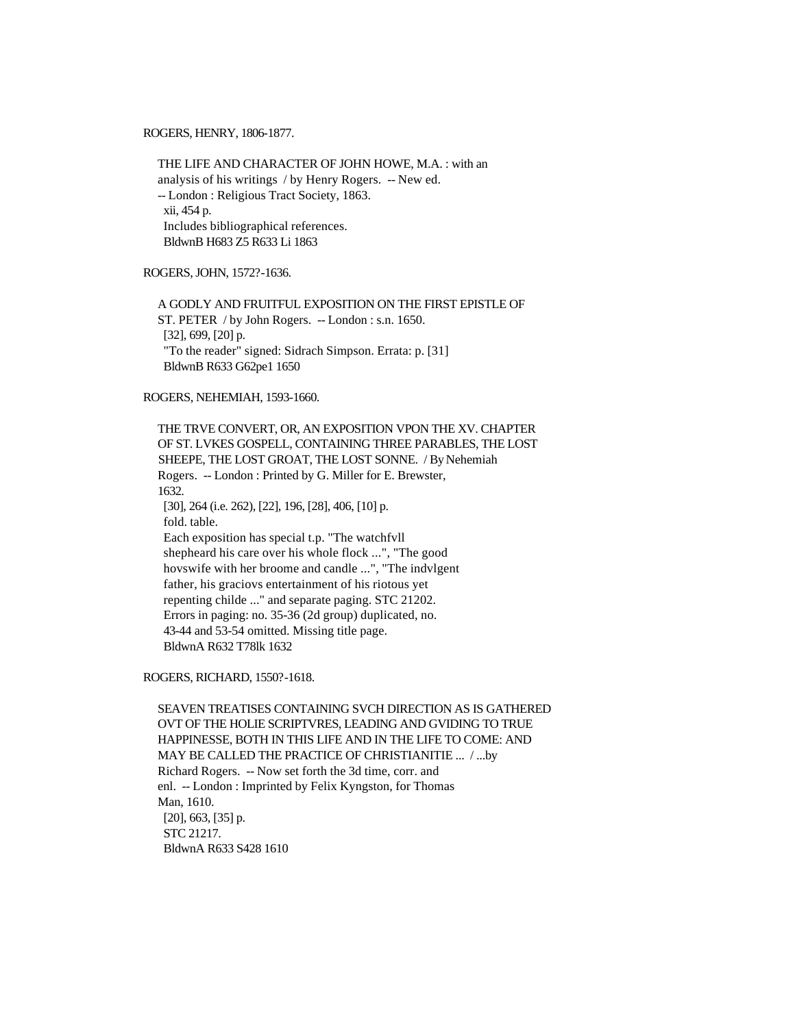ROGERS, HENRY, 1806-1877.

 THE LIFE AND CHARACTER OF JOHN HOWE, M.A. : with an analysis of his writings / by Henry Rogers. -- New ed. -- London : Religious Tract Society, 1863. xii, 454 p. Includes bibliographical references. BldwnB H683 Z5 R633 Li 1863

ROGERS, JOHN, 1572?-1636.

 A GODLY AND FRUITFUL EXPOSITION ON THE FIRST EPISTLE OF ST. PETER / by John Rogers. -- London : s.n. 1650. [32], 699, [20] p. "To the reader" signed: Sidrach Simpson. Errata: p. [31] BldwnB R633 G62pe1 1650

#### ROGERS, NEHEMIAH, 1593-1660.

 THE TRVE CONVERT, OR, AN EXPOSITION VPON THE XV. CHAPTER OF ST. LVKES GOSPELL, CONTAINING THREE PARABLES, THE LOST SHEEPE, THE LOST GROAT, THE LOST SONNE. / By Nehemiah Rogers. -- London : Printed by G. Miller for E. Brewster, 1632. [30], 264 (i.e. 262), [22], 196, [28], 406, [10] p. fold. table. Each exposition has special t.p. "The watchfvll shepheard his care over his whole flock ...", "The good hovswife with her broome and candle ...", "The indvlgent father, his graciovs entertainment of his riotous yet repenting childe ..." and separate paging. STC 21202. Errors in paging: no. 35-36 (2d group) duplicated, no. 43-44 and 53-54 omitted. Missing title page. BldwnA R632 T78lk 1632

ROGERS, RICHARD, 1550?-1618.

 SEAVEN TREATISES CONTAINING SVCH DIRECTION AS IS GATHERED OVT OF THE HOLIE SCRIPTVRES, LEADING AND GVIDING TO TRUE HAPPINESSE, BOTH IN THIS LIFE AND IN THE LIFE TO COME: AND MAY BE CALLED THE PRACTICE OF CHRISTIANITIE ... / ...by Richard Rogers. -- Now set forth the 3d time, corr. and enl. -- London : Imprinted by Felix Kyngston, for Thomas Man, 1610. [20], 663, [35] p. STC 21217. BldwnA R633 S428 1610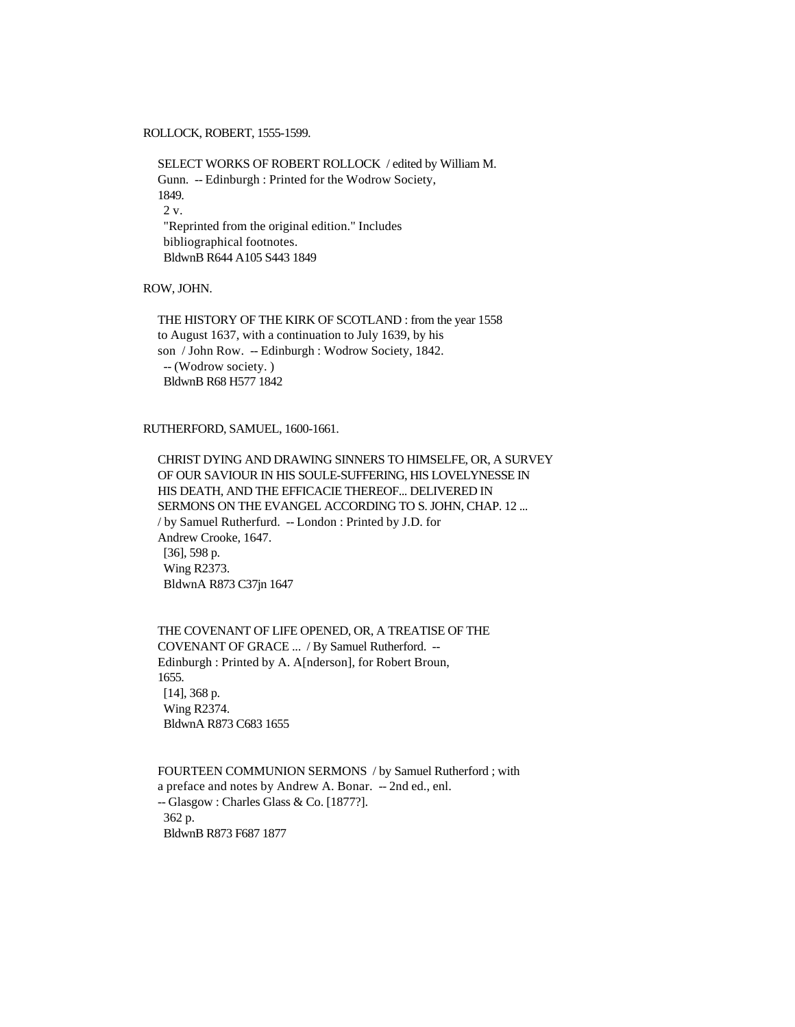ROLLOCK, ROBERT, 1555-1599.

 SELECT WORKS OF ROBERT ROLLOCK / edited by William M. Gunn. -- Edinburgh : Printed for the Wodrow Society, 1849. 2 v. "Reprinted from the original edition." Includes bibliographical footnotes. BldwnB R644 A105 S443 1849

ROW, JOHN.

 THE HISTORY OF THE KIRK OF SCOTLAND : from the year 1558 to August 1637, with a continuation to July 1639, by his son / John Row. -- Edinburgh : Wodrow Society, 1842. -- (Wodrow society. ) BldwnB R68 H577 1842

RUTHERFORD, SAMUEL, 1600-1661.

 CHRIST DYING AND DRAWING SINNERS TO HIMSELFE, OR, A SURVEY OF OUR SAVIOUR IN HIS SOULE-SUFFERING, HIS LOVELYNESSE IN HIS DEATH, AND THE EFFICACIE THEREOF... DELIVERED IN SERMONS ON THE EVANGEL ACCORDING TO S. JOHN, CHAP. 12 ... / by Samuel Rutherfurd. -- London : Printed by J.D. for Andrew Crooke, 1647. [36], 598 p. Wing R2373. BldwnA R873 C37jn 1647

 THE COVENANT OF LIFE OPENED, OR, A TREATISE OF THE COVENANT OF GRACE ... / By Samuel Rutherford. -- Edinburgh : Printed by A. A[nderson], for Robert Broun, 1655. [14], 368 p. Wing R2374. BldwnA R873 C683 1655

 FOURTEEN COMMUNION SERMONS / by Samuel Rutherford ; with a preface and notes by Andrew A. Bonar. -- 2nd ed., enl. -- Glasgow : Charles Glass & Co. [1877?]. 362 p. BldwnB R873 F687 1877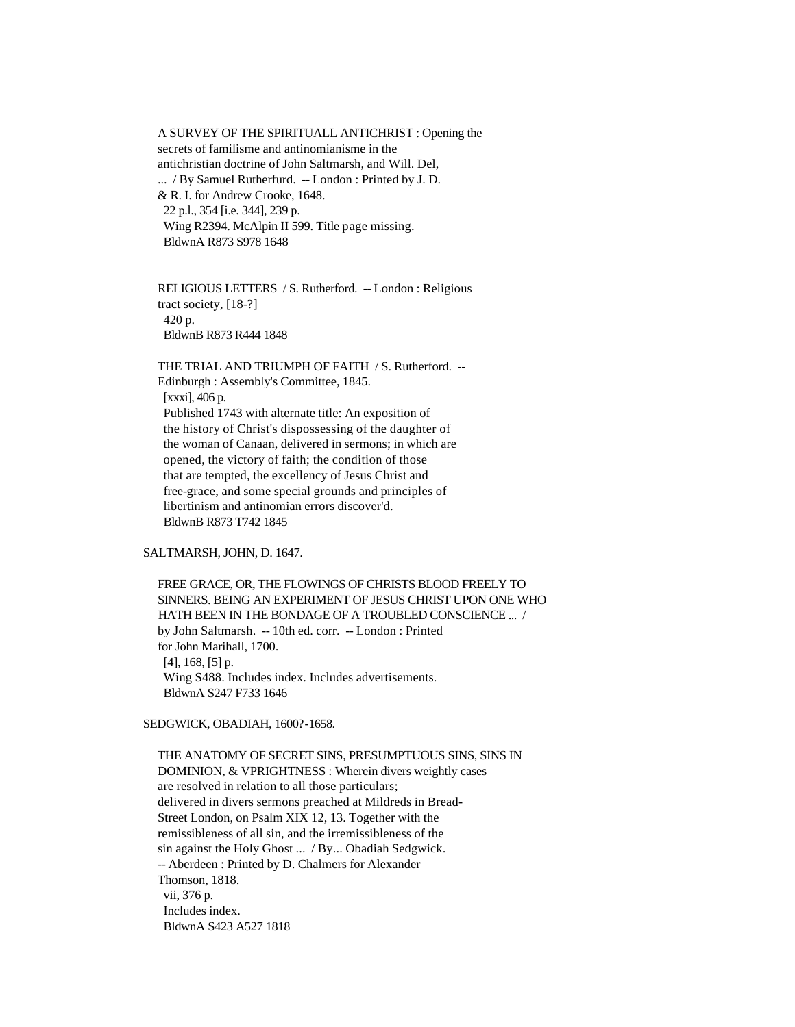A SURVEY OF THE SPIRITUALL ANTICHRIST : Opening the secrets of familisme and antinomianisme in the antichristian doctrine of John Saltmarsh, and Will. Del, ... / By Samuel Rutherfurd. -- London : Printed by J. D. & R. I. for Andrew Crooke, 1648. 22 p.l., 354 [i.e. 344], 239 p. Wing R2394. McAlpin II 599. Title page missing. BldwnA R873 S978 1648

 RELIGIOUS LETTERS / S. Rutherford. -- London : Religious tract society, [18-?] 420 p. BldwnB R873 R444 1848

 THE TRIAL AND TRIUMPH OF FAITH / S. Rutherford. -- Edinburgh : Assembly's Committee, 1845. [xxxi], 406 p. Published 1743 with alternate title: An exposition of the history of Christ's dispossessing of the daughter of the woman of Canaan, delivered in sermons; in which are opened, the victory of faith; the condition of those that are tempted, the excellency of Jesus Christ and free-grace, and some special grounds and principles of libertinism and antinomian errors discover'd. BldwnB R873 T742 1845

### SALTMARSH, JOHN, D. 1647.

 FREE GRACE, OR, THE FLOWINGS OF CHRISTS BLOOD FREELY TO SINNERS. BEING AN EXPERIMENT OF JESUS CHRIST UPON ONE WHO HATH BEEN IN THE BONDAGE OF A TROUBLED CONSCIENCE ... / by John Saltmarsh. -- 10th ed. corr. -- London : Printed for John Marihall, 1700. [4], 168, [5] p. Wing S488. Includes index. Includes advertisements. BldwnA S247 F733 1646

### SEDGWICK, OBADIAH, 1600?-1658.

 THE ANATOMY OF SECRET SINS, PRESUMPTUOUS SINS, SINS IN DOMINION, & VPRIGHTNESS : Wherein divers weightly cases are resolved in relation to all those particulars; delivered in divers sermons preached at Mildreds in Bread- Street London, on Psalm XIX 12, 13. Together with the remissibleness of all sin, and the irremissibleness of the sin against the Holy Ghost ... / By... Obadiah Sedgwick. -- Aberdeen : Printed by D. Chalmers for Alexander Thomson, 1818. vii, 376 p. Includes index. BldwnA S423 A527 1818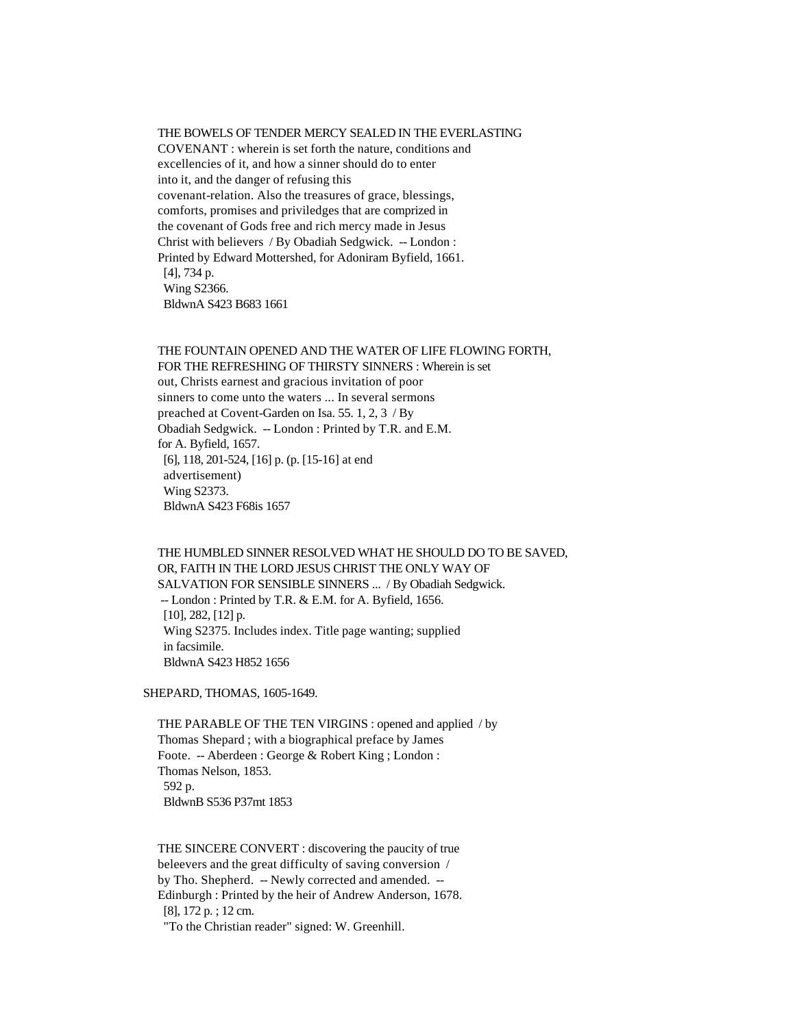#### THE BOWELS OF TENDER MERCY SEALED IN THE EVERLASTING

 COVENANT : wherein is set forth the nature, conditions and excellencies of it, and how a sinner should do to enter into it, and the danger of refusing this covenant-relation. Also the treasures of grace, blessings, comforts, promises and priviledges that are comprized in the covenant of Gods free and rich mercy made in Jesus Christ with believers / By Obadiah Sedgwick. -- London : Printed by Edward Mottershed, for Adoniram Byfield, 1661. [4], 734 p. Wing S2366. BldwnA S423 B683 1661

 THE FOUNTAIN OPENED AND THE WATER OF LIFE FLOWING FORTH, FOR THE REFRESHING OF THIRSTY SINNERS : Wherein is set out, Christs earnest and gracious invitation of poor sinners to come unto the waters ... In several sermons preached at Covent-Garden on Isa. 55. 1, 2, 3 / By Obadiah Sedgwick. -- London : Printed by T.R. and E.M. for A. Byfield, 1657. [6], 118, 201-524, [16] p. (p. [15-16] at end advertisement) Wing S2373. BldwnA S423 F68is 1657

 THE HUMBLED SINNER RESOLVED WHAT HE SHOULD DO TO BE SAVED, OR, FAITH IN THE LORD JESUS CHRIST THE ONLY WAY OF SALVATION FOR SENSIBLE SINNERS ... / By Obadiah Sedgwick. -- London : Printed by T.R. & E.M. for A. Byfield, 1656. [10], 282, [12] p. Wing S2375. Includes index. Title page wanting; supplied in facsimile. BldwnA S423 H852 1656

SHEPARD, THOMAS, 1605-1649.

 THE PARABLE OF THE TEN VIRGINS : opened and applied / by Thomas Shepard ; with a biographical preface by James Foote. -- Aberdeen : George & Robert King ; London : Thomas Nelson, 1853. 592 p. BldwnB S536 P37mt 1853

 THE SINCERE CONVERT : discovering the paucity of true beleevers and the great difficulty of saving conversion / by Tho. Shepherd. -- Newly corrected and amended. -- Edinburgh : Printed by the heir of Andrew Anderson, 1678. [8], 172 p. ; 12 cm.

"To the Christian reader" signed: W. Greenhill.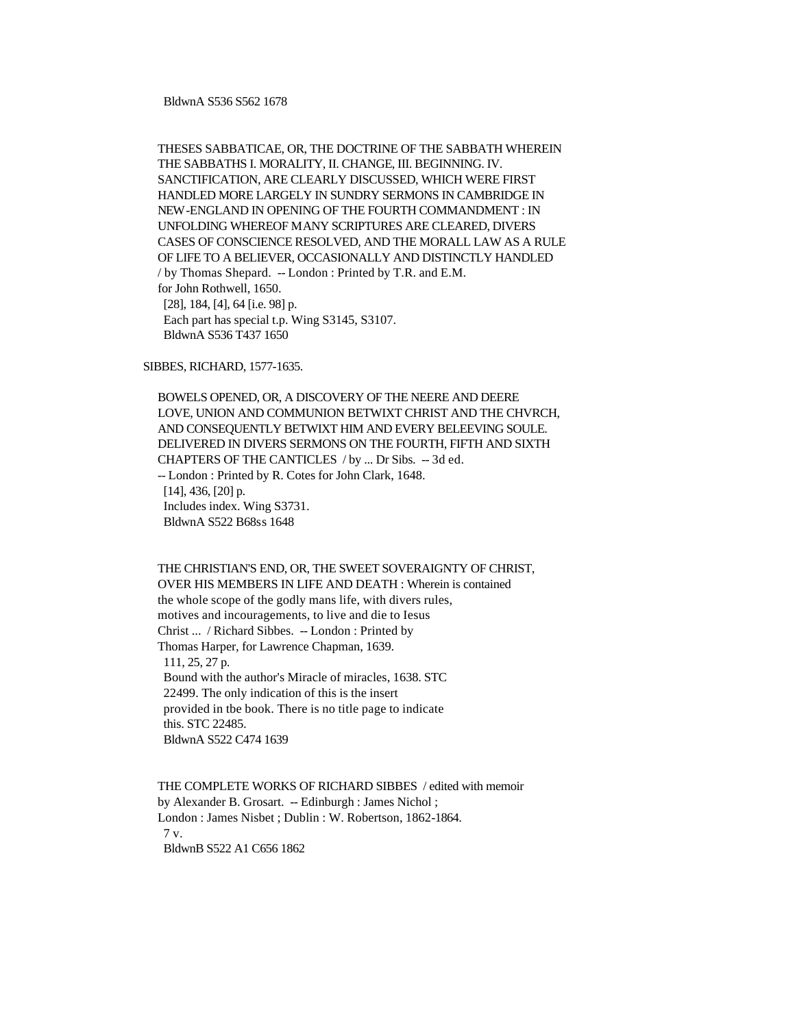THESES SABBATICAE, OR, THE DOCTRINE OF THE SABBATH WHEREIN THE SABBATHS I. MORALITY, II. CHANGE, III. BEGINNING. IV. SANCTIFICATION, ARE CLEARLY DISCUSSED, WHICH WERE FIRST HANDLED MORE LARGELY IN SUNDRY SERMONS IN CAMBRIDGE IN NEW-ENGLAND IN OPENING OF THE FOURTH COMMANDMENT : IN UNFOLDING WHEREOF MANY SCRIPTURES ARE CLEARED, DIVERS CASES OF CONSCIENCE RESOLVED, AND THE MORALL LAW AS A RULE OF LIFE TO A BELIEVER, OCCASIONALLY AND DISTINCTLY HANDLED / by Thomas Shepard. -- London : Printed by T.R. and E.M. for John Rothwell, 1650. [28], 184, [4], 64 [i.e. 98] p. Each part has special t.p. Wing S3145, S3107. BldwnA S536 T437 1650

SIBBES, RICHARD, 1577-1635.

 BOWELS OPENED, OR, A DISCOVERY OF THE NEERE AND DEERE LOVE, UNION AND COMMUNION BETWIXT CHRIST AND THE CHVRCH, AND CONSEQUENTLY BETWIXT HIM AND EVERY BELEEVING SOULE. DELIVERED IN DIVERS SERMONS ON THE FOURTH, FIFTH AND SIXTH CHAPTERS OF THE CANTICLES / by ... Dr Sibs. -- 3d ed. -- London : Printed by R. Cotes for John Clark, 1648. [14], 436, [20] p. Includes index. Wing S3731. BldwnA S522 B68ss 1648

 THE CHRISTIAN'S END, OR, THE SWEET SOVERAIGNTY OF CHRIST, OVER HIS MEMBERS IN LIFE AND DEATH : Wherein is contained the whole scope of the godly mans life, with divers rules, motives and incouragements, to live and die to Iesus Christ ... / Richard Sibbes. -- London : Printed by Thomas Harper, for Lawrence Chapman, 1639. 111, 25, 27 p. Bound with the author's Miracle of miracles, 1638. STC 22499. The only indication of this is the insert provided in tbe book. There is no title page to indicate this. STC 22485. BldwnA S522 C474 1639

 THE COMPLETE WORKS OF RICHARD SIBBES / edited with memoir by Alexander B. Grosart. -- Edinburgh : James Nichol ; London : James Nisbet ; Dublin : W. Robertson, 1862-1864. 7 v. BldwnB S522 A1 C656 1862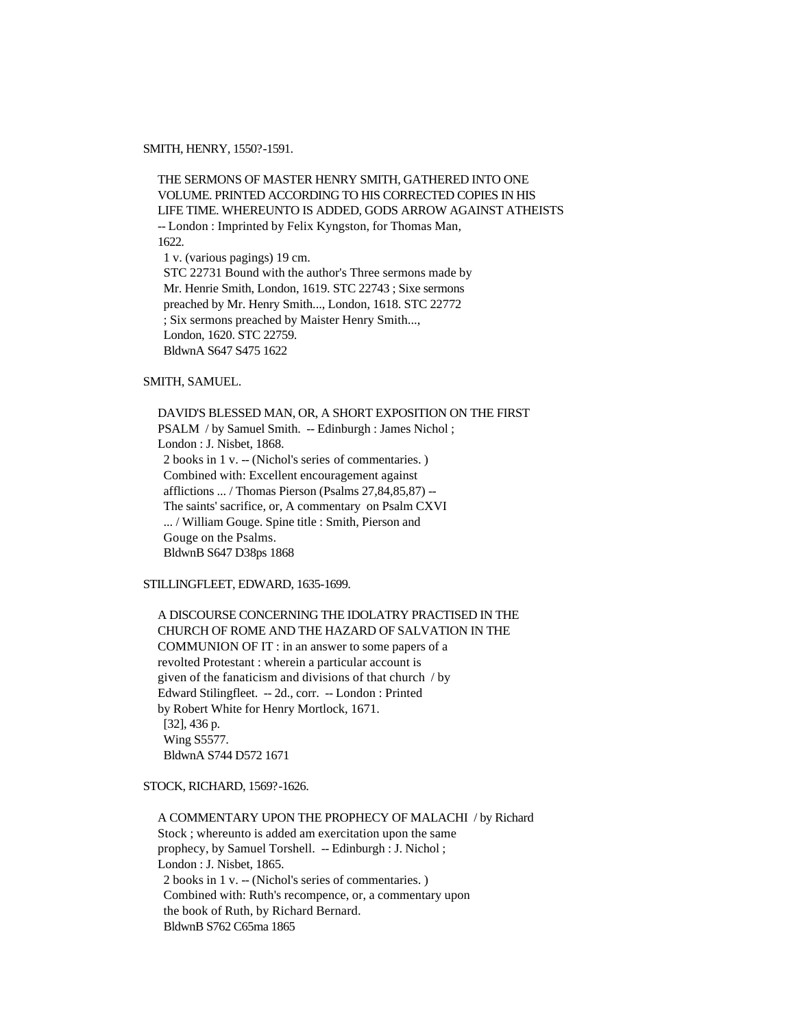SMITH, HENRY, 1550?-1591.

 THE SERMONS OF MASTER HENRY SMITH, GATHERED INTO ONE VOLUME. PRINTED ACCORDING TO HIS CORRECTED COPIES IN HIS LIFE TIME. WHEREUNTO IS ADDED, GODS ARROW AGAINST ATHEISTS -- London : Imprinted by Felix Kyngston, for Thomas Man, 1622. 1 v. (various pagings) 19 cm. STC 22731 Bound with the author's Three sermons made by Mr. Henrie Smith, London, 1619. STC 22743 ; Sixe sermons preached by Mr. Henry Smith..., London, 1618. STC 22772 ; Six sermons preached by Maister Henry Smith..., London, 1620. STC 22759. BldwnA S647 S475 1622

# SMITH, SAMUEL.

 DAVID'S BLESSED MAN, OR, A SHORT EXPOSITION ON THE FIRST PSALM / by Samuel Smith. -- Edinburgh : James Nichol ; London : J. Nisbet, 1868. 2 books in 1 v. -- (Nichol's series of commentaries. ) Combined with: Excellent encouragement against afflictions ... / Thomas Pierson (Psalms 27,84,85,87) -- The saints' sacrifice, or, A commentary on Psalm CXVI ... / William Gouge. Spine title : Smith, Pierson and Gouge on the Psalms. BldwnB S647 D38ps 1868

# STILLINGFLEET, EDWARD, 1635-1699.

 A DISCOURSE CONCERNING THE IDOLATRY PRACTISED IN THE CHURCH OF ROME AND THE HAZARD OF SALVATION IN THE COMMUNION OF IT : in an answer to some papers of a revolted Protestant : wherein a particular account is given of the fanaticism and divisions of that church / by Edward Stilingfleet. -- 2d., corr. -- London : Printed by Robert White for Henry Mortlock, 1671. [32], 436 p. Wing S5577. BldwnA S744 D572 1671

STOCK, RICHARD, 1569?-1626.

 A COMMENTARY UPON THE PROPHECY OF MALACHI / by Richard Stock ; whereunto is added am exercitation upon the same prophecy, by Samuel Torshell. -- Edinburgh : J. Nichol ; London : J. Nisbet, 1865. 2 books in 1 v. -- (Nichol's series of commentaries. ) Combined with: Ruth's recompence, or, a commentary upon the book of Ruth, by Richard Bernard. BldwnB S762 C65ma 1865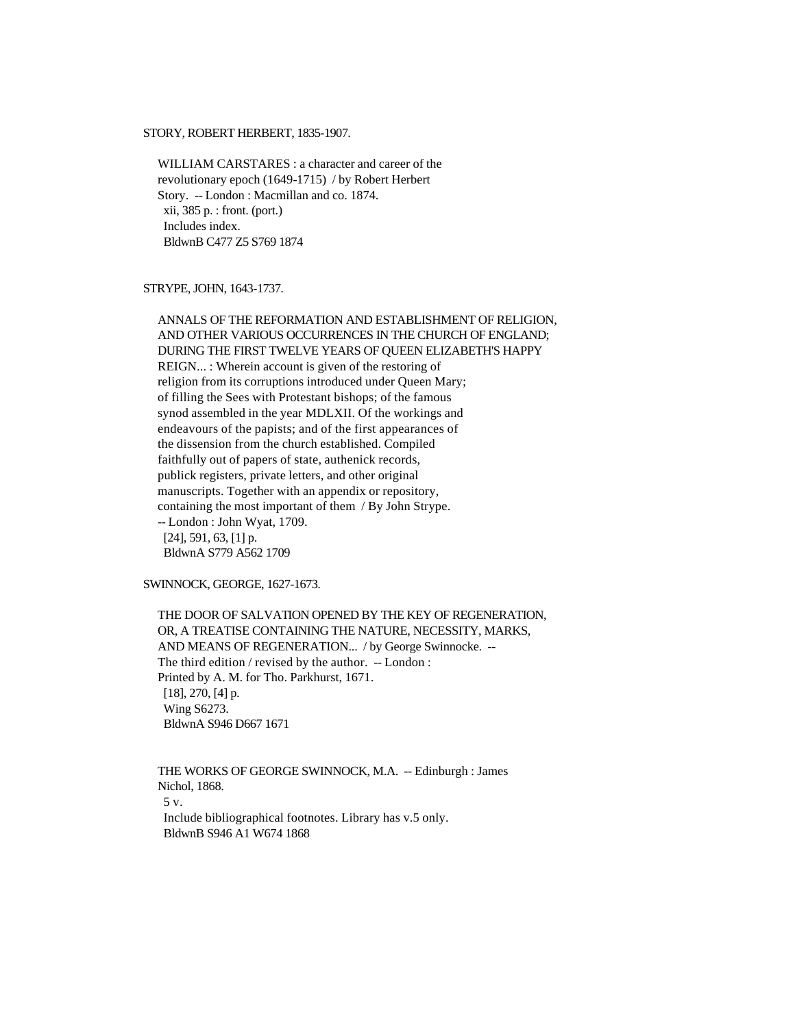#### STORY, ROBERT HERBERT, 1835-1907.

 WILLIAM CARSTARES : a character and career of the revolutionary epoch (1649-1715) / by Robert Herbert Story. -- London : Macmillan and co. 1874. xii, 385 p. : front. (port.) Includes index. BldwnB C477 Z5 S769 1874

### STRYPE, JOHN, 1643-1737.

 ANNALS OF THE REFORMATION AND ESTABLISHMENT OF RELIGION, AND OTHER VARIOUS OCCURRENCES IN THE CHURCH OF ENGLAND; DURING THE FIRST TWELVE YEARS OF QUEEN ELIZABETH'S HAPPY REIGN... : Wherein account is given of the restoring of religion from its corruptions introduced under Queen Mary; of filling the Sees with Protestant bishops; of the famous synod assembled in the year MDLXII. Of the workings and endeavours of the papists; and of the first appearances of the dissension from the church established. Compiled faithfully out of papers of state, authenick records, publick registers, private letters, and other original manuscripts. Together with an appendix or repository, containing the most important of them / By John Strype. -- London : John Wyat, 1709. [24], 591, 63, [1] p. BldwnA S779 A562 1709

SWINNOCK, GEORGE, 1627-1673.

 THE DOOR OF SALVATION OPENED BY THE KEY OF REGENERATION, OR, A TREATISE CONTAINING THE NATURE, NECESSITY, MARKS, AND MEANS OF REGENERATION... / by George Swinnocke. -- The third edition / revised by the author. -- London : Printed by A. M. for Tho. Parkhurst, 1671. [18], 270, [4] p. Wing S6273. BldwnA S946 D667 1671

 THE WORKS OF GEORGE SWINNOCK, M.A. -- Edinburgh : James Nichol, 1868. 5 v. Include bibliographical footnotes. Library has v.5 only. BldwnB S946 A1 W674 1868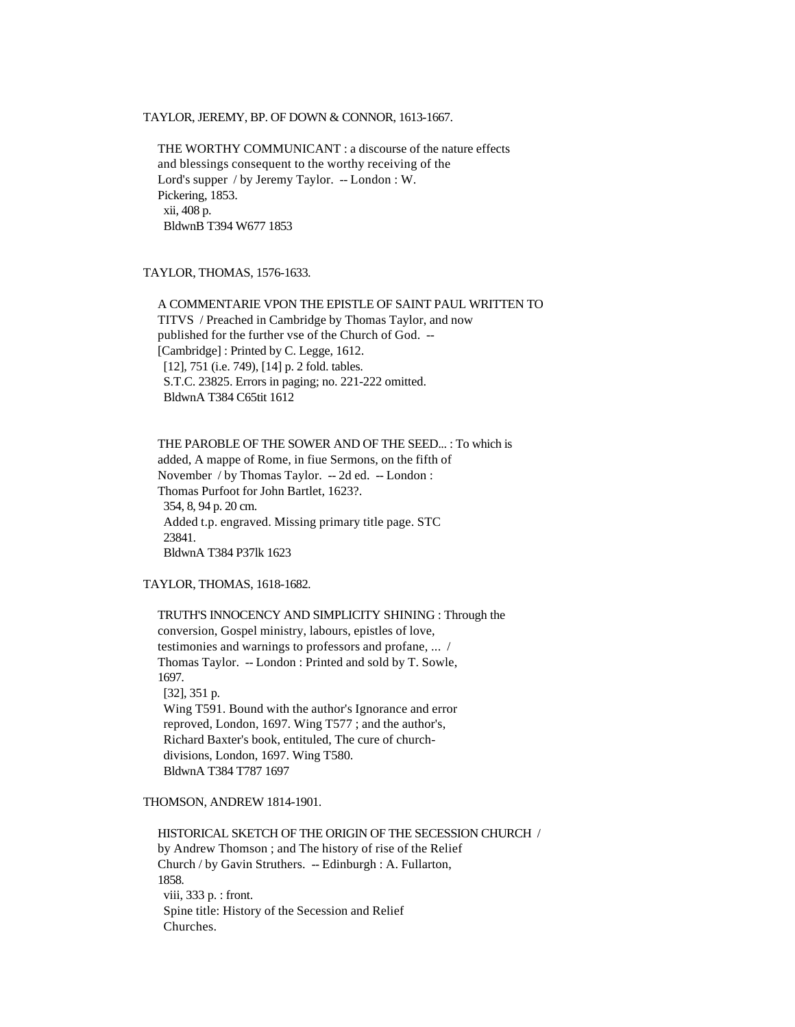### TAYLOR, JEREMY, BP. OF DOWN & CONNOR, 1613-1667.

 THE WORTHY COMMUNICANT : a discourse of the nature effects and blessings consequent to the worthy receiving of the Lord's supper / by Jeremy Taylor. -- London : W. Pickering, 1853. xii, 408 p. BldwnB T394 W677 1853

# TAYLOR, THOMAS, 1576-1633.

 A COMMENTARIE VPON THE EPISTLE OF SAINT PAUL WRITTEN TO TITVS / Preached in Cambridge by Thomas Taylor, and now published for the further vse of the Church of God. -- [Cambridge] : Printed by C. Legge, 1612. [12], 751 (i.e. 749), [14] p. 2 fold. tables. S.T.C. 23825. Errors in paging; no. 221-222 omitted. BldwnA T384 C65tit 1612

 THE PAROBLE OF THE SOWER AND OF THE SEED... : To which is added, A mappe of Rome, in fiue Sermons, on the fifth of November / by Thomas Taylor. -- 2d ed. -- London : Thomas Purfoot for John Bartlet, 1623?. 354, 8, 94 p. 20 cm. Added t.p. engraved. Missing primary title page. STC 23841. BldwnA T384 P37lk 1623

# TAYLOR, THOMAS, 1618-1682.

 TRUTH'S INNOCENCY AND SIMPLICITY SHINING : Through the conversion, Gospel ministry, labours, epistles of love, testimonies and warnings to professors and profane, ... / Thomas Taylor. -- London : Printed and sold by T. Sowle, 1697. [32], 351 p. Wing T591. Bound with the author's Ignorance and error reproved, London, 1697. Wing T577 ; and the author's, Richard Baxter's book, entituled, The cure of church divisions, London, 1697. Wing T580. BldwnA T384 T787 1697

# THOMSON, ANDREW 1814-1901.

 HISTORICAL SKETCH OF THE ORIGIN OF THE SECESSION CHURCH / by Andrew Thomson ; and The history of rise of the Relief Church / by Gavin Struthers. -- Edinburgh : A. Fullarton, 1858. viii, 333 p. : front. Spine title: History of the Secession and Relief Churches.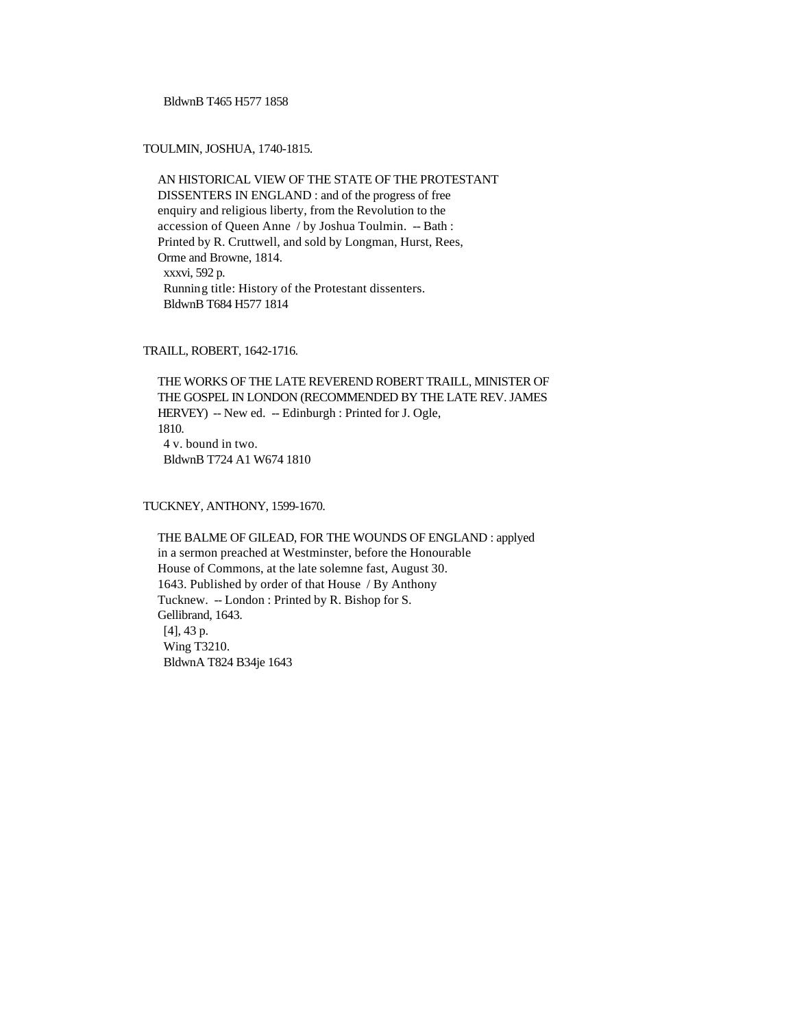BldwnB T465 H577 1858

# TOULMIN, JOSHUA, 1740-1815.

 AN HISTORICAL VIEW OF THE STATE OF THE PROTESTANT DISSENTERS IN ENGLAND : and of the progress of free enquiry and religious liberty, from the Revolution to the accession of Queen Anne / by Joshua Toulmin. -- Bath : Printed by R. Cruttwell, and sold by Longman, Hurst, Rees, Orme and Browne, 1814. xxxvi, 592 p. Running title: History of the Protestant dissenters. BldwnB T684 H577 1814

TRAILL, ROBERT, 1642-1716.

 THE WORKS OF THE LATE REVEREND ROBERT TRAILL, MINISTER OF THE GOSPEL IN LONDON (RECOMMENDED BY THE LATE REV. JAMES HERVEY) -- New ed. -- Edinburgh : Printed for J. Ogle, 1810. 4 v. bound in two. BldwnB T724 A1 W674 1810

TUCKNEY, ANTHONY, 1599-1670.

 THE BALME OF GILEAD, FOR THE WOUNDS OF ENGLAND : applyed in a sermon preached at Westminster, before the Honourable House of Commons, at the late solemne fast, August 30. 1643. Published by order of that House / By Anthony Tucknew. -- London : Printed by R. Bishop for S. Gellibrand, 1643. [4], 43 p. Wing T3210. BldwnA T824 B34je 1643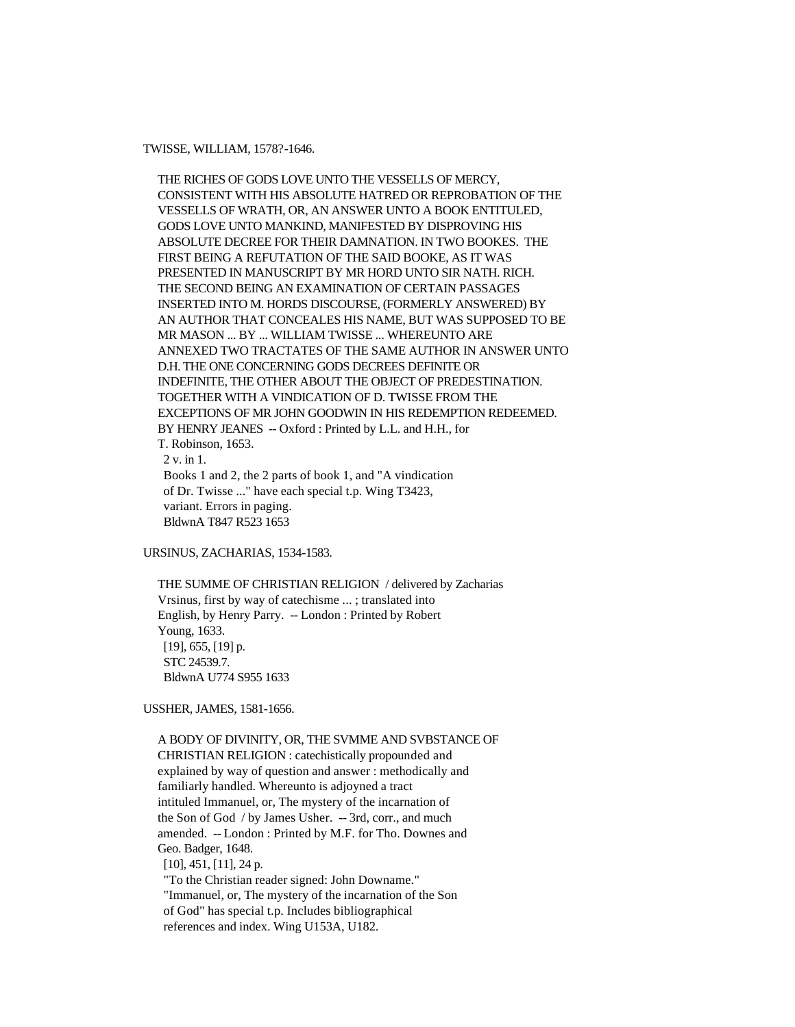TWISSE, WILLIAM, 1578?-1646.

 THE RICHES OF GODS LOVE UNTO THE VESSELLS OF MERCY, CONSISTENT WITH HIS ABSOLUTE HATRED OR REPROBATION OF THE VESSELLS OF WRATH, OR, AN ANSWER UNTO A BOOK ENTITULED, GODS LOVE UNTO MANKIND, MANIFESTED BY DISPROVING HIS ABSOLUTE DECREE FOR THEIR DAMNATION. IN TWO BOOKES. THE FIRST BEING A REFUTATION OF THE SAID BOOKE, AS IT WAS PRESENTED IN MANUSCRIPT BY MR HORD UNTO SIR NATH. RICH. THE SECOND BEING AN EXAMINATION OF CERTAIN PASSAGES INSERTED INTO M. HORDS DISCOURSE, (FORMERLY ANSWERED) BY AN AUTHOR THAT CONCEALES HIS NAME, BUT WAS SUPPOSED TO BE MR MASON ... BY ... WILLIAM TWISSE ... WHEREUNTO ARE ANNEXED TWO TRACTATES OF THE SAME AUTHOR IN ANSWER UNTO D.H. THE ONE CONCERNING GODS DECREES DEFINITE OR INDEFINITE, THE OTHER ABOUT THE OBJECT OF PREDESTINATION. TOGETHER WITH A VINDICATION OF D. TWISSE FROM THE EXCEPTIONS OF MR JOHN GOODWIN IN HIS REDEMPTION REDEEMED. BY HENRY JEANES -- Oxford : Printed by L.L. and H.H., for T. Robinson, 1653. 2 v. in 1. Books 1 and 2, the 2 parts of book 1, and "A vindication of Dr. Twisse ..." have each special t.p. Wing T3423, variant. Errors in paging. BldwnA T847 R523 1653

URSINUS, ZACHARIAS, 1534-1583.

 THE SUMME OF CHRISTIAN RELIGION / delivered by Zacharias Vrsinus, first by way of catechisme ... ; translated into English, by Henry Parry. -- London : Printed by Robert Young, 1633. [19], 655, [19] p. STC 24539.7. BldwnA U774 S955 1633

USSHER, JAMES, 1581-1656.

 A BODY OF DIVINITY, OR, THE SVMME AND SVBSTANCE OF CHRISTIAN RELIGION : catechistically propounded and explained by way of question and answer : methodically and familiarly handled. Whereunto is adjoyned a tract intituled Immanuel, or, The mystery of the incarnation of the Son of God / by James Usher. -- 3rd, corr., and much amended. -- London : Printed by M.F. for Tho. Downes and Geo. Badger, 1648. [10], 451, [11], 24 p. "To the Christian reader signed: John Downame." "Immanuel, or, The mystery of the incarnation of the Son of God" has special t.p. Includes bibliographical references and index. Wing U153A, U182.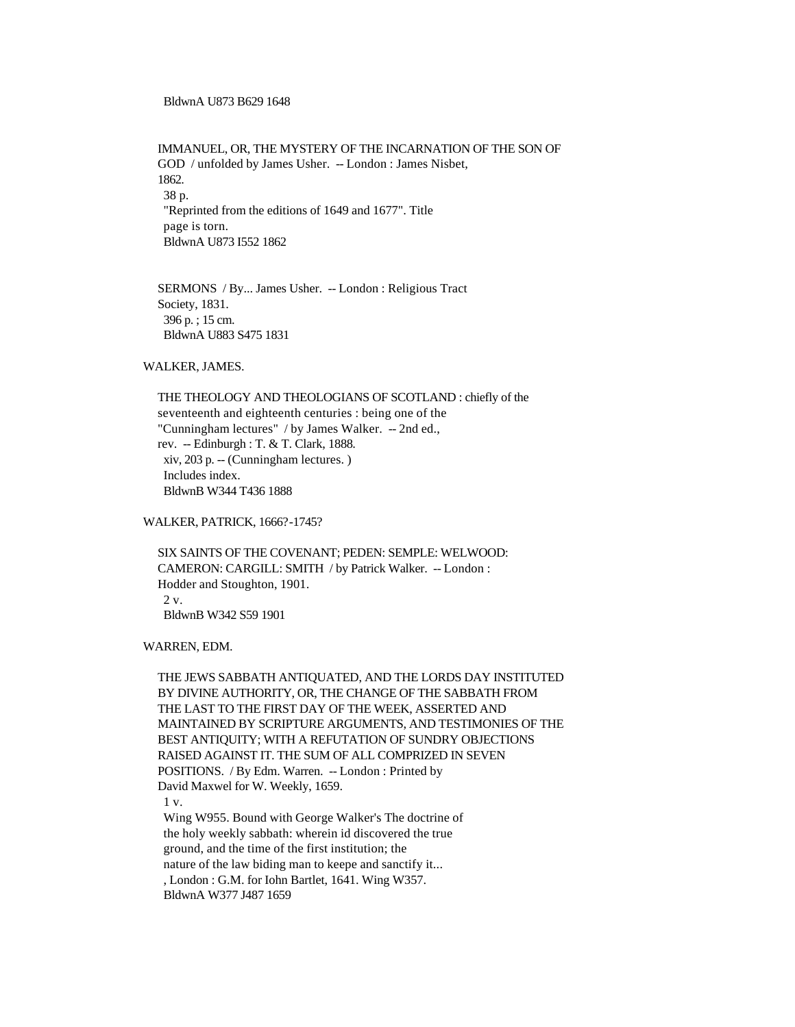BldwnA U873 B629 1648

 IMMANUEL, OR, THE MYSTERY OF THE INCARNATION OF THE SON OF GOD / unfolded by James Usher. -- London : James Nisbet, 1862. 38 p. "Reprinted from the editions of 1649 and 1677". Title page is torn. BldwnA U873 I552 1862

 SERMONS / By... James Usher. -- London : Religious Tract Society, 1831. 396 p. ; 15 cm. BldwnA U883 S475 1831

WALKER, JAMES.

 THE THEOLOGY AND THEOLOGIANS OF SCOTLAND : chiefly of the seventeenth and eighteenth centuries : being one of the "Cunningham lectures" / by James Walker. -- 2nd ed., rev. -- Edinburgh : T. & T. Clark, 1888. xiv, 203 p. -- (Cunningham lectures. ) Includes index. BldwnB W344 T436 1888

WALKER, PATRICK, 1666?-1745?

 SIX SAINTS OF THE COVENANT; PEDEN: SEMPLE: WELWOOD: CAMERON: CARGILL: SMITH / by Patrick Walker. -- London : Hodder and Stoughton, 1901. 2 v. BldwnB W342 S59 1901

WARREN, EDM.

 THE JEWS SABBATH ANTIQUATED, AND THE LORDS DAY INSTITUTED BY DIVINE AUTHORITY, OR, THE CHANGE OF THE SABBATH FROM THE LAST TO THE FIRST DAY OF THE WEEK, ASSERTED AND MAINTAINED BY SCRIPTURE ARGUMENTS, AND TESTIMONIES OF THE BEST ANTIQUITY; WITH A REFUTATION OF SUNDRY OBJECTIONS RAISED AGAINST IT. THE SUM OF ALL COMPRIZED IN SEVEN POSITIONS. / By Edm. Warren. -- London : Printed by David Maxwel for W. Weekly, 1659. 1 v. Wing W955. Bound with George Walker's The doctrine of the holy weekly sabbath: wherein id discovered the true ground, and the time of the first institution; the nature of the law biding man to keepe and sanctify it... , London : G.M. for Iohn Bartlet, 1641. Wing W357. BldwnA W377 J487 1659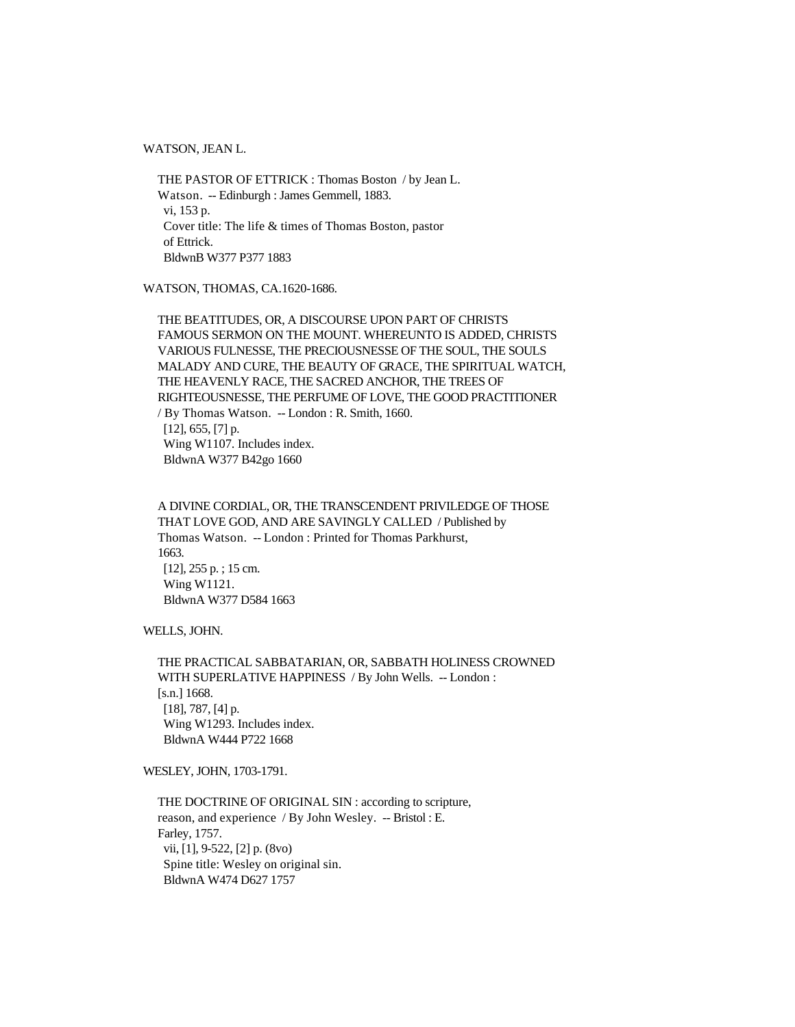WATSON, JEAN L.

 THE PASTOR OF ETTRICK : Thomas Boston / by Jean L. Watson. -- Edinburgh : James Gemmell, 1883. vi, 153 p. Cover title: The life & times of Thomas Boston, pastor of Ettrick. BldwnB W377 P377 1883

WATSON, THOMAS, CA.1620-1686.

 THE BEATITUDES, OR, A DISCOURSE UPON PART OF CHRISTS FAMOUS SERMON ON THE MOUNT. WHEREUNTO IS ADDED, CHRISTS VARIOUS FULNESSE, THE PRECIOUSNESSE OF THE SOUL, THE SOULS MALADY AND CURE, THE BEAUTY OF GRACE, THE SPIRITUAL WATCH, THE HEAVENLY RACE, THE SACRED ANCHOR, THE TREES OF RIGHTEOUSNESSE, THE PERFUME OF LOVE, THE GOOD PRACTITIONER / By Thomas Watson. -- London : R. Smith, 1660.  $[12]$ , 655,  $[7]$  p. Wing W1107. Includes index. BldwnA W377 B42go 1660

 A DIVINE CORDIAL, OR, THE TRANSCENDENT PRIVILEDGE OF THOSE THAT LOVE GOD, AND ARE SAVINGLY CALLED / Published by Thomas Watson. -- London : Printed for Thomas Parkhurst, 1663. [12], 255 p. ; 15 cm. Wing W1121. BldwnA W377 D584 1663

WELLS, JOHN.

 THE PRACTICAL SABBATARIAN, OR, SABBATH HOLINESS CROWNED WITH SUPERLATIVE HAPPINESS / By John Wells. -- London : [s.n.] 1668. [18], 787, [4] p. Wing W1293. Includes index. BldwnA W444 P722 1668

WESLEY, JOHN, 1703-1791.

 THE DOCTRINE OF ORIGINAL SIN : according to scripture, reason, and experience / By John Wesley. -- Bristol : E. Farley, 1757. vii, [1], 9-522, [2] p. (8vo) Spine title: Wesley on original sin. BldwnA W474 D627 1757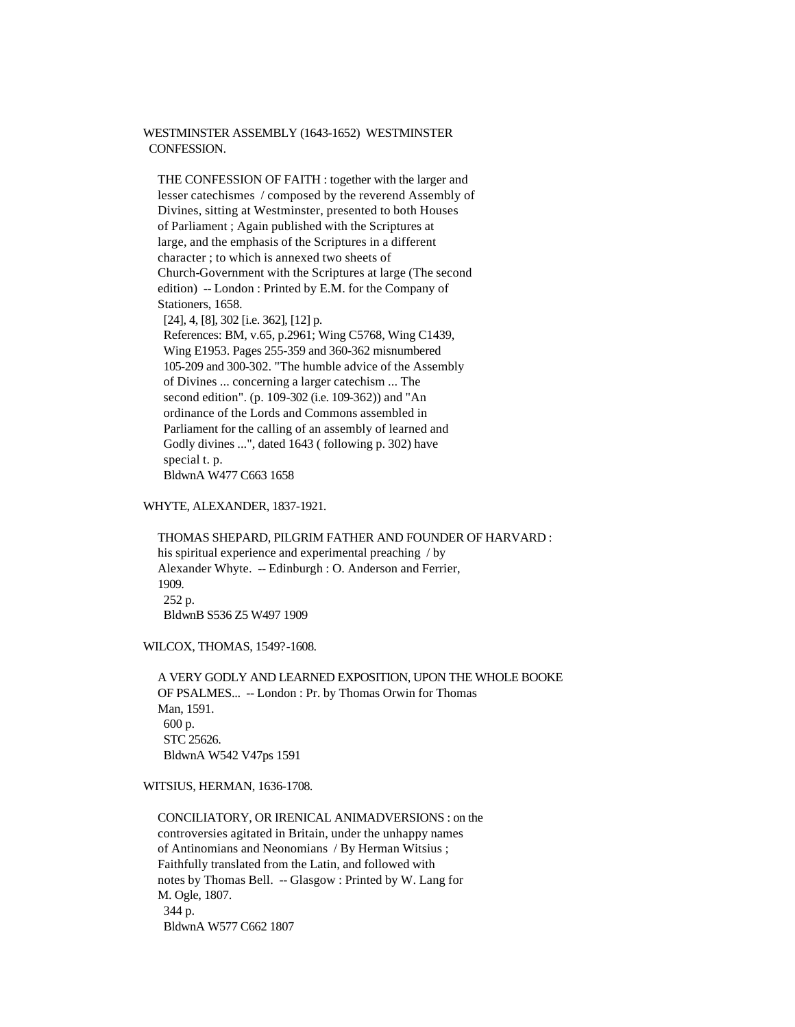### WESTMINSTER ASSEMBLY (1643-1652) WESTMINSTER CONFESSION.

 THE CONFESSION OF FAITH : together with the larger and lesser catechismes / composed by the reverend Assembly of Divines, sitting at Westminster, presented to both Houses of Parliament ; Again published with the Scriptures at large, and the emphasis of the Scriptures in a different character ; to which is annexed two sheets of Church-Government with the Scriptures at large (The second edition) -- London : Printed by E.M. for the Company of Stationers, 1658.

 [24], 4, [8], 302 [i.e. 362], [12] p. References: BM, v.65, p.2961; Wing C5768, Wing C1439, Wing E1953. Pages 255-359 and 360-362 misnumbered 105-209 and 300-302. "The humble advice of the Assembly of Divines ... concerning a larger catechism ... The second edition". (p. 109-302 (i.e. 109-362)) and "An ordinance of the Lords and Commons assembled in Parliament for the calling of an assembly of learned and Godly divines ...", dated 1643 ( following p. 302) have special t. p. BldwnA W477 C663 1658

# WHYTE, ALEXANDER, 1837-1921.

 THOMAS SHEPARD, PILGRIM FATHER AND FOUNDER OF HARVARD : his spiritual experience and experimental preaching / by Alexander Whyte. -- Edinburgh : O. Anderson and Ferrier, 1909. 252 p. BldwnB S536 Z5 W497 1909

WILCOX, THOMAS, 1549?-1608.

 A VERY GODLY AND LEARNED EXPOSITION, UPON THE WHOLE BOOKE OF PSALMES... -- London : Pr. by Thomas Orwin for Thomas Man, 1591. 600 p. STC 25626. BldwnA W542 V47ps 1591

WITSIUS, HERMAN, 1636-1708.

 CONCILIATORY, OR IRENICAL ANIMADVERSIONS : on the controversies agitated in Britain, under the unhappy names of Antinomians and Neonomians / By Herman Witsius ; Faithfully translated from the Latin, and followed with notes by Thomas Bell. -- Glasgow : Printed by W. Lang for M. Ogle, 1807. 344 p. BldwnA W577 C662 1807